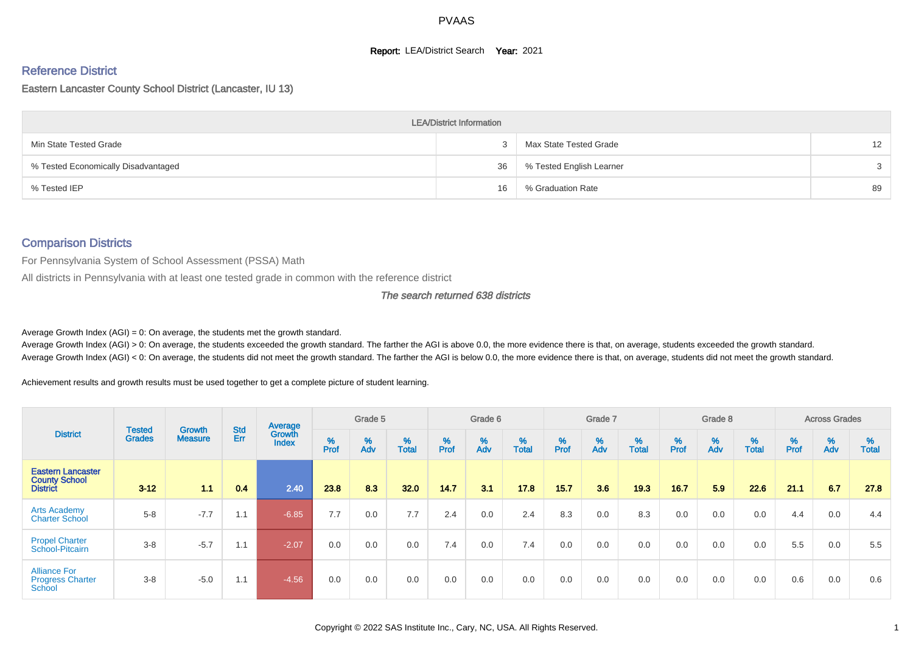### **Report: LEA/District Search Year: 2021**

# Reference District

#### Eastern Lancaster County School District (Lancaster, IU 13)

|                                     | <b>LEA/District Information</b> |                          |    |
|-------------------------------------|---------------------------------|--------------------------|----|
| Min State Tested Grade              |                                 | Max State Tested Grade   | 12 |
| % Tested Economically Disadvantaged | 36                              | % Tested English Learner |    |
| % Tested IEP                        | 16                              | % Graduation Rate        | 89 |

### Comparison Districts

For Pennsylvania System of School Assessment (PSSA) Math

All districts in Pennsylvania with at least one tested grade in common with the reference district

### The search returned 638 districts

Average Growth Index  $(AGI) = 0$ : On average, the students met the growth standard.

Average Growth Index (AGI) > 0: On average, the students exceeded the growth standard. The farther the AGI is above 0.0, the more evidence there is that, on average, students exceeded the growth standard. Average Growth Index (AGI) < 0: On average, the students did not meet the growth standard. The farther the AGI is below 0.0, the more evidence there is that, on average, students did not meet the growth standard.

Achievement results and growth results must be used together to get a complete picture of student learning.

| <b>District</b>                                                     |                                |                                 |            | Average                |           | Grade 5  |                   |        | Grade 6  |                   |          | Grade 7  |                   |          | Grade 8  |                   |          | <b>Across Grades</b> |                   |
|---------------------------------------------------------------------|--------------------------------|---------------------------------|------------|------------------------|-----------|----------|-------------------|--------|----------|-------------------|----------|----------|-------------------|----------|----------|-------------------|----------|----------------------|-------------------|
|                                                                     | <b>Tested</b><br><b>Grades</b> | <b>Growth</b><br><b>Measure</b> | Std<br>Err | Growth<br><b>Index</b> | %<br>Prof | %<br>Adv | %<br><b>Total</b> | % Pref | %<br>Adv | %<br><b>Total</b> | $%$ Prof | %<br>Adv | %<br><b>Total</b> | $%$ Prof | %<br>Adv | %<br><b>Total</b> | $%$ Prof | %<br>Adv             | %<br><b>Total</b> |
| <b>Eastern Lancaster</b><br><b>County School</b><br><b>District</b> | $3 - 12$                       | 11                              | 0.4        | 2.40                   | 23.8      | 8.3      | 32.0              | 14.7   | 3.1      | 17.8              | 15.7     | 3.6      | 19.3              | 16.7     | 5.9      | 22.6              | 21.1     | 6.7                  | 27.8              |
| <b>Arts Academy</b><br><b>Charter School</b>                        | $5 - 8$                        | $-7.7$                          | 1.1        | $-6.85$                | 7.7       | 0.0      | 7.7               | 2.4    | 0.0      | 2.4               | 8.3      | 0.0      | 8.3               | 0.0      | 0.0      | 0.0               | 4.4      | 0.0                  | 4.4               |
| <b>Propel Charter</b><br>School-Pitcairn                            | $3 - 8$                        | $-5.7$                          | 1.1        | $-2.07$                | 0.0       | 0.0      | 0.0               | 7.4    | 0.0      | 7.4               | 0.0      | 0.0      | 0.0               | 0.0      | 0.0      | 0.0               | 5.5      | 0.0                  | 5.5               |
| <b>Alliance For</b><br><b>Progress Charter</b><br>School            | $3 - 8$                        | $-5.0$                          | 1.1        | $-4.56$                | 0.0       | 0.0      | 0.0               | 0.0    | 0.0      | 0.0               | 0.0      | 0.0      | 0.0               | 0.0      | 0.0      | 0.0               | 0.6      | 0.0                  | 0.6               |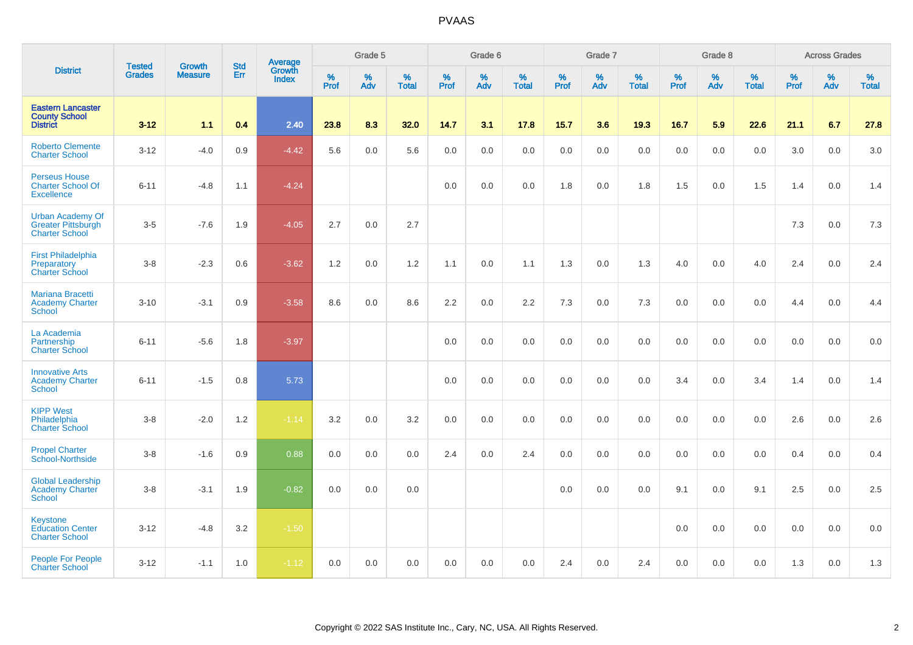|                                                                               | <b>Tested</b> | <b>Growth</b>  | <b>Std</b> | Average                |                     | Grade 5  |                   |                  | Grade 6  |                   |                  | Grade 7  |                   |                  | Grade 8  |                   |                  | <b>Across Grades</b> |                   |
|-------------------------------------------------------------------------------|---------------|----------------|------------|------------------------|---------------------|----------|-------------------|------------------|----------|-------------------|------------------|----------|-------------------|------------------|----------|-------------------|------------------|----------------------|-------------------|
| <b>District</b>                                                               | <b>Grades</b> | <b>Measure</b> | Err        | Growth<br><b>Index</b> | $\%$<br><b>Prof</b> | %<br>Adv | %<br><b>Total</b> | %<br><b>Prof</b> | %<br>Adv | %<br><b>Total</b> | %<br><b>Prof</b> | %<br>Adv | %<br><b>Total</b> | %<br><b>Prof</b> | %<br>Adv | %<br><b>Total</b> | %<br><b>Prof</b> | %<br>Adv             | %<br><b>Total</b> |
| <b>Eastern Lancaster</b><br><b>County School</b><br><b>District</b>           | $3 - 12$      | 1.1            | 0.4        | 2.40                   | 23.8                | 8.3      | 32.0              | 14.7             | 3.1      | 17.8              | 15.7             | 3.6      | 19.3              | 16.7             | 5.9      | 22.6              | 21.1             | 6.7                  | 27.8              |
| <b>Roberto Clemente</b><br><b>Charter School</b>                              | $3 - 12$      | $-4.0$         | 0.9        | $-4.42$                | 5.6                 | 0.0      | 5.6               | 0.0              | 0.0      | 0.0               | 0.0              | 0.0      | 0.0               | 0.0              | 0.0      | 0.0               | 3.0              | 0.0                  | 3.0               |
| <b>Perseus House</b><br><b>Charter School Of</b><br><b>Excellence</b>         | $6 - 11$      | $-4.8$         | 1.1        | $-4.24$                |                     |          |                   | 0.0              | 0.0      | 0.0               | 1.8              | 0.0      | 1.8               | 1.5              | 0.0      | 1.5               | 1.4              | 0.0                  | 1.4               |
| <b>Urban Academy Of</b><br><b>Greater Pittsburgh</b><br><b>Charter School</b> | $3-5$         | $-7.6$         | 1.9        | $-4.05$                | 2.7                 | 0.0      | 2.7               |                  |          |                   |                  |          |                   |                  |          |                   | 7.3              | 0.0                  | 7.3               |
| <b>First Philadelphia</b><br>Preparatory<br><b>Charter School</b>             | $3 - 8$       | $-2.3$         | 0.6        | $-3.62$                | 1.2                 | 0.0      | 1.2               | 1.1              | 0.0      | 1.1               | 1.3              | 0.0      | 1.3               | 4.0              | 0.0      | 4.0               | 2.4              | 0.0                  | 2.4               |
| Mariana Bracetti<br><b>Academy Charter</b><br><b>School</b>                   | $3 - 10$      | $-3.1$         | 0.9        | $-3.58$                | 8.6                 | 0.0      | 8.6               | 2.2              | 0.0      | 2.2               | 7.3              | 0.0      | 7.3               | 0.0              | 0.0      | 0.0               | 4.4              | $0.0\,$              | 4.4               |
| La Academia<br>Partnership<br><b>Charter School</b>                           | $6 - 11$      | $-5.6$         | 1.8        | $-3.97$                |                     |          |                   | 0.0              | 0.0      | 0.0               | 0.0              | 0.0      | 0.0               | 0.0              | 0.0      | 0.0               | 0.0              | 0.0                  | 0.0               |
| <b>Innovative Arts</b><br><b>Academy Charter</b><br><b>School</b>             | $6 - 11$      | $-1.5$         | 0.8        | 5.73                   |                     |          |                   | 0.0              | 0.0      | 0.0               | 0.0              | 0.0      | 0.0               | 3.4              | 0.0      | 3.4               | 1.4              | 0.0                  | 1.4               |
| <b>KIPP West</b><br>Philadelphia<br><b>Charter School</b>                     | $3 - 8$       | $-2.0$         | 1.2        | $-1.14$                | 3.2                 | 0.0      | $3.2\,$           | 0.0              | 0.0      | 0.0               | 0.0              | 0.0      | 0.0               | 0.0              | 0.0      | 0.0               | 2.6              | 0.0                  | 2.6               |
| <b>Propel Charter</b><br>School-Northside                                     | $3-8$         | $-1.6$         | 0.9        | 0.88                   | 0.0                 | 0.0      | 0.0               | 2.4              | 0.0      | 2.4               | 0.0              | 0.0      | 0.0               | 0.0              | 0.0      | 0.0               | 0.4              | 0.0                  | 0.4               |
| <b>Global Leadership</b><br><b>Academy Charter</b><br><b>School</b>           | $3 - 8$       | $-3.1$         | 1.9        | $-0.82$                | 0.0                 | 0.0      | 0.0               |                  |          |                   | 0.0              | 0.0      | 0.0               | 9.1              | 0.0      | 9.1               | 2.5              | 0.0                  | 2.5               |
| Keystone<br><b>Education Center</b><br><b>Charter School</b>                  | $3 - 12$      | $-4.8$         | 3.2        | $-1.50$                |                     |          |                   |                  |          |                   |                  |          |                   | 0.0              | 0.0      | 0.0               | 0.0              | $0.0\,$              | $0.0\,$           |
| <b>People For People</b><br><b>Charter School</b>                             | $3 - 12$      | $-1.1$         | 1.0        | $-1.12$                | 0.0                 | 0.0      | 0.0               | 0.0              | 0.0      | 0.0               | 2.4              | 0.0      | 2.4               | 0.0              | 0.0      | 0.0               | 1.3              | 0.0                  | 1.3               |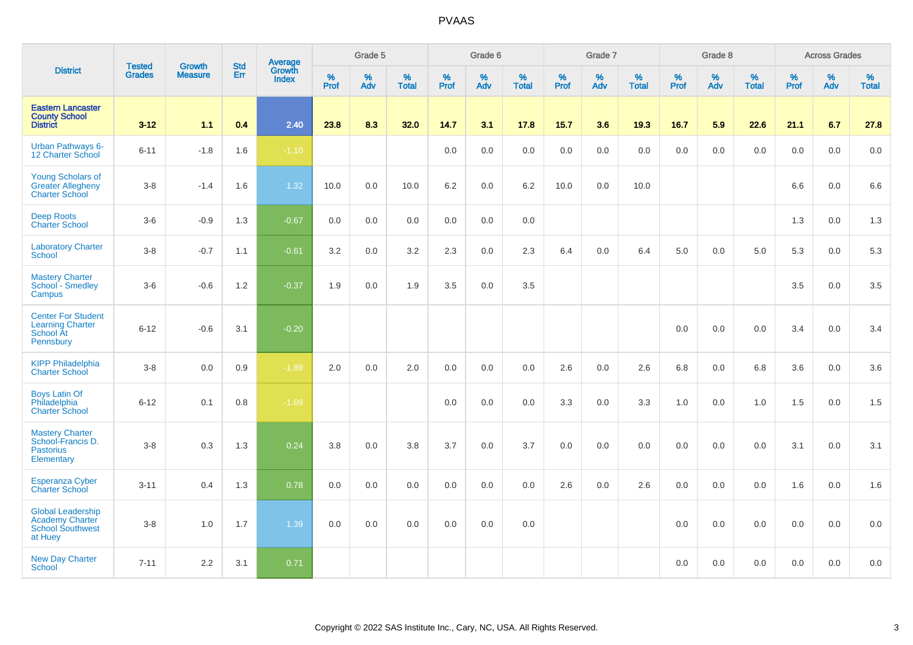|                                                                                          | <b>Tested</b> | <b>Growth</b>  | <b>Std</b> | Average                |                     | Grade 5  |                   |                  | Grade 6  |                   |           | Grade 7  |                   |           | Grade 8  |                   |                  | <b>Across Grades</b> |                   |
|------------------------------------------------------------------------------------------|---------------|----------------|------------|------------------------|---------------------|----------|-------------------|------------------|----------|-------------------|-----------|----------|-------------------|-----------|----------|-------------------|------------------|----------------------|-------------------|
| <b>District</b>                                                                          | <b>Grades</b> | <b>Measure</b> | <b>Err</b> | Growth<br><b>Index</b> | $\%$<br><b>Prof</b> | %<br>Adv | %<br><b>Total</b> | %<br><b>Prof</b> | %<br>Adv | %<br><b>Total</b> | %<br>Prof | %<br>Adv | %<br><b>Total</b> | %<br>Prof | %<br>Adv | %<br><b>Total</b> | %<br><b>Prof</b> | %<br>Adv             | %<br><b>Total</b> |
| <b>Eastern Lancaster</b><br><b>County School</b><br><b>District</b>                      | $3 - 12$      | 1.1            | 0.4        | 2.40                   | 23.8                | 8.3      | 32.0              | 14.7             | 3.1      | 17.8              | 15.7      | 3.6      | 19.3              | 16.7      | 5.9      | 22.6              | 21.1             | 6.7                  | 27.8              |
| <b>Urban Pathways 6-</b><br>12 Charter School                                            | $6 - 11$      | $-1.8$         | 1.6        | $-1.10$                |                     |          |                   | 0.0              | 0.0      | 0.0               | 0.0       | 0.0      | 0.0               | 0.0       | 0.0      | 0.0               | 0.0              | 0.0                  | 0.0               |
| <b>Young Scholars of</b><br><b>Greater Allegheny</b><br><b>Charter School</b>            | $3-8$         | $-1.4$         | 1.6        | 1.32                   | 10.0                | 0.0      | 10.0              | 6.2              | 0.0      | 6.2               | 10.0      | 0.0      | 10.0              |           |          |                   | 6.6              | 0.0                  | 6.6               |
| <b>Deep Roots</b><br><b>Charter School</b>                                               | $3-6$         | $-0.9$         | 1.3        | $-0.67$                | 0.0                 | 0.0      | 0.0               | 0.0              | 0.0      | 0.0               |           |          |                   |           |          |                   | 1.3              | 0.0                  | 1.3               |
| <b>Laboratory Charter</b><br><b>School</b>                                               | $3-8$         | $-0.7$         | 1.1        | $-0.61$                | 3.2                 | 0.0      | 3.2               | 2.3              | 0.0      | 2.3               | 6.4       | 0.0      | 6.4               | 5.0       | 0.0      | 5.0               | 5.3              | 0.0                  | 5.3               |
| <b>Mastery Charter</b><br>School - Smedley<br>Campus                                     | $3-6$         | $-0.6$         | 1.2        | $-0.37$                | 1.9                 | 0.0      | 1.9               | 3.5              | 0.0      | 3.5               |           |          |                   |           |          |                   | 3.5              | 0.0                  | 3.5               |
| <b>Center For Student</b><br><b>Learning Charter</b><br><b>School At</b><br>Pennsbury    | $6 - 12$      | $-0.6$         | 3.1        | $-0.20$                |                     |          |                   |                  |          |                   |           |          |                   | 0.0       | 0.0      | 0.0               | 3.4              | 0.0                  | 3.4               |
| <b>KIPP Philadelphia</b><br><b>Charter School</b>                                        | $3-8$         | 0.0            | $0.9\,$    | $-1.89$                | 2.0                 | 0.0      | 2.0               | 0.0              | 0.0      | 0.0               | 2.6       | 0.0      | 2.6               | 6.8       | 0.0      | 6.8               | 3.6              | 0.0                  | 3.6               |
| <b>Boys Latin Of</b><br>Philadelphia<br><b>Charter School</b>                            | $6 - 12$      | 0.1            | 0.8        | $-1.69$                |                     |          |                   | 0.0              | 0.0      | 0.0               | 3.3       | 0.0      | 3.3               | 1.0       | 0.0      | 1.0               | 1.5              | 0.0                  | 1.5               |
| <b>Mastery Charter</b><br>School-Francis D.<br><b>Pastorius</b><br>Elementary            | $3-8$         | 0.3            | 1.3        | 0.24                   | 3.8                 | 0.0      | 3.8               | 3.7              | 0.0      | 3.7               | 0.0       | 0.0      | 0.0               | 0.0       | 0.0      | 0.0               | 3.1              | 0.0                  | 3.1               |
| <b>Esperanza Cyber</b><br><b>Charter School</b>                                          | $3 - 11$      | 0.4            | 1.3        | 0.78                   | 0.0                 | 0.0      | 0.0               | 0.0              | 0.0      | 0.0               | 2.6       | 0.0      | 2.6               | 0.0       | 0.0      | 0.0               | 1.6              | 0.0                  | 1.6               |
| <b>Global Leadership</b><br><b>Academy Charter</b><br><b>School Southwest</b><br>at Huey | $3-8$         | 1.0            | 1.7        | 1.39                   | 0.0                 | 0.0      | 0.0               | 0.0              | 0.0      | 0.0               |           |          |                   | 0.0       | 0.0      | 0.0               | 0.0              | 0.0                  | 0.0               |
| <b>New Day Charter</b><br>School                                                         | $7 - 11$      | 2.2            | 3.1        | 0.71                   |                     |          |                   |                  |          |                   |           |          |                   | 0.0       | 0.0      | 0.0               | 0.0              | 0.0                  | 0.0               |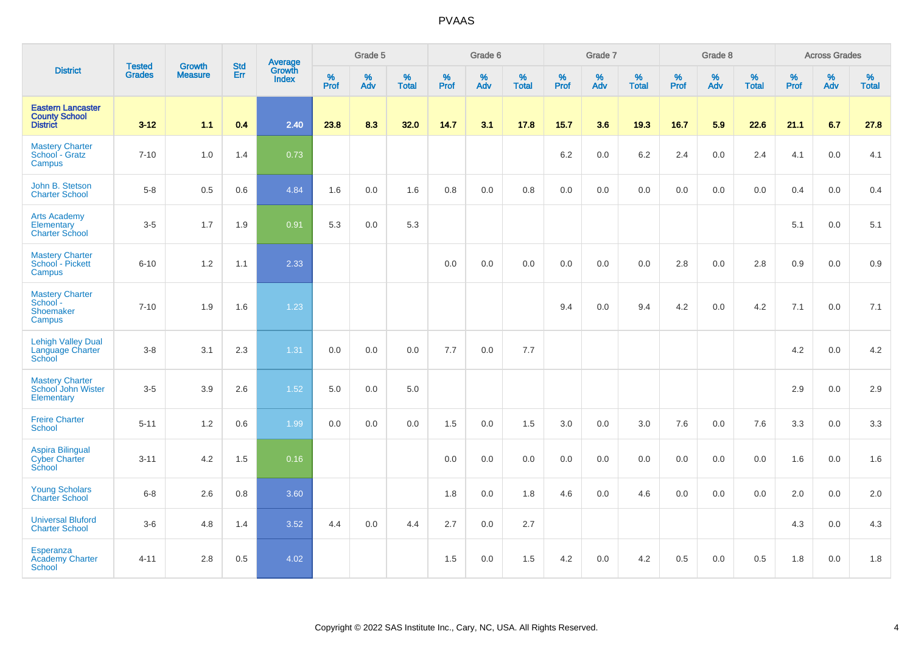| <b>District</b>                                                     |                                |                                 | <b>Std</b> | Average                |              | Grade 5  |                   |           | Grade 6  |                   |           | Grade 7  |                   |           | Grade 8  |                   |           | <b>Across Grades</b> |                   |
|---------------------------------------------------------------------|--------------------------------|---------------------------------|------------|------------------------|--------------|----------|-------------------|-----------|----------|-------------------|-----------|----------|-------------------|-----------|----------|-------------------|-----------|----------------------|-------------------|
|                                                                     | <b>Tested</b><br><b>Grades</b> | <b>Growth</b><br><b>Measure</b> | Err        | Growth<br><b>Index</b> | $\%$<br>Prof | %<br>Adv | %<br><b>Total</b> | %<br>Prof | %<br>Adv | %<br><b>Total</b> | %<br>Prof | %<br>Adv | %<br><b>Total</b> | %<br>Prof | %<br>Adv | %<br><b>Total</b> | %<br>Prof | %<br>Adv             | %<br><b>Total</b> |
| <b>Eastern Lancaster</b><br><b>County School</b><br><b>District</b> | $3 - 12$                       | 1.1                             | 0.4        | 2.40                   | 23.8         | 8.3      | 32.0              | 14.7      | 3.1      | 17.8              | 15.7      | 3.6      | 19.3              | 16.7      | 5.9      | 22.6              | 21.1      | 6.7                  | 27.8              |
| <b>Mastery Charter</b><br>School - Gratz<br>Campus                  | $7 - 10$                       | 1.0                             | 1.4        | 0.73                   |              |          |                   |           |          |                   | 6.2       | 0.0      | 6.2               | 2.4       | $0.0\,$  | 2.4               | 4.1       | $0.0\,$              | 4.1               |
| John B. Stetson<br><b>Charter School</b>                            | $5-8$                          | 0.5                             | 0.6        | 4.84                   | 1.6          | 0.0      | 1.6               | 0.8       | 0.0      | 0.8               | 0.0       | 0.0      | 0.0               | 0.0       | 0.0      | 0.0               | 0.4       | 0.0                  | 0.4               |
| <b>Arts Academy</b><br>Elementary<br><b>Charter School</b>          | $3-5$                          | 1.7                             | 1.9        | 0.91                   | 5.3          | 0.0      | 5.3               |           |          |                   |           |          |                   |           |          |                   | 5.1       | 0.0                  | 5.1               |
| <b>Mastery Charter</b><br>School - Pickett<br>Campus                | $6 - 10$                       | 1.2                             | 1.1        | 2.33                   |              |          |                   | 0.0       | 0.0      | 0.0               | 0.0       | 0.0      | 0.0               | 2.8       | 0.0      | 2.8               | 0.9       | 0.0                  | 0.9               |
| <b>Mastery Charter</b><br>School -<br>Shoemaker<br>Campus           | $7 - 10$                       | 1.9                             | 1.6        | 1.23                   |              |          |                   |           |          |                   | 9.4       | 0.0      | 9.4               | 4.2       | 0.0      | 4.2               | 7.1       | 0.0                  | 7.1               |
| <b>Lehigh Valley Dual</b><br>Language Charter<br>School             | $3-8$                          | 3.1                             | 2.3        | 1.31                   | 0.0          | 0.0      | 0.0               | 7.7       | 0.0      | 7.7               |           |          |                   |           |          |                   | 4.2       | 0.0                  | 4.2               |
| <b>Mastery Charter</b><br>School John Wister<br>Elementary          | $3 - 5$                        | 3.9                             | 2.6        | 1.52                   | 5.0          | 0.0      | 5.0               |           |          |                   |           |          |                   |           |          |                   | 2.9       | 0.0                  | 2.9               |
| <b>Freire Charter</b><br><b>School</b>                              | $5 - 11$                       | 1.2                             | 0.6        | 1.99                   | 0.0          | 0.0      | 0.0               | 1.5       | 0.0      | 1.5               | 3.0       | 0.0      | 3.0               | 7.6       | 0.0      | 7.6               | 3.3       | 0.0                  | 3.3               |
| <b>Aspira Bilingual</b><br><b>Cyber Charter</b><br>School           | $3 - 11$                       | 4.2                             | 1.5        | 0.16                   |              |          |                   | 0.0       | 0.0      | 0.0               | 0.0       | 0.0      | 0.0               | 0.0       | 0.0      | 0.0               | 1.6       | 0.0                  | 1.6               |
| <b>Young Scholars</b><br><b>Charter School</b>                      | $6-8$                          | 2.6                             | 0.8        | 3.60                   |              |          |                   | 1.8       | 0.0      | 1.8               | 4.6       | 0.0      | 4.6               | 0.0       | 0.0      | 0.0               | 2.0       | 0.0                  | 2.0               |
| <b>Universal Bluford</b><br><b>Charter School</b>                   | $3-6$                          | 4.8                             | 1.4        | 3.52                   | 4.4          | 0.0      | 4.4               | 2.7       | 0.0      | 2.7               |           |          |                   |           |          |                   | 4.3       | 0.0                  | 4.3               |
| Esperanza<br><b>Academy Charter</b><br><b>School</b>                | $4 - 11$                       | 2.8                             | 0.5        | 4.02                   |              |          |                   | 1.5       | 0.0      | 1.5               | 4.2       | 0.0      | 4.2               | 0.5       | 0.0      | 0.5               | 1.8       | $0.0\,$              | 1.8               |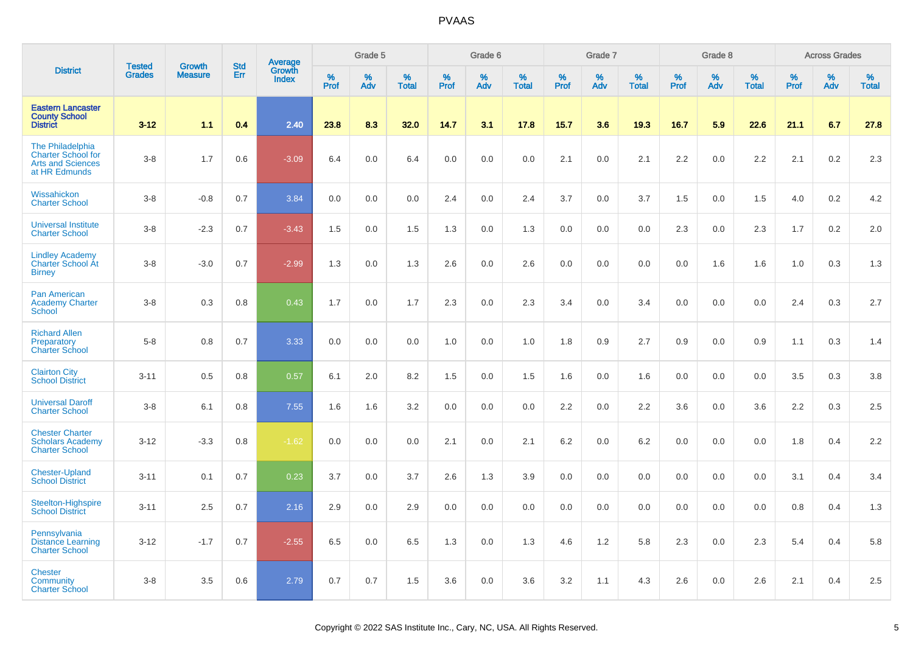|                                                                                            | <b>Tested</b> | <b>Growth</b>  | <b>Std</b> | Average<br>Growth |                     | Grade 5  |                   |                  | Grade 6  |                   |           | Grade 7  |                   |           | Grade 8  |                   |           | <b>Across Grades</b> |                   |
|--------------------------------------------------------------------------------------------|---------------|----------------|------------|-------------------|---------------------|----------|-------------------|------------------|----------|-------------------|-----------|----------|-------------------|-----------|----------|-------------------|-----------|----------------------|-------------------|
| <b>District</b>                                                                            | <b>Grades</b> | <b>Measure</b> | Err        | <b>Index</b>      | $\%$<br><b>Prof</b> | %<br>Adv | %<br><b>Total</b> | %<br><b>Prof</b> | %<br>Adv | %<br><b>Total</b> | %<br>Prof | %<br>Adv | %<br><b>Total</b> | %<br>Prof | %<br>Adv | %<br><b>Total</b> | %<br>Prof | %<br>Adv             | %<br><b>Total</b> |
| <b>Eastern Lancaster</b><br><b>County School</b><br><b>District</b>                        | $3-12$        | 1.1            | 0.4        | 2.40              | 23.8                | 8.3      | 32.0              | 14.7             | 3.1      | 17.8              | $15.7$    | 3.6      | 19.3              | 16.7      | 5.9      | 22.6              | 21.1      | 6.7                  | 27.8              |
| The Philadelphia<br><b>Charter School for</b><br><b>Arts and Sciences</b><br>at HR Edmunds | $3 - 8$       | 1.7            | 0.6        | $-3.09$           | 6.4                 | 0.0      | 6.4               | 0.0              | 0.0      | 0.0               | 2.1       | 0.0      | 2.1               | 2.2       | 0.0      | 2.2               | 2.1       | 0.2                  | 2.3               |
| Wissahickon<br><b>Charter School</b>                                                       | $3 - 8$       | $-0.8$         | 0.7        | 3.84              | 0.0                 | 0.0      | 0.0               | 2.4              | 0.0      | 2.4               | 3.7       | 0.0      | 3.7               | 1.5       | 0.0      | 1.5               | 4.0       | 0.2                  | 4.2               |
| Universal Institute<br><b>Charter School</b>                                               | $3 - 8$       | $-2.3$         | 0.7        | $-3.43$           | 1.5                 | 0.0      | 1.5               | 1.3              | 0.0      | 1.3               | 0.0       | 0.0      | 0.0               | 2.3       | 0.0      | 2.3               | 1.7       | 0.2                  | 2.0               |
| <b>Lindley Academy</b><br>Charter School At<br><b>Birney</b>                               | $3 - 8$       | $-3.0$         | 0.7        | $-2.99$           | 1.3                 | 0.0      | 1.3               | 2.6              | 0.0      | 2.6               | 0.0       | 0.0      | 0.0               | 0.0       | 1.6      | 1.6               | 1.0       | 0.3                  | 1.3               |
| <b>Pan American</b><br><b>Academy Charter</b><br><b>School</b>                             | $3 - 8$       | 0.3            | 0.8        | 0.43              | 1.7                 | 0.0      | 1.7               | 2.3              | 0.0      | 2.3               | 3.4       | 0.0      | 3.4               | 0.0       | 0.0      | 0.0               | 2.4       | 0.3                  | 2.7               |
| <b>Richard Allen</b><br>Preparatory<br><b>Charter School</b>                               | $5 - 8$       | 0.8            | 0.7        | 3.33              | 0.0                 | 0.0      | 0.0               | 1.0              | 0.0      | 1.0               | 1.8       | 0.9      | 2.7               | 0.9       | 0.0      | 0.9               | 1.1       | 0.3                  | 1.4               |
| <b>Clairton City</b><br><b>School District</b>                                             | $3 - 11$      | 0.5            | 0.8        | 0.57              | 6.1                 | 2.0      | 8.2               | 1.5              | 0.0      | 1.5               | 1.6       | 0.0      | 1.6               | 0.0       | 0.0      | 0.0               | 3.5       | 0.3                  | 3.8               |
| <b>Universal Daroff</b><br><b>Charter School</b>                                           | $3 - 8$       | 6.1            | 0.8        | 7.55              | 1.6                 | 1.6      | 3.2               | 0.0              | 0.0      | 0.0               | 2.2       | 0.0      | 2.2               | 3.6       | 0.0      | 3.6               | 2.2       | 0.3                  | 2.5               |
| <b>Chester Charter</b><br><b>Scholars Academy</b><br><b>Charter School</b>                 | $3 - 12$      | $-3.3$         | 0.8        | $-1.62$           | 0.0                 | 0.0      | 0.0               | 2.1              | 0.0      | 2.1               | 6.2       | 0.0      | 6.2               | 0.0       | 0.0      | 0.0               | 1.8       | 0.4                  | 2.2               |
| <b>Chester-Upland</b><br><b>School District</b>                                            | $3 - 11$      | 0.1            | 0.7        | 0.23              | 3.7                 | 0.0      | 3.7               | 2.6              | 1.3      | 3.9               | 0.0       | 0.0      | 0.0               | 0.0       | 0.0      | 0.0               | 3.1       | 0.4                  | 3.4               |
| <b>Steelton-Highspire</b><br><b>School District</b>                                        | $3 - 11$      | 2.5            | 0.7        | 2.16              | 2.9                 | 0.0      | 2.9               | 0.0              | 0.0      | 0.0               | 0.0       | 0.0      | 0.0               | 0.0       | 0.0      | 0.0               | 0.8       | 0.4                  | 1.3               |
| Pennsylvania<br><b>Distance Learning</b><br><b>Charter School</b>                          | $3 - 12$      | $-1.7$         | 0.7        | $-2.55$           | 6.5                 | 0.0      | 6.5               | 1.3              | 0.0      | 1.3               | 4.6       | 1.2      | 5.8               | 2.3       | 0.0      | 2.3               | 5.4       | 0.4                  | 5.8               |
| <b>Chester</b><br>Community<br><b>Charter School</b>                                       | $3 - 8$       | 3.5            | 0.6        | 2.79              | 0.7                 | 0.7      | 1.5               | 3.6              | 0.0      | 3.6               | 3.2       | 1.1      | 4.3               | 2.6       | 0.0      | 2.6               | 2.1       | 0.4                  | 2.5               |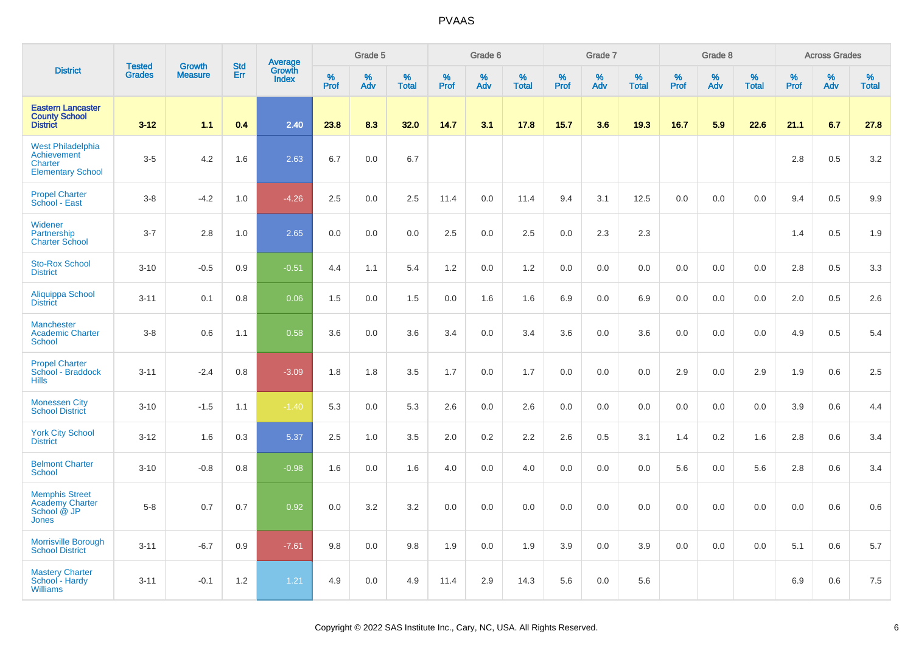|                                                                                | <b>Tested</b> | Growth         | <b>Std</b> |                                          |           | Grade 5  |                   |           | Grade 6  |                   |           | Grade 7  |                   |           | Grade 8  |                   |           | <b>Across Grades</b> |                   |
|--------------------------------------------------------------------------------|---------------|----------------|------------|------------------------------------------|-----------|----------|-------------------|-----------|----------|-------------------|-----------|----------|-------------------|-----------|----------|-------------------|-----------|----------------------|-------------------|
| <b>District</b>                                                                | <b>Grades</b> | <b>Measure</b> | Err        | <b>Average</b><br>Growth<br><b>Index</b> | %<br>Prof | %<br>Adv | %<br><b>Total</b> | %<br>Prof | %<br>Adv | %<br><b>Total</b> | %<br>Prof | %<br>Adv | %<br><b>Total</b> | %<br>Prof | %<br>Adv | %<br><b>Total</b> | %<br>Prof | %<br>Adv             | %<br><b>Total</b> |
| <b>Eastern Lancaster</b><br><b>County School</b><br><b>District</b>            | $3 - 12$      | 1.1            | 0.4        | 2.40                                     | 23.8      | 8.3      | 32.0              | 14.7      | 3.1      | 17.8              | 15.7      | 3.6      | 19.3              | 16.7      | 5.9      | 22.6              | 21.1      | 6.7                  | 27.8              |
| West Philadelphia<br>Achievement<br>Charter<br><b>Elementary School</b>        | $3-5$         | 4.2            | 1.6        | 2.63                                     | 6.7       | 0.0      | 6.7               |           |          |                   |           |          |                   |           |          |                   | 2.8       | 0.5                  | 3.2               |
| <b>Propel Charter</b><br>School - East                                         | $3-8$         | $-4.2$         | 1.0        | $-4.26$                                  | 2.5       | 0.0      | 2.5               | 11.4      | 0.0      | 11.4              | 9.4       | 3.1      | 12.5              | 0.0       | $0.0\,$  | 0.0               | 9.4       | 0.5                  | 9.9               |
| Widener<br>Partnership<br><b>Charter School</b>                                | $3 - 7$       | 2.8            | 1.0        | 2.65                                     | 0.0       | 0.0      | 0.0               | 2.5       | 0.0      | 2.5               | 0.0       | 2.3      | 2.3               |           |          |                   | 1.4       | 0.5                  | 1.9               |
| <b>Sto-Rox School</b><br><b>District</b>                                       | $3 - 10$      | $-0.5$         | 0.9        | $-0.51$                                  | 4.4       | 1.1      | 5.4               | 1.2       | 0.0      | 1.2               | 0.0       | 0.0      | 0.0               | 0.0       | 0.0      | 0.0               | 2.8       | 0.5                  | 3.3               |
| Aliquippa School<br><b>District</b>                                            | $3 - 11$      | 0.1            | 0.8        | 0.06                                     | 1.5       | 0.0      | 1.5               | 0.0       | 1.6      | 1.6               | 6.9       | 0.0      | 6.9               | 0.0       | 0.0      | 0.0               | 2.0       | 0.5                  | 2.6               |
| <b>Manchester</b><br><b>Academic Charter</b><br><b>School</b>                  | $3 - 8$       | 0.6            | 1.1        | 0.58                                     | 3.6       | 0.0      | 3.6               | 3.4       | 0.0      | 3.4               | 3.6       | 0.0      | 3.6               | 0.0       | 0.0      | 0.0               | 4.9       | 0.5                  | 5.4               |
| <b>Propel Charter</b><br>School - Braddock<br><b>Hills</b>                     | $3 - 11$      | $-2.4$         | 0.8        | $-3.09$                                  | 1.8       | 1.8      | 3.5               | 1.7       | 0.0      | 1.7               | 0.0       | 0.0      | 0.0               | 2.9       | 0.0      | 2.9               | 1.9       | 0.6                  | 2.5               |
| <b>Monessen City</b><br><b>School District</b>                                 | $3 - 10$      | $-1.5$         | 1.1        | $-1.40$                                  | 5.3       | 0.0      | 5.3               | 2.6       | 0.0      | 2.6               | 0.0       | 0.0      | 0.0               | 0.0       | 0.0      | 0.0               | 3.9       | 0.6                  | 4.4               |
| <b>York City School</b><br><b>District</b>                                     | $3 - 12$      | 1.6            | 0.3        | 5.37                                     | 2.5       | 1.0      | 3.5               | 2.0       | 0.2      | 2.2               | 2.6       | 0.5      | 3.1               | 1.4       | 0.2      | 1.6               | 2.8       | 0.6                  | 3.4               |
| <b>Belmont Charter</b><br><b>School</b>                                        | $3 - 10$      | $-0.8$         | 0.8        | $-0.98$                                  | 1.6       | 0.0      | 1.6               | $4.0\,$   | 0.0      | 4.0               | 0.0       | 0.0      | 0.0               | 5.6       | 0.0      | 5.6               | 2.8       | 0.6                  | 3.4               |
| <b>Memphis Street</b><br><b>Academy Charter</b><br>School @ JP<br><b>Jones</b> | $5 - 8$       | 0.7            | 0.7        | 0.92                                     | 0.0       | 3.2      | 3.2               | 0.0       | 0.0      | 0.0               | 0.0       | 0.0      | 0.0               | $0.0\,$   | $0.0\,$  | 0.0               | 0.0       | 0.6                  | 0.6               |
| Morrisville Borough<br><b>School District</b>                                  | $3 - 11$      | $-6.7$         | 0.9        | $-7.61$                                  | 9.8       | 0.0      | 9.8               | 1.9       | 0.0      | 1.9               | 3.9       | 0.0      | 3.9               | 0.0       | 0.0      | 0.0               | 5.1       | 0.6                  | 5.7               |
| <b>Mastery Charter</b><br>School - Hardy<br><b>Williams</b>                    | $3 - 11$      | $-0.1$         | 1.2        | 1.21                                     | 4.9       | 0.0      | 4.9               | 11.4      | 2.9      | 14.3              | 5.6       | 0.0      | 5.6               |           |          |                   | 6.9       | 0.6                  | 7.5               |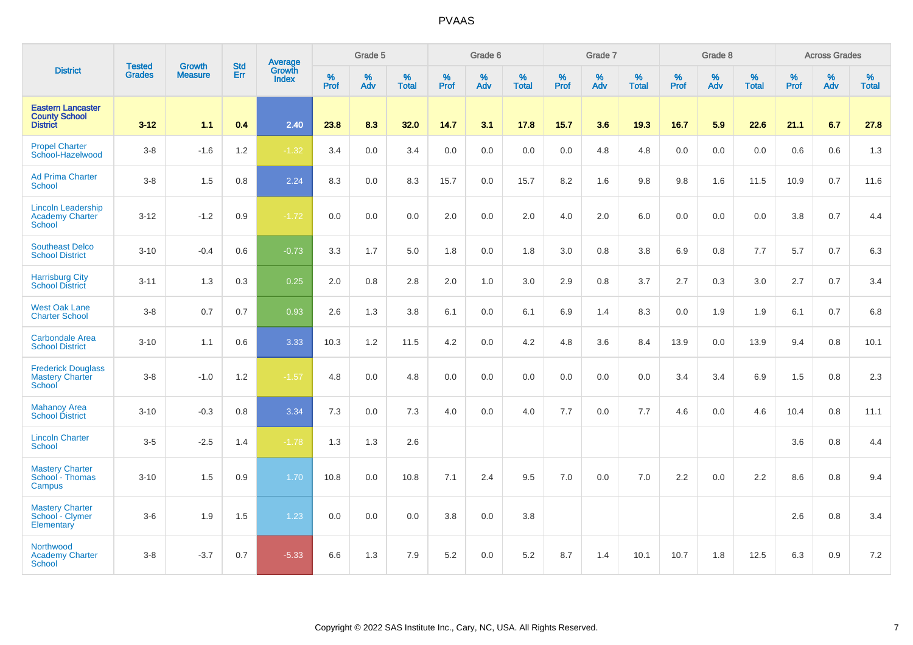|                                                                     |                                |                                 | <b>Std</b> | Average                |              | Grade 5  |                   |           | Grade 6  |                   |           | Grade 7  |                   |           | Grade 8  |                   |           | <b>Across Grades</b> |                   |
|---------------------------------------------------------------------|--------------------------------|---------------------------------|------------|------------------------|--------------|----------|-------------------|-----------|----------|-------------------|-----------|----------|-------------------|-----------|----------|-------------------|-----------|----------------------|-------------------|
| <b>District</b>                                                     | <b>Tested</b><br><b>Grades</b> | <b>Growth</b><br><b>Measure</b> | Err        | Growth<br><b>Index</b> | $\%$<br>Prof | %<br>Adv | %<br><b>Total</b> | %<br>Prof | %<br>Adv | %<br><b>Total</b> | %<br>Prof | %<br>Adv | %<br><b>Total</b> | %<br>Prof | %<br>Adv | %<br><b>Total</b> | %<br>Prof | %<br>Adv             | %<br><b>Total</b> |
| <b>Eastern Lancaster</b><br><b>County School</b><br><b>District</b> | $3 - 12$                       | 1.1                             | 0.4        | 2.40                   | 23.8         | 8.3      | 32.0              | 14.7      | 3.1      | 17.8              | 15.7      | 3.6      | 19.3              | 16.7      | 5.9      | 22.6              | 21.1      | 6.7                  | 27.8              |
| <b>Propel Charter</b><br>School-Hazelwood                           | $3-8$                          | $-1.6$                          | 1.2        | $-1.32$                | 3.4          | 0.0      | 3.4               | 0.0       | 0.0      | 0.0               | 0.0       | 4.8      | 4.8               | 0.0       | 0.0      | 0.0               | 0.6       | 0.6                  | 1.3               |
| <b>Ad Prima Charter</b><br>School                                   | $3-8$                          | 1.5                             | 0.8        | 2.24                   | 8.3          | 0.0      | 8.3               | 15.7      | 0.0      | 15.7              | 8.2       | 1.6      | 9.8               | 9.8       | 1.6      | 11.5              | 10.9      | 0.7                  | 11.6              |
| <b>Lincoln Leadership</b><br>Academy Charter<br><b>School</b>       | $3 - 12$                       | $-1.2$                          | 0.9        | $-1.72$                | 0.0          | 0.0      | 0.0               | 2.0       | $0.0\,$  | 2.0               | 4.0       | 2.0      | 6.0               | 0.0       | 0.0      | 0.0               | 3.8       | $0.7\,$              | 4.4               |
| <b>Southeast Delco</b><br><b>School District</b>                    | $3 - 10$                       | $-0.4$                          | 0.6        | $-0.73$                | 3.3          | 1.7      | 5.0               | 1.8       | 0.0      | 1.8               | 3.0       | 0.8      | 3.8               | 6.9       | 0.8      | 7.7               | 5.7       | 0.7                  | 6.3               |
| <b>Harrisburg City</b><br><b>School District</b>                    | $3 - 11$                       | 1.3                             | 0.3        | 0.25                   | 2.0          | $0.8\,$  | 2.8               | 2.0       | $1.0$    | 3.0               | 2.9       | 0.8      | 3.7               | 2.7       | 0.3      | 3.0               | 2.7       | 0.7                  | 3.4               |
| <b>West Oak Lane</b><br><b>Charter School</b>                       | $3-8$                          | 0.7                             | 0.7        | 0.93                   | 2.6          | 1.3      | 3.8               | 6.1       | 0.0      | 6.1               | 6.9       | 1.4      | 8.3               | 0.0       | 1.9      | 1.9               | 6.1       | 0.7                  | 6.8               |
| <b>Carbondale Area</b><br><b>School District</b>                    | $3 - 10$                       | 1.1                             | 0.6        | 3.33                   | 10.3         | 1.2      | 11.5              | 4.2       | 0.0      | 4.2               | 4.8       | 3.6      | 8.4               | 13.9      | 0.0      | 13.9              | 9.4       | 0.8                  | 10.1              |
| <b>Frederick Douglass</b><br><b>Mastery Charter</b><br>School       | $3-8$                          | $-1.0$                          | 1.2        | $-1.57$                | 4.8          | 0.0      | 4.8               | 0.0       | 0.0      | 0.0               | 0.0       | 0.0      | 0.0               | 3.4       | 3.4      | 6.9               | 1.5       | $0.8\,$              | 2.3               |
| <b>Mahanoy Area</b><br><b>School District</b>                       | $3 - 10$                       | $-0.3$                          | 0.8        | 3.34                   | 7.3          | 0.0      | 7.3               | 4.0       | 0.0      | 4.0               | 7.7       | 0.0      | 7.7               | 4.6       | 0.0      | 4.6               | 10.4      | 0.8                  | 11.1              |
| <b>Lincoln Charter</b><br><b>School</b>                             | $3-5$                          | $-2.5$                          | 1.4        | $-1.78$                | 1.3          | 1.3      | 2.6               |           |          |                   |           |          |                   |           |          |                   | 3.6       | 0.8                  | 4.4               |
| <b>Mastery Charter</b><br>School - Thomas<br>Campus                 | $3 - 10$                       | 1.5                             | 0.9        | 1.70                   | 10.8         | 0.0      | 10.8              | 7.1       | 2.4      | 9.5               | 7.0       | 0.0      | 7.0               | 2.2       | 0.0      | 2.2               | 8.6       | 0.8                  | 9.4               |
| <b>Mastery Charter</b><br>School - Clymer<br>Elementary             | $3-6$                          | 1.9                             | 1.5        | 1.23                   | 0.0          | 0.0      | 0.0               | 3.8       | 0.0      | 3.8               |           |          |                   |           |          |                   | 2.6       | 0.8                  | 3.4               |
| Northwood<br><b>Academy Charter</b><br><b>School</b>                | $3 - 8$                        | $-3.7$                          | 0.7        | $-5.33$                | 6.6          | 1.3      | 7.9               | 5.2       | 0.0      | 5.2               | 8.7       | 1.4      | 10.1              | 10.7      | 1.8      | 12.5              | 6.3       | 0.9                  | 7.2               |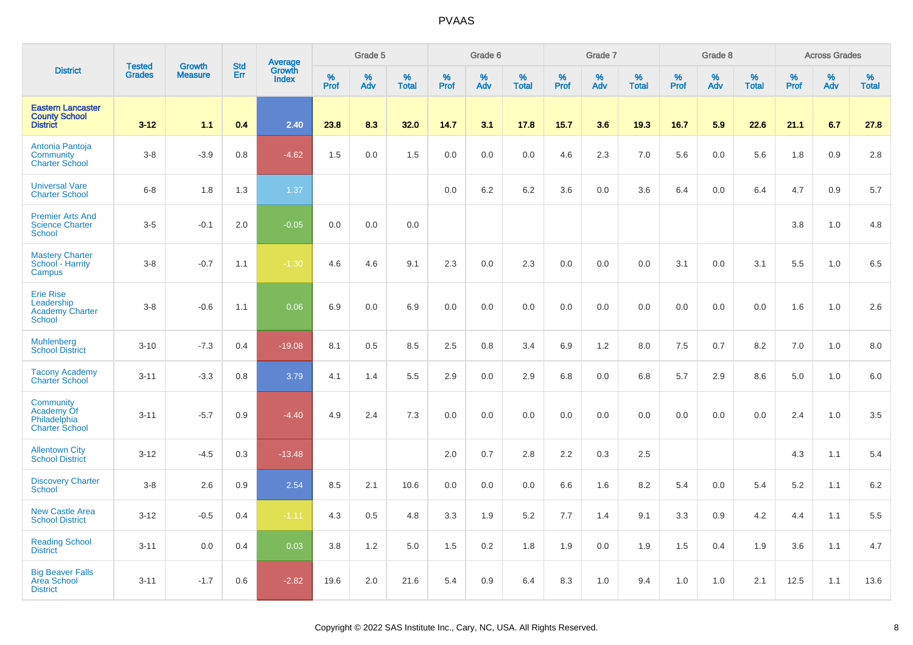|                                                                                | <b>Tested</b> | <b>Growth</b>  | <b>Std</b> | <b>Average</b><br>Growth |              | Grade 5  |                   |           | Grade 6  |                   |           | Grade 7  |                   |           | Grade 8  |                   |           | <b>Across Grades</b> |                   |
|--------------------------------------------------------------------------------|---------------|----------------|------------|--------------------------|--------------|----------|-------------------|-----------|----------|-------------------|-----------|----------|-------------------|-----------|----------|-------------------|-----------|----------------------|-------------------|
| <b>District</b>                                                                | <b>Grades</b> | <b>Measure</b> | Err        | <b>Index</b>             | $\%$<br>Prof | %<br>Adv | %<br><b>Total</b> | %<br>Prof | %<br>Adv | %<br><b>Total</b> | %<br>Prof | %<br>Adv | %<br><b>Total</b> | %<br>Prof | %<br>Adv | %<br><b>Total</b> | %<br>Prof | %<br>Adv             | %<br><b>Total</b> |
| <b>Eastern Lancaster</b><br><b>County School</b><br><b>District</b>            | $3 - 12$      | 1.1            | 0.4        | 2.40                     | 23.8         | 8.3      | 32.0              | 14.7      | 3.1      | 17.8              | 15.7      | 3.6      | 19.3              | 16.7      | 5.9      | 22.6              | 21.1      | 6.7                  | 27.8              |
| Antonia Pantoja<br>Community<br><b>Charter School</b>                          | $3 - 8$       | $-3.9$         | 0.8        | $-4.62$                  | 1.5          | 0.0      | 1.5               | 0.0       | 0.0      | 0.0               | 4.6       | 2.3      | 7.0               | 5.6       | 0.0      | 5.6               | 1.8       | 0.9                  | 2.8               |
| <b>Universal Vare</b><br><b>Charter School</b>                                 | $6 - 8$       | 1.8            | 1.3        | 1.37                     |              |          |                   | 0.0       | 6.2      | 6.2               | 3.6       | 0.0      | 3.6               | 6.4       | 0.0      | 6.4               | 4.7       | 0.9                  | 5.7               |
| <b>Premier Arts And</b><br><b>Science Charter</b><br><b>School</b>             | $3-5$         | $-0.1$         | 2.0        | $-0.05$                  | 0.0          | 0.0      | 0.0               |           |          |                   |           |          |                   |           |          |                   | 3.8       | 1.0                  | 4.8               |
| <b>Mastery Charter</b><br>School - Harrity<br>Campus                           | $3 - 8$       | $-0.7$         | 1.1        | $-1.30$                  | 4.6          | 4.6      | 9.1               | 2.3       | 0.0      | 2.3               | 0.0       | 0.0      | 0.0               | 3.1       | 0.0      | 3.1               | 5.5       | 1.0                  | 6.5               |
| <b>Erie Rise</b><br>Leadership<br><b>Academy Charter</b><br>School             | $3 - 8$       | $-0.6$         | 1.1        | 0.06                     | 6.9          | 0.0      | 6.9               | 0.0       | 0.0      | 0.0               | 0.0       | 0.0      | 0.0               | 0.0       | 0.0      | 0.0               | 1.6       | 1.0                  | 2.6               |
| <b>Muhlenberg</b><br><b>School District</b>                                    | $3 - 10$      | $-7.3$         | 0.4        | $-19.08$                 | 8.1          | 0.5      | 8.5               | 2.5       | 0.8      | 3.4               | 6.9       | 1.2      | 8.0               | 7.5       | 0.7      | 8.2               | 7.0       | 1.0                  | 8.0               |
| <b>Tacony Academy</b><br><b>Charter School</b>                                 | $3 - 11$      | $-3.3$         | 0.8        | 3.79                     | 4.1          | 1.4      | 5.5               | 2.9       | 0.0      | 2.9               | 6.8       | 0.0      | 6.8               | 5.7       | 2.9      | 8.6               | 5.0       | 1.0                  | 6.0               |
| <b>Community</b><br><b>Academy Of</b><br>Philadelphia<br><b>Charter School</b> | $3 - 11$      | $-5.7$         | 0.9        | $-4.40$                  | 4.9          | 2.4      | 7.3               | 0.0       | 0.0      | 0.0               | 0.0       | 0.0      | 0.0               | 0.0       | 0.0      | 0.0               | 2.4       | 1.0                  | 3.5               |
| <b>Allentown City</b><br><b>School District</b>                                | $3 - 12$      | $-4.5$         | 0.3        | $-13.48$                 |              |          |                   | 2.0       | 0.7      | 2.8               | 2.2       | 0.3      | 2.5               |           |          |                   | 4.3       | 1.1                  | 5.4               |
| <b>Discovery Charter</b><br>School                                             | $3 - 8$       | 2.6            | 0.9        | 2.54                     | 8.5          | 2.1      | 10.6              | $0.0\,$   | 0.0      | 0.0               | 6.6       | 1.6      | 8.2               | 5.4       | 0.0      | 5.4               | 5.2       | 1.1                  | 6.2               |
| <b>New Castle Area</b><br><b>School District</b>                               | $3 - 12$      | $-0.5$         | 0.4        | $-1.11$                  | 4.3          | 0.5      | 4.8               | 3.3       | 1.9      | 5.2               | 7.7       | 1.4      | 9.1               | 3.3       | 0.9      | 4.2               | 4.4       | 1.1                  | 5.5               |
| <b>Reading School</b><br><b>District</b>                                       | $3 - 11$      | 0.0            | 0.4        | 0.03                     | 3.8          | 1.2      | 5.0               | 1.5       | 0.2      | 1.8               | 1.9       | 0.0      | 1.9               | 1.5       | 0.4      | 1.9               | 3.6       | 1.1                  | 4.7               |
| <b>Big Beaver Falls</b><br>Area School<br><b>District</b>                      | $3 - 11$      | $-1.7$         | 0.6        | $-2.82$                  | 19.6         | 2.0      | 21.6              | 5.4       | 0.9      | 6.4               | 8.3       | 1.0      | 9.4               | 1.0       | 1.0      | 2.1               | 12.5      | 1.1                  | 13.6              |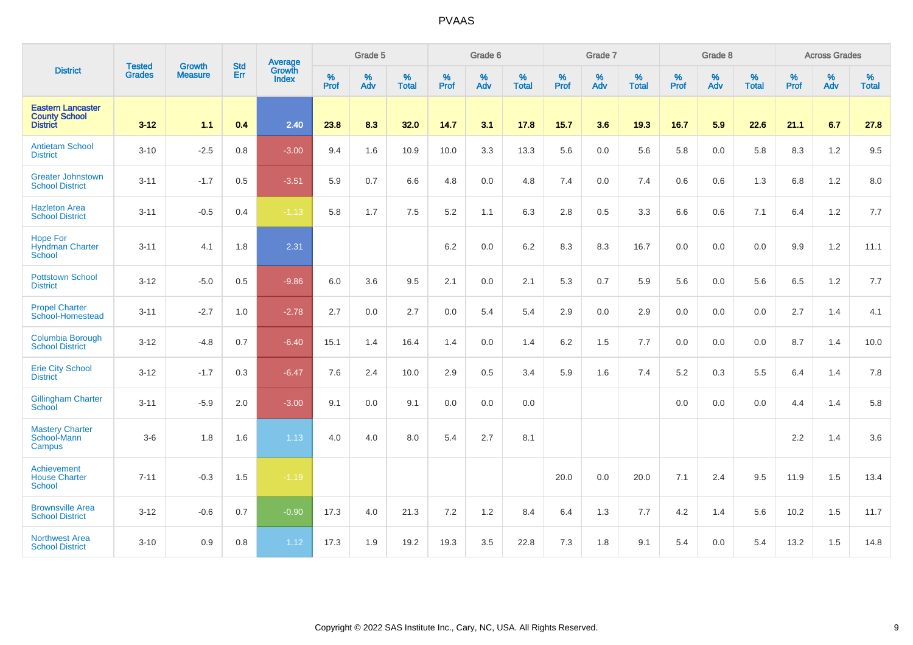|                                                                     | <b>Tested</b> | <b>Growth</b>  | <b>Std</b> | Average                |              | Grade 5  |                   |              | Grade 6  |                   |              | Grade 7  |                   |              | Grade 8  |                   |              | <b>Across Grades</b> |                      |
|---------------------------------------------------------------------|---------------|----------------|------------|------------------------|--------------|----------|-------------------|--------------|----------|-------------------|--------------|----------|-------------------|--------------|----------|-------------------|--------------|----------------------|----------------------|
| <b>District</b>                                                     | <b>Grades</b> | <b>Measure</b> | <b>Err</b> | Growth<br><b>Index</b> | $\%$<br>Prof | %<br>Adv | %<br><b>Total</b> | $\%$<br>Prof | %<br>Adv | %<br><b>Total</b> | $\%$<br>Prof | %<br>Adv | %<br><b>Total</b> | $\%$<br>Prof | %<br>Adv | %<br><b>Total</b> | $\%$<br>Prof | %<br>Adv             | $\%$<br><b>Total</b> |
| <b>Eastern Lancaster</b><br><b>County School</b><br><b>District</b> | $3 - 12$      | 1.1            | 0.4        | 2.40                   | 23.8         | 8.3      | 32.0              | 14.7         | 3.1      | 17.8              | 15.7         | 3.6      | 19.3              | 16.7         | 5.9      | 22.6              | 21.1         | 6.7                  | 27.8                 |
| <b>Antietam School</b><br><b>District</b>                           | $3 - 10$      | $-2.5$         | 0.8        | $-3.00$                | 9.4          | 1.6      | 10.9              | 10.0         | 3.3      | 13.3              | 5.6          | 0.0      | 5.6               | 5.8          | 0.0      | 5.8               | 8.3          | 1.2                  | 9.5                  |
| <b>Greater Johnstown</b><br><b>School District</b>                  | $3 - 11$      | $-1.7$         | 0.5        | $-3.51$                | 5.9          | 0.7      | 6.6               | 4.8          | 0.0      | 4.8               | 7.4          | 0.0      | 7.4               | 0.6          | 0.6      | 1.3               | 6.8          | 1.2                  | 8.0                  |
| <b>Hazleton Area</b><br><b>School District</b>                      | $3 - 11$      | $-0.5$         | 0.4        | $-1.13$                | 5.8          | 1.7      | 7.5               | 5.2          | 1.1      | 6.3               | 2.8          | 0.5      | 3.3               | 6.6          | 0.6      | 7.1               | 6.4          | 1.2                  | 7.7                  |
| <b>Hope For</b><br><b>Hyndman Charter</b><br>School                 | $3 - 11$      | 4.1            | 1.8        | 2.31                   |              |          |                   | 6.2          | 0.0      | 6.2               | 8.3          | 8.3      | 16.7              | 0.0          | 0.0      | 0.0               | 9.9          | 1.2                  | 11.1                 |
| <b>Pottstown School</b><br><b>District</b>                          | $3 - 12$      | $-5.0$         | 0.5        | $-9.86$                | 6.0          | 3.6      | 9.5               | 2.1          | 0.0      | 2.1               | 5.3          | 0.7      | 5.9               | 5.6          | 0.0      | 5.6               | 6.5          | 1.2                  | 7.7                  |
| <b>Propel Charter</b><br>School-Homestead                           | $3 - 11$      | $-2.7$         | 1.0        | $-2.78$                | 2.7          | 0.0      | 2.7               | 0.0          | 5.4      | 5.4               | 2.9          | 0.0      | 2.9               | 0.0          | 0.0      | 0.0               | 2.7          | 1.4                  | 4.1                  |
| Columbia Borough<br><b>School District</b>                          | $3 - 12$      | $-4.8$         | 0.7        | $-6.40$                | 15.1         | 1.4      | 16.4              | 1.4          | 0.0      | 1.4               | 6.2          | 1.5      | 7.7               | 0.0          | 0.0      | 0.0               | 8.7          | 1.4                  | 10.0                 |
| <b>Erie City School</b><br><b>District</b>                          | $3 - 12$      | $-1.7$         | 0.3        | $-6.47$                | 7.6          | 2.4      | 10.0              | 2.9          | 0.5      | 3.4               | 5.9          | 1.6      | 7.4               | $5.2\,$      | $0.3\,$  | 5.5               | 6.4          | 1.4                  | 7.8                  |
| <b>Gillingham Charter</b><br>School                                 | $3 - 11$      | $-5.9$         | 2.0        | $-3.00$                | 9.1          | 0.0      | 9.1               | 0.0          | 0.0      | 0.0               |              |          |                   | 0.0          | 0.0      | 0.0               | 4.4          | 1.4                  | 5.8                  |
| <b>Mastery Charter</b><br>School-Mann<br>Campus                     | $3-6$         | 1.8            | 1.6        | 1.13                   | 4.0          | 4.0      | 8.0               | 5.4          | 2.7      | 8.1               |              |          |                   |              |          |                   | 2.2          | 1.4                  | 3.6                  |
| Achievement<br><b>House Charter</b><br><b>School</b>                | $7 - 11$      | $-0.3$         | 1.5        | $-1.19$                |              |          |                   |              |          |                   | 20.0         | 0.0      | 20.0              | 7.1          | 2.4      | 9.5               | 11.9         | 1.5                  | 13.4                 |
| <b>Brownsville Area</b><br><b>School District</b>                   | $3 - 12$      | $-0.6$         | 0.7        | $-0.90$                | 17.3         | 4.0      | 21.3              | 7.2          | 1.2      | 8.4               | 6.4          | 1.3      | 7.7               | 4.2          | 1.4      | 5.6               | 10.2         | 1.5                  | 11.7                 |
| <b>Northwest Area</b><br><b>School District</b>                     | $3 - 10$      | 0.9            | 0.8        | 1.12                   | 17.3         | 1.9      | 19.2              | 19.3         | 3.5      | 22.8              | 7.3          | 1.8      | 9.1               | 5.4          | 0.0      | 5.4               | 13.2         | 1.5                  | 14.8                 |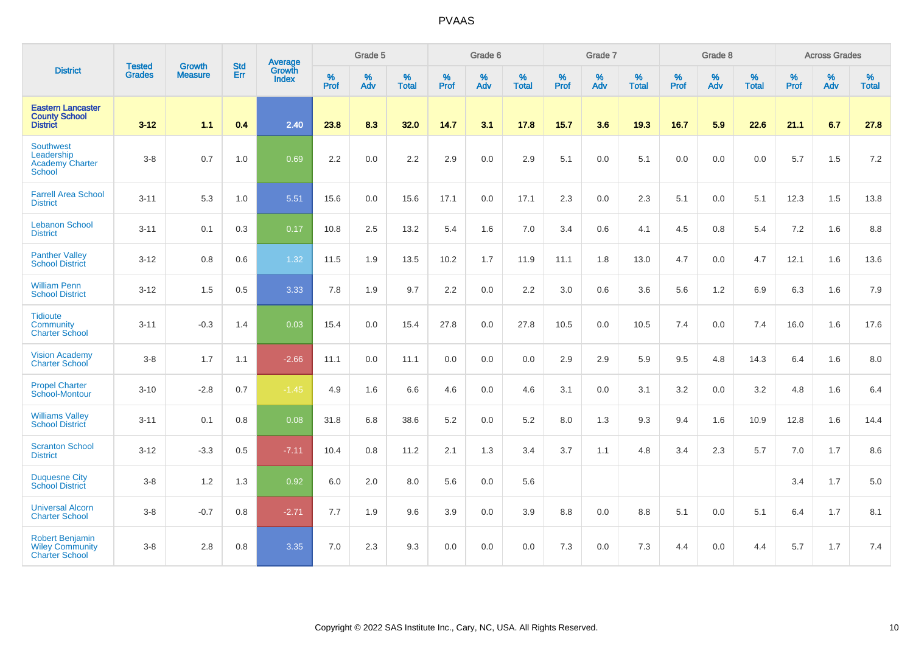| <b>District</b>                                                           | <b>Tested</b> | <b>Growth</b>  | <b>Std</b> | Average                       |                     | Grade 5  |                   |           | Grade 6  |                   |                  | Grade 7  |                   |                  | Grade 8  |                   |                     | <b>Across Grades</b> |                   |
|---------------------------------------------------------------------------|---------------|----------------|------------|-------------------------------|---------------------|----------|-------------------|-----------|----------|-------------------|------------------|----------|-------------------|------------------|----------|-------------------|---------------------|----------------------|-------------------|
|                                                                           | <b>Grades</b> | <b>Measure</b> | Err        | <b>Growth</b><br><b>Index</b> | $\%$<br><b>Prof</b> | %<br>Adv | %<br><b>Total</b> | %<br>Prof | %<br>Adv | %<br><b>Total</b> | %<br><b>Prof</b> | %<br>Adv | %<br><b>Total</b> | %<br><b>Prof</b> | %<br>Adv | %<br><b>Total</b> | $\%$<br><b>Prof</b> | %<br>Adv             | %<br><b>Total</b> |
| <b>Eastern Lancaster</b><br><b>County School</b><br><b>District</b>       | $3 - 12$      | 1.1            | 0.4        | 2.40                          | 23.8                | 8.3      | 32.0              | 14.7      | 3.1      | 17.8              | 15.7             | 3.6      | 19.3              | 16.7             | 5.9      | 22.6              | 21.1                | 6.7                  | 27.8              |
| <b>Southwest</b><br>Leadership<br>Academy Charter<br><b>School</b>        | $3 - 8$       | 0.7            | 1.0        | 0.69                          | 2.2                 | 0.0      | 2.2               | 2.9       | 0.0      | 2.9               | 5.1              | 0.0      | 5.1               | 0.0              | 0.0      | 0.0               | 5.7                 | 1.5                  | 7.2               |
| <b>Farrell Area School</b><br><b>District</b>                             | $3 - 11$      | 5.3            | 1.0        | 5.51                          | 15.6                | 0.0      | 15.6              | 17.1      | 0.0      | 17.1              | 2.3              | 0.0      | 2.3               | 5.1              | 0.0      | 5.1               | 12.3                | 1.5                  | 13.8              |
| <b>Lebanon School</b><br><b>District</b>                                  | $3 - 11$      | 0.1            | 0.3        | 0.17                          | 10.8                | 2.5      | 13.2              | 5.4       | 1.6      | 7.0               | 3.4              | 0.6      | 4.1               | 4.5              | 0.8      | 5.4               | 7.2                 | 1.6                  | 8.8               |
| <b>Panther Valley</b><br><b>School District</b>                           | $3 - 12$      | 0.8            | 0.6        | 1.32                          | 11.5                | 1.9      | 13.5              | 10.2      | 1.7      | 11.9              | 11.1             | 1.8      | 13.0              | 4.7              | $0.0\,$  | 4.7               | 12.1                | 1.6                  | 13.6              |
| <b>William Penn</b><br><b>School District</b>                             | $3 - 12$      | 1.5            | 0.5        | 3.33                          | 7.8                 | 1.9      | 9.7               | 2.2       | 0.0      | 2.2               | 3.0              | 0.6      | 3.6               | 5.6              | 1.2      | 6.9               | 6.3                 | 1.6                  | 7.9               |
| <b>Tidioute</b><br>Community<br><b>Charter School</b>                     | $3 - 11$      | $-0.3$         | 1.4        | 0.03                          | 15.4                | 0.0      | 15.4              | 27.8      | 0.0      | 27.8              | 10.5             | 0.0      | 10.5              | 7.4              | 0.0      | 7.4               | 16.0                | 1.6                  | 17.6              |
| <b>Vision Academy</b><br><b>Charter School</b>                            | $3-8$         | 1.7            | 1.1        | $-2.66$                       | 11.1                | 0.0      | 11.1              | 0.0       | 0.0      | 0.0               | 2.9              | 2.9      | 5.9               | 9.5              | 4.8      | 14.3              | 6.4                 | 1.6                  | 8.0               |
| <b>Propel Charter</b><br>School-Montour                                   | $3 - 10$      | $-2.8$         | 0.7        | $-1.45$                       | 4.9                 | 1.6      | 6.6               | 4.6       | 0.0      | 4.6               | 3.1              | 0.0      | 3.1               | 3.2              | 0.0      | 3.2               | 4.8                 | 1.6                  | 6.4               |
| <b>Williams Valley</b><br><b>School District</b>                          | $3 - 11$      | 0.1            | 0.8        | 0.08                          | 31.8                | 6.8      | 38.6              | 5.2       | 0.0      | 5.2               | 8.0              | 1.3      | 9.3               | 9.4              | 1.6      | 10.9              | 12.8                | 1.6                  | 14.4              |
| <b>Scranton School</b><br><b>District</b>                                 | $3 - 12$      | $-3.3$         | 0.5        | $-7.11$                       | 10.4                | 0.8      | 11.2              | 2.1       | 1.3      | 3.4               | 3.7              | 1.1      | 4.8               | 3.4              | 2.3      | 5.7               | 7.0                 | 1.7                  | 8.6               |
| <b>Duquesne City</b><br><b>School District</b>                            | $3-8$         | 1.2            | 1.3        | 0.92                          | 6.0                 | 2.0      | 8.0               | 5.6       | 0.0      | 5.6               |                  |          |                   |                  |          |                   | 3.4                 | 1.7                  | 5.0               |
| <b>Universal Alcorn</b><br><b>Charter School</b>                          | $3 - 8$       | $-0.7$         | 0.8        | $-2.71$                       | 7.7                 | 1.9      | 9.6               | 3.9       | 0.0      | 3.9               | 8.8              | 0.0      | 8.8               | 5.1              | 0.0      | 5.1               | 6.4                 | 1.7                  | 8.1               |
| <b>Robert Benjamin</b><br><b>Wiley Community</b><br><b>Charter School</b> | $3-8$         | 2.8            | 0.8        | 3.35                          | 7.0                 | 2.3      | 9.3               | 0.0       | 0.0      | 0.0               | 7.3              | 0.0      | 7.3               | 4.4              | 0.0      | 4.4               | 5.7                 | 1.7                  | 7.4               |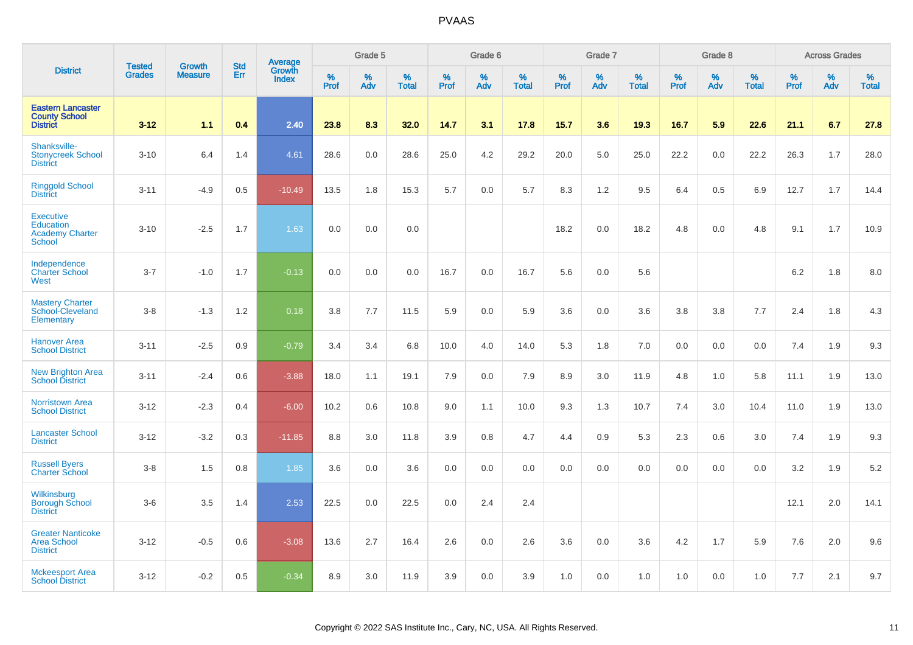|                                                                                 |                                | <b>Growth</b>  | <b>Std</b> |                                          |                     | Grade 5     |                   |                     | Grade 6  |                   |                     | Grade 7  |                   |                     | Grade 8  |                   |                     | <b>Across Grades</b> |                   |
|---------------------------------------------------------------------------------|--------------------------------|----------------|------------|------------------------------------------|---------------------|-------------|-------------------|---------------------|----------|-------------------|---------------------|----------|-------------------|---------------------|----------|-------------------|---------------------|----------------------|-------------------|
| <b>District</b>                                                                 | <b>Tested</b><br><b>Grades</b> | <b>Measure</b> | Err        | <b>Average</b><br>Growth<br><b>Index</b> | $\%$<br><b>Prof</b> | $\%$<br>Adv | %<br><b>Total</b> | $\%$<br><b>Prof</b> | %<br>Adv | %<br><b>Total</b> | $\%$<br><b>Prof</b> | %<br>Adv | %<br><b>Total</b> | $\%$<br><b>Prof</b> | %<br>Adv | %<br><b>Total</b> | $\%$<br><b>Prof</b> | $\%$<br>Adv          | %<br><b>Total</b> |
| <b>Eastern Lancaster</b><br><b>County School</b><br><b>District</b>             | $3 - 12$                       | 11             | 0.4        | 2.40                                     | 23.8                | 8.3         | 32.0              | 14.7                | 3.1      | 17.8              | 15.7                | 3.6      | 19.3              | 16.7                | 5.9      | 22.6              | 21.1                | 6.7                  | 27.8              |
| Shanksville-<br><b>Stonycreek School</b><br><b>District</b>                     | $3 - 10$                       | 6.4            | 1.4        | 4.61                                     | 28.6                | 0.0         | 28.6              | 25.0                | 4.2      | 29.2              | 20.0                | 5.0      | 25.0              | 22.2                | 0.0      | 22.2              | 26.3                | 1.7                  | 28.0              |
| <b>Ringgold School</b><br><b>District</b>                                       | $3 - 11$                       | $-4.9$         | 0.5        | $-10.49$                                 | 13.5                | 1.8         | 15.3              | 5.7                 | 0.0      | 5.7               | 8.3                 | 1.2      | 9.5               | 6.4                 | 0.5      | 6.9               | 12.7                | 1.7                  | 14.4              |
| <b>Executive</b><br><b>Education</b><br><b>Academy Charter</b><br><b>School</b> | $3 - 10$                       | $-2.5$         | 1.7        | 1.63                                     | 0.0                 | 0.0         | 0.0               |                     |          |                   | 18.2                | 0.0      | 18.2              | 4.8                 | 0.0      | 4.8               | 9.1                 | 1.7                  | 10.9              |
| Independence<br><b>Charter School</b><br>West                                   | $3 - 7$                        | $-1.0$         | 1.7        | $-0.13$                                  | 0.0                 | 0.0         | 0.0               | 16.7                | 0.0      | 16.7              | 5.6                 | $0.0\,$  | 5.6               |                     |          |                   | 6.2                 | 1.8                  | 8.0               |
| <b>Mastery Charter</b><br>School-Cleveland<br>Elementary                        | $3 - 8$                        | $-1.3$         | 1.2        | 0.18                                     | 3.8                 | 7.7         | 11.5              | 5.9                 | 0.0      | 5.9               | 3.6                 | 0.0      | 3.6               | 3.8                 | 3.8      | 7.7               | 2.4                 | 1.8                  | 4.3               |
| <b>Hanover Area</b><br><b>School District</b>                                   | $3 - 11$                       | $-2.5$         | 0.9        | $-0.79$                                  | 3.4                 | 3.4         | 6.8               | 10.0                | 4.0      | 14.0              | 5.3                 | 1.8      | 7.0               | 0.0                 | 0.0      | 0.0               | 7.4                 | 1.9                  | 9.3               |
| <b>New Brighton Area</b><br><b>School District</b>                              | $3 - 11$                       | $-2.4$         | 0.6        | $-3.88$                                  | 18.0                | 1.1         | 19.1              | 7.9                 | 0.0      | 7.9               | 8.9                 | 3.0      | 11.9              | 4.8                 | 1.0      | 5.8               | 11.1                | 1.9                  | 13.0              |
| <b>Norristown Area</b><br><b>School District</b>                                | $3 - 12$                       | $-2.3$         | 0.4        | $-6.00$                                  | 10.2                | 0.6         | 10.8              | 9.0                 | 1.1      | 10.0              | 9.3                 | 1.3      | 10.7              | 7.4                 | 3.0      | 10.4              | 11.0                | 1.9                  | 13.0              |
| <b>Lancaster School</b><br><b>District</b>                                      | $3 - 12$                       | $-3.2$         | 0.3        | $-11.85$                                 | 8.8                 | 3.0         | 11.8              | 3.9                 | 0.8      | 4.7               | 4.4                 | 0.9      | 5.3               | 2.3                 | 0.6      | 3.0               | 7.4                 | 1.9                  | 9.3               |
| <b>Russell Byers</b><br><b>Charter School</b>                                   | $3 - 8$                        | 1.5            | 0.8        | 1.85                                     | 3.6                 | 0.0         | 3.6               | 0.0                 | 0.0      | 0.0               | 0.0                 | 0.0      | 0.0               | 0.0                 | 0.0      | 0.0               | 3.2                 | 1.9                  | 5.2               |
| Wilkinsburg<br><b>Borough School</b><br><b>District</b>                         | $3-6$                          | 3.5            | 1.4        | 2.53                                     | 22.5                | 0.0         | 22.5              | 0.0                 | 2.4      | 2.4               |                     |          |                   |                     |          |                   | 12.1                | 2.0                  | 14.1              |
| <b>Greater Nanticoke</b><br><b>Area School</b><br><b>District</b>               | $3 - 12$                       | $-0.5$         | 0.6        | $-3.08$                                  | 13.6                | 2.7         | 16.4              | 2.6                 | 0.0      | 2.6               | 3.6                 | 0.0      | 3.6               | 4.2                 | 1.7      | 5.9               | 7.6                 | 2.0                  | 9.6               |
| <b>Mckeesport Area</b><br><b>School District</b>                                | $3 - 12$                       | $-0.2$         | 0.5        | $-0.34$                                  | 8.9                 | 3.0         | 11.9              | 3.9                 | 0.0      | 3.9               | 1.0                 | 0.0      | 1.0               | 1.0                 | 0.0      | 1.0               | 7.7                 | 2.1                  | 9.7               |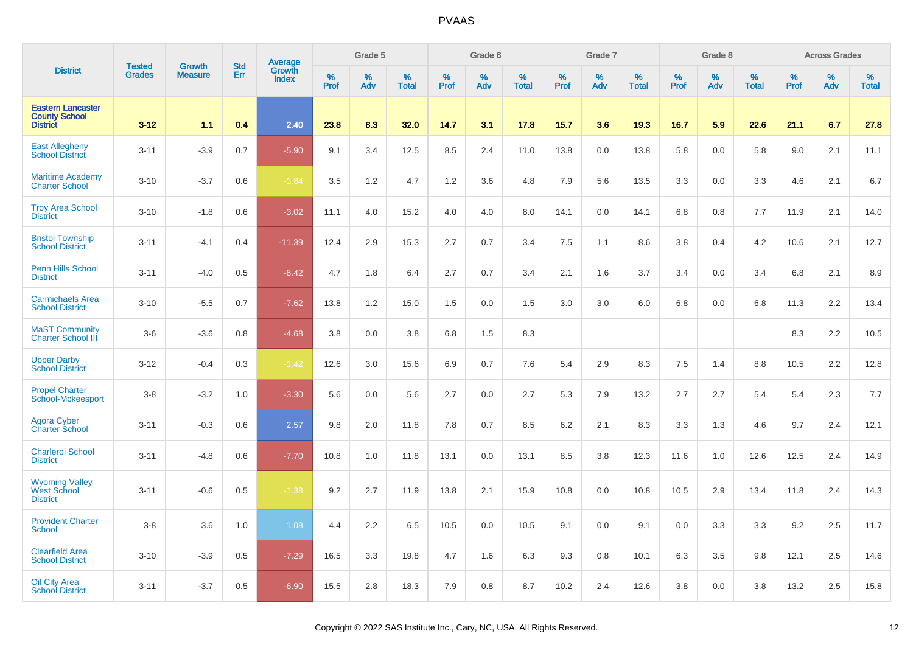|                                                                     | <b>Tested</b> | <b>Growth</b>  | <b>Std</b> | Average                       |                     | Grade 5  |                   |                  | Grade 6  |                   |              | Grade 7  |                   |              | Grade 8  |                   |              | <b>Across Grades</b> |                   |
|---------------------------------------------------------------------|---------------|----------------|------------|-------------------------------|---------------------|----------|-------------------|------------------|----------|-------------------|--------------|----------|-------------------|--------------|----------|-------------------|--------------|----------------------|-------------------|
| <b>District</b>                                                     | <b>Grades</b> | <b>Measure</b> | Err        | <b>Growth</b><br><b>Index</b> | $\%$<br><b>Prof</b> | %<br>Adv | %<br><b>Total</b> | %<br><b>Prof</b> | %<br>Adv | %<br><b>Total</b> | $\%$<br>Prof | %<br>Adv | %<br><b>Total</b> | $\%$<br>Prof | %<br>Adv | %<br><b>Total</b> | $\%$<br>Prof | %<br>Adv             | %<br><b>Total</b> |
| <b>Eastern Lancaster</b><br><b>County School</b><br><b>District</b> | $3 - 12$      | 11             | 0.4        | 2.40                          | 23.8                | 8.3      | 32.0              | 14.7             | 3.1      | 17.8              | 15.7         | 3.6      | 19.3              | 16.7         | 5.9      | 22.6              | 21.1         | 6.7                  | 27.8              |
| <b>East Allegheny</b><br><b>School District</b>                     | $3 - 11$      | $-3.9$         | 0.7        | $-5.90$                       | 9.1                 | 3.4      | 12.5              | 8.5              | 2.4      | 11.0              | 13.8         | 0.0      | 13.8              | 5.8          | 0.0      | 5.8               | 9.0          | 2.1                  | 11.1              |
| <b>Maritime Academy</b><br><b>Charter School</b>                    | $3 - 10$      | $-3.7$         | 0.6        | $-1.84$                       | 3.5                 | 1.2      | 4.7               | 1.2              | 3.6      | 4.8               | 7.9          | 5.6      | 13.5              | 3.3          | 0.0      | 3.3               | 4.6          | 2.1                  | 6.7               |
| <b>Troy Area School</b><br><b>District</b>                          | $3 - 10$      | $-1.8$         | 0.6        | $-3.02$                       | 11.1                | 4.0      | 15.2              | 4.0              | 4.0      | 8.0               | 14.1         | 0.0      | 14.1              | 6.8          | 0.8      | 7.7               | 11.9         | 2.1                  | 14.0              |
| <b>Bristol Township</b><br><b>School District</b>                   | $3 - 11$      | $-4.1$         | 0.4        | $-11.39$                      | 12.4                | 2.9      | 15.3              | 2.7              | 0.7      | 3.4               | 7.5          | 1.1      | 8.6               | 3.8          | 0.4      | 4.2               | 10.6         | 2.1                  | 12.7              |
| <b>Penn Hills School</b><br><b>District</b>                         | $3 - 11$      | $-4.0$         | 0.5        | $-8.42$                       | 4.7                 | 1.8      | 6.4               | 2.7              | 0.7      | 3.4               | 2.1          | 1.6      | 3.7               | 3.4          | 0.0      | 3.4               | 6.8          | 2.1                  | 8.9               |
| <b>Carmichaels Area</b><br><b>School District</b>                   | $3 - 10$      | $-5.5$         | 0.7        | $-7.62$                       | 13.8                | 1.2      | 15.0              | 1.5              | 0.0      | 1.5               | 3.0          | 3.0      | 6.0               | 6.8          | 0.0      | 6.8               | 11.3         | 2.2                  | 13.4              |
| <b>MaST Community</b><br><b>Charter School III</b>                  | $3-6$         | $-3.6$         | 0.8        | $-4.68$                       | 3.8                 | 0.0      | 3.8               | 6.8              | 1.5      | 8.3               |              |          |                   |              |          |                   | 8.3          | 2.2                  | 10.5              |
| <b>Upper Darby</b><br><b>School District</b>                        | $3 - 12$      | $-0.4$         | 0.3        | $-1.42$                       | 12.6                | 3.0      | 15.6              | 6.9              | 0.7      | 7.6               | 5.4          | 2.9      | 8.3               | 7.5          | 1.4      | 8.8               | 10.5         | 2.2                  | 12.8              |
| <b>Propel Charter</b><br>School-Mckeesport                          | $3 - 8$       | $-3.2$         | 1.0        | $-3.30$                       | 5.6                 | 0.0      | 5.6               | 2.7              | 0.0      | 2.7               | 5.3          | 7.9      | 13.2              | 2.7          | 2.7      | 5.4               | 5.4          | 2.3                  | 7.7               |
| <b>Agora Cyber</b><br><b>Charter School</b>                         | $3 - 11$      | $-0.3$         | 0.6        | 2.57                          | 9.8                 | 2.0      | 11.8              | 7.8              | 0.7      | 8.5               | 6.2          | 2.1      | 8.3               | 3.3          | 1.3      | 4.6               | 9.7          | 2.4                  | 12.1              |
| <b>Charleroi School</b><br><b>District</b>                          | $3 - 11$      | $-4.8$         | 0.6        | $-7.70$                       | 10.8                | 1.0      | 11.8              | 13.1             | 0.0      | 13.1              | 8.5          | 3.8      | 12.3              | 11.6         | 1.0      | 12.6              | 12.5         | 2.4                  | 14.9              |
| <b>Wyoming Valley</b><br><b>West School</b><br><b>District</b>      | $3 - 11$      | $-0.6$         | 0.5        | $-1.38$                       | 9.2                 | 2.7      | 11.9              | 13.8             | 2.1      | 15.9              | 10.8         | 0.0      | 10.8              | 10.5         | 2.9      | 13.4              | 11.8         | 2.4                  | 14.3              |
| <b>Provident Charter</b><br><b>School</b>                           | $3 - 8$       | 3.6            | 1.0        | 1.08                          | 4.4                 | 2.2      | 6.5               | 10.5             | 0.0      | 10.5              | 9.1          | 0.0      | 9.1               | 0.0          | 3.3      | 3.3               | 9.2          | 2.5                  | 11.7              |
| <b>Clearfield Area</b><br><b>School District</b>                    | $3 - 10$      | $-3.9$         | 0.5        | $-7.29$                       | 16.5                | 3.3      | 19.8              | 4.7              | 1.6      | 6.3               | 9.3          | 0.8      | 10.1              | 6.3          | 3.5      | 9.8               | 12.1         | 2.5                  | 14.6              |
| Oil City Area<br><b>School District</b>                             | $3 - 11$      | $-3.7$         | 0.5        | $-6.90$                       | 15.5                | 2.8      | 18.3              | 7.9              | 0.8      | 8.7               | 10.2         | 2.4      | 12.6              | 3.8          | 0.0      | 3.8               | 13.2         | 2.5                  | 15.8              |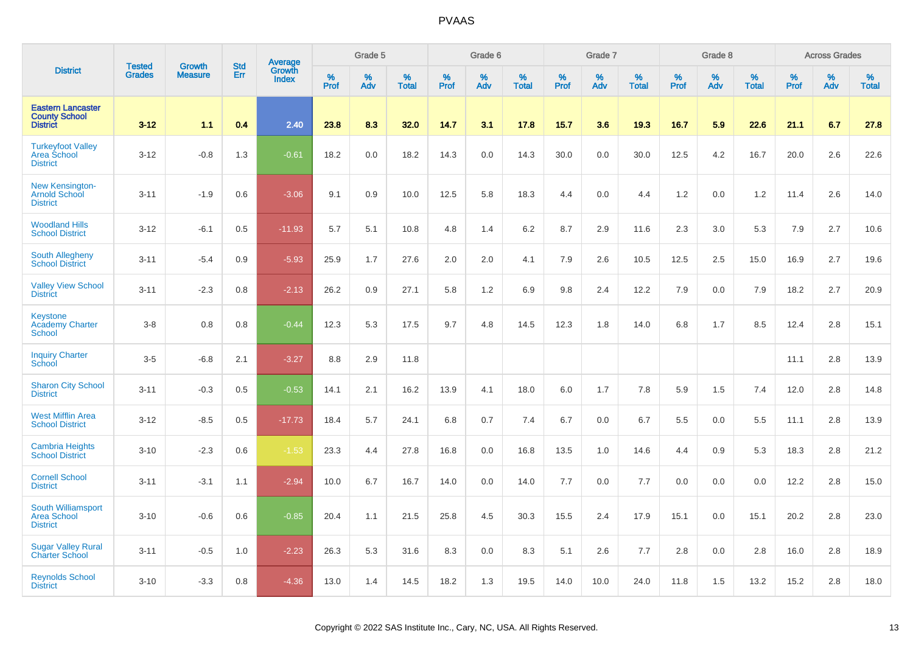|                                                                     | <b>Tested</b> | <b>Growth</b>  | <b>Std</b> |                                          |              | Grade 5  |                   |           | Grade 6  |                   |           | Grade 7  |                   |           | Grade 8  |                   |           | <b>Across Grades</b> |                   |
|---------------------------------------------------------------------|---------------|----------------|------------|------------------------------------------|--------------|----------|-------------------|-----------|----------|-------------------|-----------|----------|-------------------|-----------|----------|-------------------|-----------|----------------------|-------------------|
| <b>District</b>                                                     | <b>Grades</b> | <b>Measure</b> | Err        | <b>Average</b><br>Growth<br><b>Index</b> | $\%$<br>Prof | %<br>Adv | %<br><b>Total</b> | %<br>Prof | %<br>Adv | %<br><b>Total</b> | %<br>Prof | %<br>Adv | %<br><b>Total</b> | %<br>Prof | %<br>Adv | %<br><b>Total</b> | %<br>Prof | %<br>Adv             | %<br><b>Total</b> |
| <b>Eastern Lancaster</b><br><b>County School</b><br><b>District</b> | $3 - 12$      | 1.1            | 0.4        | 2.40                                     | 23.8         | 8.3      | 32.0              | 14.7      | 3.1      | 17.8              | 15.7      | 3.6      | 19.3              | 16.7      | 5.9      | 22.6              | 21.1      | 6.7                  | 27.8              |
| <b>Turkeyfoot Valley</b><br>Area School<br><b>District</b>          | $3 - 12$      | $-0.8$         | 1.3        | $-0.61$                                  | 18.2         | 0.0      | 18.2              | 14.3      | 0.0      | 14.3              | 30.0      | 0.0      | 30.0              | 12.5      | 4.2      | 16.7              | 20.0      | 2.6                  | 22.6              |
| New Kensington-<br><b>Arnold School</b><br><b>District</b>          | $3 - 11$      | $-1.9$         | 0.6        | $-3.06$                                  | 9.1          | 0.9      | 10.0              | 12.5      | 5.8      | 18.3              | 4.4       | 0.0      | 4.4               | 1.2       | 0.0      | 1.2               | 11.4      | 2.6                  | 14.0              |
| <b>Woodland Hills</b><br><b>School District</b>                     | $3 - 12$      | $-6.1$         | 0.5        | $-11.93$                                 | 5.7          | 5.1      | 10.8              | 4.8       | 1.4      | 6.2               | 8.7       | 2.9      | 11.6              | 2.3       | 3.0      | 5.3               | 7.9       | 2.7                  | 10.6              |
| South Allegheny<br><b>School District</b>                           | $3 - 11$      | $-5.4$         | 0.9        | $-5.93$                                  | 25.9         | 1.7      | 27.6              | 2.0       | 2.0      | 4.1               | 7.9       | 2.6      | 10.5              | 12.5      | 2.5      | 15.0              | 16.9      | 2.7                  | 19.6              |
| <b>Valley View School</b><br><b>District</b>                        | $3 - 11$      | $-2.3$         | 0.8        | $-2.13$                                  | 26.2         | 0.9      | 27.1              | 5.8       | 1.2      | 6.9               | 9.8       | 2.4      | 12.2              | 7.9       | 0.0      | 7.9               | 18.2      | 2.7                  | 20.9              |
| <b>Keystone</b><br><b>Academy Charter</b><br>School                 | $3-8$         | 0.8            | 0.8        | $-0.44$                                  | 12.3         | 5.3      | 17.5              | 9.7       | 4.8      | 14.5              | 12.3      | 1.8      | 14.0              | 6.8       | 1.7      | 8.5               | 12.4      | 2.8                  | 15.1              |
| <b>Inquiry Charter</b><br>School                                    | $3-5$         | $-6.8$         | 2.1        | $-3.27$                                  | 8.8          | 2.9      | 11.8              |           |          |                   |           |          |                   |           |          |                   | 11.1      | 2.8                  | 13.9              |
| <b>Sharon City School</b><br><b>District</b>                        | $3 - 11$      | $-0.3$         | 0.5        | $-0.53$                                  | 14.1         | 2.1      | 16.2              | 13.9      | 4.1      | 18.0              | 6.0       | 1.7      | 7.8               | 5.9       | 1.5      | 7.4               | 12.0      | 2.8                  | 14.8              |
| <b>West Mifflin Area</b><br><b>School District</b>                  | $3 - 12$      | $-8.5$         | 0.5        | $-17.73$                                 | 18.4         | 5.7      | 24.1              | 6.8       | 0.7      | 7.4               | 6.7       | 0.0      | 6.7               | 5.5       | 0.0      | 5.5               | 11.1      | 2.8                  | 13.9              |
| <b>Cambria Heights</b><br><b>School District</b>                    | $3 - 10$      | $-2.3$         | 0.6        | $-1.53$                                  | 23.3         | 4.4      | 27.8              | 16.8      | 0.0      | 16.8              | 13.5      | 1.0      | 14.6              | 4.4       | 0.9      | 5.3               | 18.3      | 2.8                  | 21.2              |
| <b>Cornell School</b><br><b>District</b>                            | $3 - 11$      | $-3.1$         | 1.1        | $-2.94$                                  | 10.0         | 6.7      | 16.7              | 14.0      | 0.0      | 14.0              | 7.7       | 0.0      | 7.7               | 0.0       | 0.0      | 0.0               | 12.2      | 2.8                  | 15.0              |
| South Williamsport<br><b>Area School</b><br><b>District</b>         | $3 - 10$      | $-0.6$         | 0.6        | $-0.85$                                  | 20.4         | 1.1      | 21.5              | 25.8      | 4.5      | 30.3              | 15.5      | 2.4      | 17.9              | 15.1      | 0.0      | 15.1              | 20.2      | 2.8                  | 23.0              |
| <b>Sugar Valley Rural</b><br><b>Charter School</b>                  | $3 - 11$      | $-0.5$         | 1.0        | $-2.23$                                  | 26.3         | 5.3      | 31.6              | 8.3       | 0.0      | 8.3               | 5.1       | 2.6      | 7.7               | 2.8       | 0.0      | 2.8               | 16.0      | 2.8                  | 18.9              |
| <b>Reynolds School</b><br><b>District</b>                           | $3 - 10$      | $-3.3$         | 0.8        | $-4.36$                                  | 13.0         | 1.4      | 14.5              | 18.2      | 1.3      | 19.5              | 14.0      | 10.0     | 24.0              | 11.8      | 1.5      | 13.2              | 15.2      | 2.8                  | 18.0              |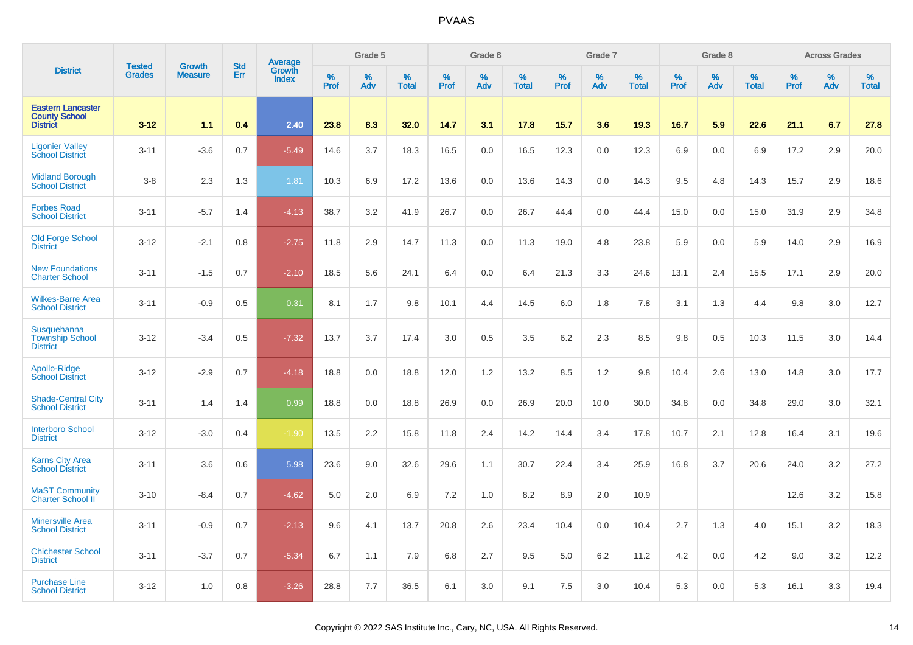|                                                                     | <b>Tested</b> | <b>Growth</b>  | <b>Std</b> |                                   |                     | Grade 5  |                   |                  | Grade 6  |                   |                     | Grade 7  |                   |           | Grade 8  |                   |              | <b>Across Grades</b> |                   |
|---------------------------------------------------------------------|---------------|----------------|------------|-----------------------------------|---------------------|----------|-------------------|------------------|----------|-------------------|---------------------|----------|-------------------|-----------|----------|-------------------|--------------|----------------------|-------------------|
| <b>District</b>                                                     | <b>Grades</b> | <b>Measure</b> | Err        | Average<br>Growth<br><b>Index</b> | $\%$<br><b>Prof</b> | %<br>Adv | %<br><b>Total</b> | %<br><b>Prof</b> | %<br>Adv | %<br><b>Total</b> | $\%$<br><b>Prof</b> | %<br>Adv | %<br><b>Total</b> | %<br>Prof | %<br>Adv | %<br><b>Total</b> | $\%$<br>Prof | %<br>Adv             | %<br><b>Total</b> |
| <b>Eastern Lancaster</b><br><b>County School</b><br><b>District</b> | $3 - 12$      | 1.1            | 0.4        | 2.40                              | 23.8                | 8.3      | 32.0              | 14.7             | 3.1      | 17.8              | 15.7                | 3.6      | 19.3              | 16.7      | 5.9      | 22.6              | 21.1         | 6.7                  | 27.8              |
| <b>Ligonier Valley</b><br><b>School District</b>                    | $3 - 11$      | $-3.6$         | 0.7        | $-5.49$                           | 14.6                | 3.7      | 18.3              | 16.5             | 0.0      | 16.5              | 12.3                | 0.0      | 12.3              | 6.9       | 0.0      | 6.9               | 17.2         | 2.9                  | 20.0              |
| <b>Midland Borough</b><br><b>School District</b>                    | $3 - 8$       | 2.3            | 1.3        | 1.81                              | 10.3                | 6.9      | 17.2              | 13.6             | 0.0      | 13.6              | 14.3                | 0.0      | 14.3              | 9.5       | 4.8      | 14.3              | 15.7         | 2.9                  | 18.6              |
| <b>Forbes Road</b><br><b>School District</b>                        | $3 - 11$      | $-5.7$         | 1.4        | $-4.13$                           | 38.7                | 3.2      | 41.9              | 26.7             | 0.0      | 26.7              | 44.4                | 0.0      | 44.4              | 15.0      | 0.0      | 15.0              | 31.9         | 2.9                  | 34.8              |
| <b>Old Forge School</b><br><b>District</b>                          | $3 - 12$      | $-2.1$         | 0.8        | $-2.75$                           | 11.8                | 2.9      | 14.7              | 11.3             | 0.0      | 11.3              | 19.0                | 4.8      | 23.8              | 5.9       | 0.0      | 5.9               | 14.0         | 2.9                  | 16.9              |
| <b>New Foundations</b><br><b>Charter School</b>                     | $3 - 11$      | $-1.5$         | 0.7        | $-2.10$                           | 18.5                | 5.6      | 24.1              | 6.4              | 0.0      | 6.4               | 21.3                | 3.3      | 24.6              | 13.1      | 2.4      | 15.5              | 17.1         | 2.9                  | 20.0              |
| <b>Wilkes-Barre Area</b><br><b>School District</b>                  | $3 - 11$      | $-0.9$         | 0.5        | 0.31                              | 8.1                 | 1.7      | 9.8               | 10.1             | 4.4      | 14.5              | 6.0                 | 1.8      | 7.8               | 3.1       | 1.3      | 4.4               | 9.8          | 3.0                  | 12.7              |
| Susquehanna<br><b>Township School</b><br><b>District</b>            | $3 - 12$      | $-3.4$         | 0.5        | $-7.32$                           | 13.7                | 3.7      | 17.4              | 3.0              | 0.5      | 3.5               | 6.2                 | 2.3      | 8.5               | 9.8       | 0.5      | 10.3              | 11.5         | 3.0                  | 14.4              |
| Apollo-Ridge<br><b>School District</b>                              | $3 - 12$      | $-2.9$         | 0.7        | $-4.18$                           | 18.8                | 0.0      | 18.8              | 12.0             | 1.2      | 13.2              | 8.5                 | 1.2      | 9.8               | 10.4      | 2.6      | 13.0              | 14.8         | 3.0                  | 17.7              |
| <b>Shade-Central City</b><br><b>School District</b>                 | $3 - 11$      | 1.4            | 1.4        | 0.99                              | 18.8                | 0.0      | 18.8              | 26.9             | 0.0      | 26.9              | 20.0                | 10.0     | 30.0              | 34.8      | 0.0      | 34.8              | 29.0         | 3.0                  | 32.1              |
| <b>Interboro School</b><br><b>District</b>                          | $3 - 12$      | $-3.0$         | 0.4        | $-1.90$                           | 13.5                | 2.2      | 15.8              | 11.8             | 2.4      | 14.2              | 14.4                | 3.4      | 17.8              | 10.7      | 2.1      | 12.8              | 16.4         | 3.1                  | 19.6              |
| <b>Karns City Area</b><br><b>School District</b>                    | $3 - 11$      | 3.6            | 0.6        | 5.98                              | 23.6                | 9.0      | 32.6              | 29.6             | 1.1      | 30.7              | 22.4                | 3.4      | 25.9              | 16.8      | 3.7      | 20.6              | 24.0         | 3.2                  | 27.2              |
| <b>MaST Community</b><br><b>Charter School II</b>                   | $3 - 10$      | $-8.4$         | 0.7        | $-4.62$                           | 5.0                 | 2.0      | 6.9               | 7.2              | 1.0      | 8.2               | 8.9                 | 2.0      | 10.9              |           |          |                   | 12.6         | 3.2                  | 15.8              |
| <b>Minersville Area</b><br><b>School District</b>                   | $3 - 11$      | $-0.9$         | 0.7        | $-2.13$                           | 9.6                 | 4.1      | 13.7              | 20.8             | 2.6      | 23.4              | 10.4                | 0.0      | 10.4              | 2.7       | 1.3      | 4.0               | 15.1         | 3.2                  | 18.3              |
| <b>Chichester School</b><br><b>District</b>                         | $3 - 11$      | $-3.7$         | 0.7        | $-5.34$                           | 6.7                 | 1.1      | 7.9               | 6.8              | 2.7      | 9.5               | 5.0                 | 6.2      | 11.2              | 4.2       | 0.0      | 4.2               | 9.0          | 3.2                  | 12.2              |
| <b>Purchase Line</b><br><b>School District</b>                      | $3 - 12$      | 1.0            | 0.8        | $-3.26$                           | 28.8                | 7.7      | 36.5              | 6.1              | 3.0      | 9.1               | 7.5                 | 3.0      | 10.4              | 5.3       | 0.0      | 5.3               | 16.1         | 3.3                  | 19.4              |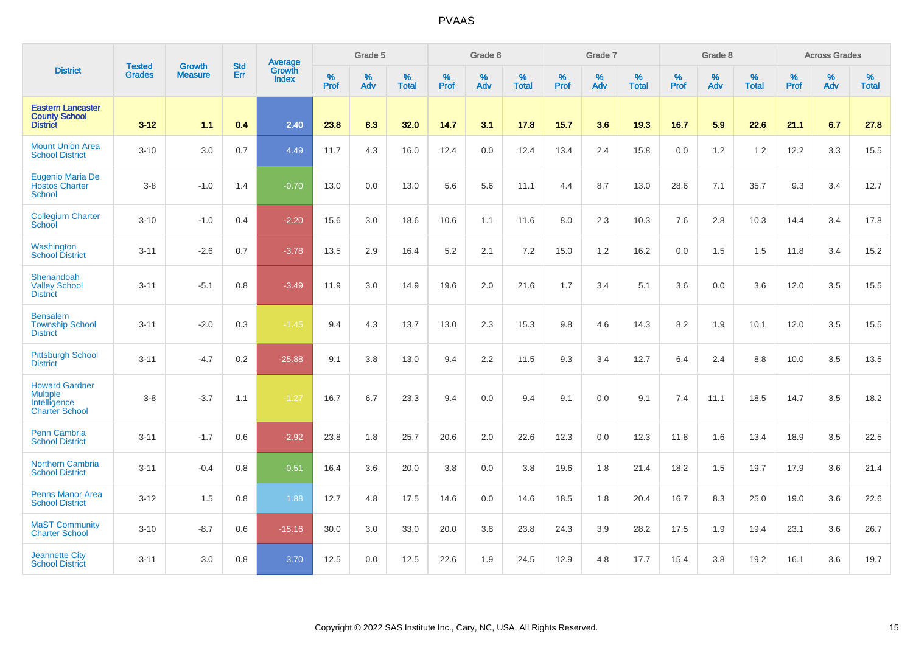|                                                                                   |                                |                                 | <b>Std</b> | Average                |           | Grade 5  |                   |           | Grade 6  |                   |           | Grade 7  |                   |           | Grade 8  |                   |           | <b>Across Grades</b> |                   |
|-----------------------------------------------------------------------------------|--------------------------------|---------------------------------|------------|------------------------|-----------|----------|-------------------|-----------|----------|-------------------|-----------|----------|-------------------|-----------|----------|-------------------|-----------|----------------------|-------------------|
| <b>District</b>                                                                   | <b>Tested</b><br><b>Grades</b> | <b>Growth</b><br><b>Measure</b> | Err        | Growth<br><b>Index</b> | %<br>Prof | %<br>Adv | %<br><b>Total</b> | %<br>Prof | %<br>Adv | %<br><b>Total</b> | %<br>Prof | %<br>Adv | %<br><b>Total</b> | %<br>Prof | %<br>Adv | %<br><b>Total</b> | %<br>Prof | %<br>Adv             | %<br><b>Total</b> |
| <b>Eastern Lancaster</b><br><b>County School</b><br><b>District</b>               | $3 - 12$                       | 1.1                             | 0.4        | 2.40                   | 23.8      | 8.3      | 32.0              | 14.7      | 3.1      | 17.8              | 15.7      | 3.6      | 19.3              | 16.7      | 5.9      | 22.6              | 21.1      | 6.7                  | 27.8              |
| <b>Mount Union Area</b><br><b>School District</b>                                 | $3 - 10$                       | 3.0                             | 0.7        | 4.49                   | 11.7      | 4.3      | 16.0              | 12.4      | 0.0      | 12.4              | 13.4      | 2.4      | 15.8              | 0.0       | 1.2      | 1.2               | 12.2      | 3.3                  | 15.5              |
| <b>Eugenio Maria De</b><br><b>Hostos Charter</b><br><b>School</b>                 | $3-8$                          | $-1.0$                          | 1.4        | $-0.70$                | 13.0      | 0.0      | 13.0              | 5.6       | 5.6      | 11.1              | 4.4       | 8.7      | 13.0              | 28.6      | 7.1      | 35.7              | 9.3       | 3.4                  | 12.7              |
| <b>Collegium Charter</b><br>School                                                | $3 - 10$                       | $-1.0$                          | 0.4        | $-2.20$                | 15.6      | 3.0      | 18.6              | 10.6      | 1.1      | 11.6              | 8.0       | 2.3      | 10.3              | 7.6       | 2.8      | 10.3              | 14.4      | 3.4                  | 17.8              |
| Washington<br><b>School District</b>                                              | $3 - 11$                       | $-2.6$                          | 0.7        | $-3.78$                | 13.5      | 2.9      | 16.4              | 5.2       | 2.1      | 7.2               | 15.0      | 1.2      | 16.2              | 0.0       | 1.5      | 1.5               | 11.8      | 3.4                  | 15.2              |
| Shenandoah<br><b>Valley School</b><br><b>District</b>                             | $3 - 11$                       | $-5.1$                          | 0.8        | $-3.49$                | 11.9      | 3.0      | 14.9              | 19.6      | 2.0      | 21.6              | 1.7       | 3.4      | 5.1               | 3.6       | 0.0      | 3.6               | 12.0      | 3.5                  | 15.5              |
| <b>Bensalem</b><br><b>Township School</b><br><b>District</b>                      | $3 - 11$                       | $-2.0$                          | 0.3        | $-1.45$                | 9.4       | 4.3      | 13.7              | 13.0      | 2.3      | 15.3              | 9.8       | 4.6      | 14.3              | 8.2       | 1.9      | 10.1              | 12.0      | 3.5                  | 15.5              |
| <b>Pittsburgh School</b><br><b>District</b>                                       | $3 - 11$                       | $-4.7$                          | 0.2        | $-25.88$               | 9.1       | 3.8      | 13.0              | 9.4       | 2.2      | 11.5              | 9.3       | 3.4      | 12.7              | 6.4       | 2.4      | 8.8               | 10.0      | 3.5                  | 13.5              |
| <b>Howard Gardner</b><br><b>Multiple</b><br>Intelligence<br><b>Charter School</b> | $3 - 8$                        | $-3.7$                          | 1.1        | $-1.27$                | 16.7      | 6.7      | 23.3              | 9.4       | 0.0      | 9.4               | 9.1       | 0.0      | 9.1               | 7.4       | 11.1     | 18.5              | 14.7      | 3.5                  | 18.2              |
| <b>Penn Cambria</b><br><b>School District</b>                                     | $3 - 11$                       | $-1.7$                          | 0.6        | $-2.92$                | 23.8      | 1.8      | 25.7              | 20.6      | 2.0      | 22.6              | 12.3      | 0.0      | 12.3              | 11.8      | 1.6      | 13.4              | 18.9      | 3.5                  | 22.5              |
| <b>Northern Cambria</b><br><b>School District</b>                                 | $3 - 11$                       | $-0.4$                          | 0.8        | $-0.51$                | 16.4      | 3.6      | 20.0              | 3.8       | 0.0      | 3.8               | 19.6      | 1.8      | 21.4              | 18.2      | 1.5      | 19.7              | 17.9      | 3.6                  | 21.4              |
| <b>Penns Manor Area</b><br><b>School District</b>                                 | $3 - 12$                       | 1.5                             | 0.8        | 1.88                   | 12.7      | 4.8      | 17.5              | 14.6      | 0.0      | 14.6              | 18.5      | 1.8      | 20.4              | 16.7      | 8.3      | 25.0              | 19.0      | 3.6                  | 22.6              |
| <b>MaST Community</b><br><b>Charter School</b>                                    | $3 - 10$                       | $-8.7$                          | 0.6        | $-15.16$               | 30.0      | 3.0      | 33.0              | 20.0      | 3.8      | 23.8              | 24.3      | 3.9      | 28.2              | 17.5      | 1.9      | 19.4              | 23.1      | 3.6                  | 26.7              |
| <b>Jeannette City</b><br><b>School District</b>                                   | $3 - 11$                       | 3.0                             | 0.8        | 3.70                   | 12.5      | 0.0      | 12.5              | 22.6      | 1.9      | 24.5              | 12.9      | 4.8      | 17.7              | 15.4      | 3.8      | 19.2              | 16.1      | 3.6                  | 19.7              |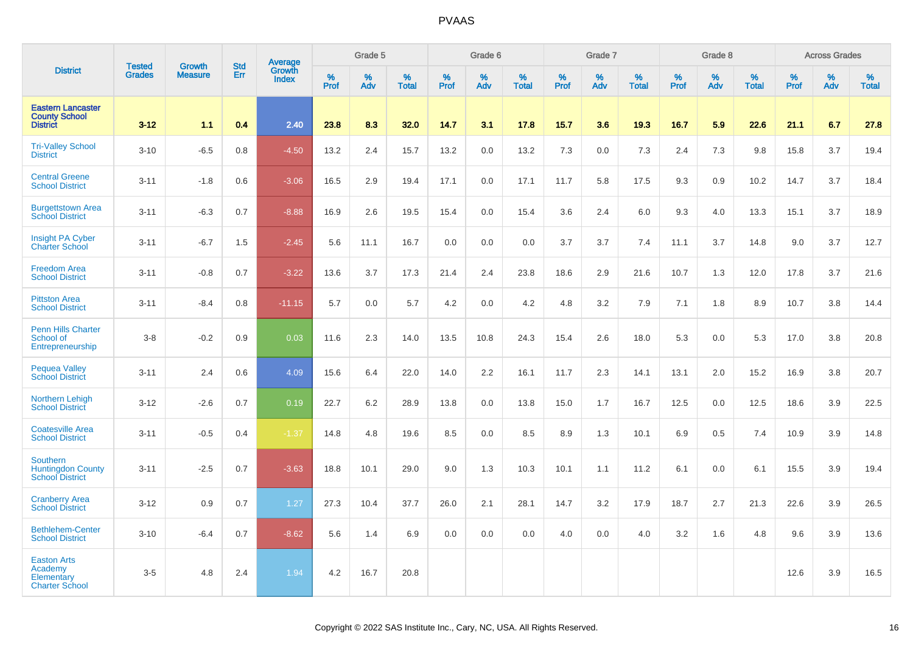|                                                                       | <b>Tested</b> | <b>Growth</b>  | <b>Std</b> | Average                |                     | Grade 5  |                   |                  | Grade 6  |                   |                  | Grade 7  |                   |           | Grade 8  |                   |              | <b>Across Grades</b> |                   |
|-----------------------------------------------------------------------|---------------|----------------|------------|------------------------|---------------------|----------|-------------------|------------------|----------|-------------------|------------------|----------|-------------------|-----------|----------|-------------------|--------------|----------------------|-------------------|
| <b>District</b>                                                       | <b>Grades</b> | <b>Measure</b> | Err        | Growth<br><b>Index</b> | $\%$<br><b>Prof</b> | %<br>Adv | %<br><b>Total</b> | %<br><b>Prof</b> | %<br>Adv | %<br><b>Total</b> | %<br><b>Prof</b> | %<br>Adv | %<br><b>Total</b> | %<br>Prof | %<br>Adv | %<br><b>Total</b> | $\%$<br>Prof | %<br>Adv             | %<br><b>Total</b> |
| <b>Eastern Lancaster</b><br><b>County School</b><br><b>District</b>   | $3 - 12$      | 1.1            | 0.4        | 2.40                   | 23.8                | 8.3      | 32.0              | 14.7             | 3.1      | 17.8              | 15.7             | 3.6      | 19.3              | 16.7      | 5.9      | 22.6              | 21.1         | 6.7                  | 27.8              |
| <b>Tri-Valley School</b><br><b>District</b>                           | $3 - 10$      | $-6.5$         | 0.8        | $-4.50$                | 13.2                | 2.4      | 15.7              | 13.2             | 0.0      | 13.2              | 7.3              | 0.0      | 7.3               | 2.4       | 7.3      | 9.8               | 15.8         | 3.7                  | 19.4              |
| <b>Central Greene</b><br><b>School District</b>                       | $3 - 11$      | $-1.8$         | 0.6        | $-3.06$                | 16.5                | 2.9      | 19.4              | 17.1             | 0.0      | 17.1              | 11.7             | 5.8      | 17.5              | 9.3       | 0.9      | 10.2              | 14.7         | 3.7                  | 18.4              |
| <b>Burgettstown Area</b><br><b>School District</b>                    | $3 - 11$      | $-6.3$         | 0.7        | $-8.88$                | 16.9                | 2.6      | 19.5              | 15.4             | 0.0      | 15.4              | 3.6              | 2.4      | 6.0               | 9.3       | 4.0      | 13.3              | 15.1         | 3.7                  | 18.9              |
| <b>Insight PA Cyber</b><br><b>Charter School</b>                      | $3 - 11$      | $-6.7$         | 1.5        | $-2.45$                | 5.6                 | 11.1     | 16.7              | 0.0              | 0.0      | 0.0               | 3.7              | 3.7      | 7.4               | 11.1      | 3.7      | 14.8              | 9.0          | 3.7                  | 12.7              |
| <b>Freedom Area</b><br><b>School District</b>                         | $3 - 11$      | $-0.8$         | 0.7        | $-3.22$                | 13.6                | 3.7      | 17.3              | 21.4             | 2.4      | 23.8              | 18.6             | 2.9      | 21.6              | 10.7      | 1.3      | 12.0              | 17.8         | 3.7                  | 21.6              |
| <b>Pittston Area</b><br><b>School District</b>                        | $3 - 11$      | $-8.4$         | 0.8        | $-11.15$               | 5.7                 | 0.0      | 5.7               | 4.2              | 0.0      | 4.2               | 4.8              | 3.2      | 7.9               | 7.1       | 1.8      | 8.9               | 10.7         | 3.8                  | 14.4              |
| <b>Penn Hills Charter</b><br>School of<br>Entrepreneurship            | $3-8$         | $-0.2$         | 0.9        | 0.03                   | 11.6                | 2.3      | 14.0              | 13.5             | 10.8     | 24.3              | 15.4             | 2.6      | 18.0              | 5.3       | 0.0      | 5.3               | 17.0         | 3.8                  | 20.8              |
| <b>Pequea Valley</b><br><b>School District</b>                        | $3 - 11$      | 2.4            | 0.6        | 4.09                   | 15.6                | 6.4      | 22.0              | 14.0             | 2.2      | 16.1              | 11.7             | 2.3      | 14.1              | 13.1      | 2.0      | 15.2              | 16.9         | 3.8                  | 20.7              |
| <b>Northern Lehigh</b><br><b>School District</b>                      | $3 - 12$      | $-2.6$         | 0.7        | 0.19                   | 22.7                | 6.2      | 28.9              | 13.8             | 0.0      | 13.8              | 15.0             | 1.7      | 16.7              | 12.5      | 0.0      | 12.5              | 18.6         | 3.9                  | 22.5              |
| <b>Coatesville Area</b><br><b>School District</b>                     | $3 - 11$      | $-0.5$         | 0.4        | $-1.37$                | 14.8                | 4.8      | 19.6              | 8.5              | 0.0      | 8.5               | 8.9              | 1.3      | 10.1              | 6.9       | 0.5      | 7.4               | 10.9         | 3.9                  | 14.8              |
| <b>Southern</b><br><b>Huntingdon County</b><br><b>School District</b> | $3 - 11$      | $-2.5$         | 0.7        | $-3.63$                | 18.8                | 10.1     | 29.0              | 9.0              | 1.3      | 10.3              | 10.1             | 1.1      | 11.2              | 6.1       | 0.0      | 6.1               | 15.5         | 3.9                  | 19.4              |
| <b>Cranberry Area</b><br><b>School District</b>                       | $3 - 12$      | 0.9            | 0.7        | 1.27                   | 27.3                | 10.4     | 37.7              | 26.0             | 2.1      | 28.1              | 14.7             | 3.2      | 17.9              | 18.7      | 2.7      | 21.3              | 22.6         | 3.9                  | 26.5              |
| <b>Bethlehem-Center</b><br><b>School District</b>                     | $3 - 10$      | $-6.4$         | 0.7        | $-8.62$                | 5.6                 | 1.4      | 6.9               | 0.0              | 0.0      | 0.0               | 4.0              | 0.0      | 4.0               | 3.2       | 1.6      | 4.8               | 9.6          | 3.9                  | 13.6              |
| <b>Easton Arts</b><br>Academy<br>Elementary<br><b>Charter School</b>  | $3-5$         | 4.8            | 2.4        | 1.94                   | 4.2                 | 16.7     | 20.8              |                  |          |                   |                  |          |                   |           |          |                   | 12.6         | 3.9                  | 16.5              |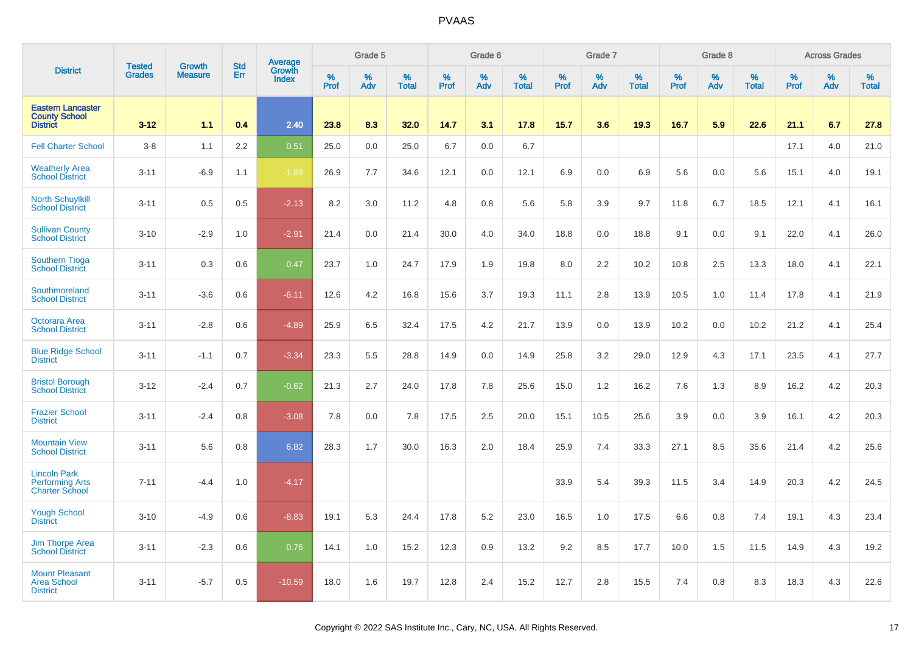|                                                                        |                                |                                 | <b>Std</b> |                                   |                     | Grade 5  |                   |              | Grade 6  |                   |              | Grade 7  |                   |              | Grade 8  |                   |              | <b>Across Grades</b> |                   |
|------------------------------------------------------------------------|--------------------------------|---------------------------------|------------|-----------------------------------|---------------------|----------|-------------------|--------------|----------|-------------------|--------------|----------|-------------------|--------------|----------|-------------------|--------------|----------------------|-------------------|
| <b>District</b>                                                        | <b>Tested</b><br><b>Grades</b> | <b>Growth</b><br><b>Measure</b> | Err        | Average<br>Growth<br><b>Index</b> | $\%$<br><b>Prof</b> | %<br>Adv | %<br><b>Total</b> | $\%$<br>Prof | %<br>Adv | %<br><b>Total</b> | $\%$<br>Prof | %<br>Adv | %<br><b>Total</b> | $\%$<br>Prof | %<br>Adv | %<br><b>Total</b> | $\%$<br>Prof | $\%$<br>Adv          | %<br><b>Total</b> |
| <b>Eastern Lancaster</b><br><b>County School</b><br><b>District</b>    | $3 - 12$                       | 1.1                             | 0.4        | 2.40                              | 23.8                | 8.3      | 32.0              | 14.7         | 3.1      | 17.8              | 15.7         | 3.6      | 19.3              | 16.7         | 5.9      | 22.6              | 21.1         | 6.7                  | 27.8              |
| <b>Fell Charter School</b>                                             | $3-8$                          | 1.1                             | 2.2        | 0.51                              | 25.0                | 0.0      | 25.0              | 6.7          | 0.0      | 6.7               |              |          |                   |              |          |                   | 17.1         | 4.0                  | 21.0              |
| <b>Weatherly Area</b><br><b>School District</b>                        | $3 - 11$                       | $-6.9$                          | 1.1        | $-1.89$                           | 26.9                | 7.7      | 34.6              | 12.1         | 0.0      | 12.1              | 6.9          | 0.0      | 6.9               | 5.6          | 0.0      | 5.6               | 15.1         | 4.0                  | 19.1              |
| <b>North Schuylkill</b><br><b>School District</b>                      | $3 - 11$                       | 0.5                             | 0.5        | $-2.13$                           | 8.2                 | 3.0      | 11.2              | 4.8          | 0.8      | 5.6               | 5.8          | 3.9      | 9.7               | 11.8         | 6.7      | 18.5              | 12.1         | 4.1                  | 16.1              |
| <b>Sullivan County</b><br><b>School District</b>                       | $3 - 10$                       | $-2.9$                          | 1.0        | $-2.91$                           | 21.4                | 0.0      | 21.4              | 30.0         | 4.0      | 34.0              | 18.8         | 0.0      | 18.8              | 9.1          | 0.0      | 9.1               | 22.0         | 4.1                  | 26.0              |
| <b>Southern Tioga</b><br><b>School District</b>                        | $3 - 11$                       | 0.3                             | 0.6        | 0.47                              | 23.7                | 1.0      | 24.7              | 17.9         | 1.9      | 19.8              | 8.0          | 2.2      | 10.2              | 10.8         | 2.5      | 13.3              | 18.0         | 4.1                  | 22.1              |
| Southmoreland<br><b>School District</b>                                | $3 - 11$                       | $-3.6$                          | 0.6        | $-6.11$                           | 12.6                | 4.2      | 16.8              | 15.6         | 3.7      | 19.3              | 11.1         | 2.8      | 13.9              | 10.5         | 1.0      | 11.4              | 17.8         | 4.1                  | 21.9              |
| Octorara Area<br><b>School District</b>                                | $3 - 11$                       | $-2.8$                          | 0.6        | $-4.89$                           | 25.9                | 6.5      | 32.4              | 17.5         | 4.2      | 21.7              | 13.9         | 0.0      | 13.9              | 10.2         | 0.0      | 10.2              | 21.2         | 4.1                  | 25.4              |
| <b>Blue Ridge School</b><br><b>District</b>                            | $3 - 11$                       | $-1.1$                          | 0.7        | $-3.34$                           | 23.3                | 5.5      | 28.8              | 14.9         | 0.0      | 14.9              | 25.8         | 3.2      | 29.0              | 12.9         | 4.3      | 17.1              | 23.5         | 4.1                  | 27.7              |
| <b>Bristol Borough</b><br><b>School District</b>                       | $3 - 12$                       | $-2.4$                          | 0.7        | $-0.62$                           | 21.3                | 2.7      | 24.0              | 17.8         | 7.8      | 25.6              | 15.0         | 1.2      | 16.2              | 7.6          | 1.3      | 8.9               | 16.2         | 4.2                  | 20.3              |
| <b>Frazier School</b><br><b>District</b>                               | $3 - 11$                       | $-2.4$                          | 0.8        | $-3.08$                           | 7.8                 | 0.0      | 7.8               | 17.5         | 2.5      | 20.0              | 15.1         | 10.5     | 25.6              | 3.9          | 0.0      | 3.9               | 16.1         | 4.2                  | 20.3              |
| <b>Mountain View</b><br><b>School District</b>                         | $3 - 11$                       | 5.6                             | 0.8        | 6.82                              | 28.3                | 1.7      | 30.0              | 16.3         | 2.0      | 18.4              | 25.9         | 7.4      | 33.3              | 27.1         | 8.5      | 35.6              | 21.4         | 4.2                  | 25.6              |
| <b>Lincoln Park</b><br><b>Performing Arts</b><br><b>Charter School</b> | $7 - 11$                       | $-4.4$                          | 1.0        | $-4.17$                           |                     |          |                   |              |          |                   | 33.9         | 5.4      | 39.3              | 11.5         | 3.4      | 14.9              | 20.3         | 4.2                  | 24.5              |
| <b>Yough School</b><br><b>District</b>                                 | $3 - 10$                       | $-4.9$                          | 0.6        | $-8.83$                           | 19.1                | 5.3      | 24.4              | 17.8         | 5.2      | 23.0              | 16.5         | 1.0      | 17.5              | 6.6          | 0.8      | 7.4               | 19.1         | 4.3                  | 23.4              |
| Jim Thorpe Area<br>School District                                     | $3 - 11$                       | $-2.3$                          | 0.6        | 0.76                              | 14.1                | 1.0      | 15.2              | 12.3         | 0.9      | 13.2              | 9.2          | 8.5      | 17.7              | 10.0         | 1.5      | 11.5              | 14.9         | 4.3                  | 19.2              |
| <b>Mount Pleasant</b><br><b>Area School</b><br><b>District</b>         | $3 - 11$                       | $-5.7$                          | 0.5        | $-10.59$                          | 18.0                | 1.6      | 19.7              | 12.8         | 2.4      | 15.2              | 12.7         | 2.8      | 15.5              | 7.4          | 0.8      | 8.3               | 18.3         | 4.3                  | 22.6              |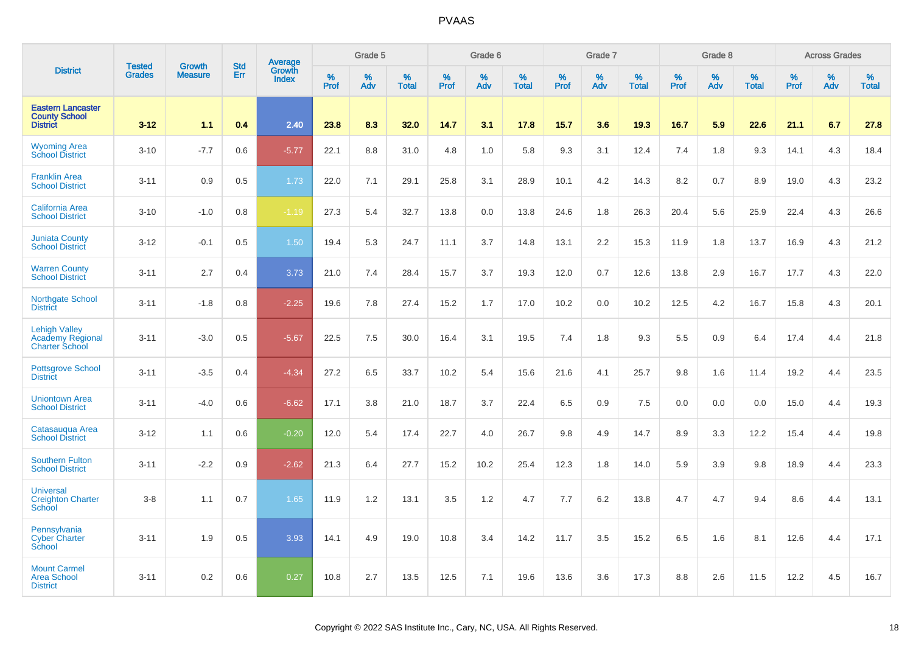|                                                                          | <b>Tested</b> | <b>Growth</b>  | <b>Std</b> | <b>Average</b><br>Growth |                     | Grade 5  |                   |                  | Grade 6  |                   |                  | Grade 7  |                   |           | Grade 8  |                   |           | <b>Across Grades</b> |                   |
|--------------------------------------------------------------------------|---------------|----------------|------------|--------------------------|---------------------|----------|-------------------|------------------|----------|-------------------|------------------|----------|-------------------|-----------|----------|-------------------|-----------|----------------------|-------------------|
| <b>District</b>                                                          | <b>Grades</b> | <b>Measure</b> | Err        | <b>Index</b>             | $\%$<br><b>Prof</b> | %<br>Adv | %<br><b>Total</b> | %<br><b>Prof</b> | %<br>Adv | %<br><b>Total</b> | %<br><b>Prof</b> | %<br>Adv | %<br><b>Total</b> | %<br>Prof | %<br>Adv | %<br><b>Total</b> | %<br>Prof | %<br>Adv             | %<br><b>Total</b> |
| <b>Eastern Lancaster</b><br><b>County School</b><br><b>District</b>      | $3 - 12$      | 1.1            | 0.4        | 2.40                     | 23.8                | 8.3      | 32.0              | 14.7             | 3.1      | 17.8              | 15.7             | 3.6      | 19.3              | 16.7      | 5.9      | 22.6              | 21.1      | 6.7                  | 27.8              |
| <b>Wyoming Area</b><br><b>School District</b>                            | $3 - 10$      | $-7.7$         | 0.6        | $-5.77$                  | 22.1                | 8.8      | 31.0              | 4.8              | 1.0      | 5.8               | 9.3              | 3.1      | 12.4              | 7.4       | 1.8      | 9.3               | 14.1      | 4.3                  | 18.4              |
| <b>Franklin Area</b><br><b>School District</b>                           | $3 - 11$      | 0.9            | 0.5        | 1.73                     | 22.0                | 7.1      | 29.1              | 25.8             | 3.1      | 28.9              | 10.1             | 4.2      | 14.3              | 8.2       | 0.7      | 8.9               | 19.0      | 4.3                  | 23.2              |
| <b>California Area</b><br><b>School District</b>                         | $3 - 10$      | $-1.0$         | 0.8        | $-1.19$                  | 27.3                | 5.4      | 32.7              | 13.8             | 0.0      | 13.8              | 24.6             | 1.8      | 26.3              | 20.4      | 5.6      | 25.9              | 22.4      | 4.3                  | 26.6              |
| <b>Juniata County</b><br><b>School District</b>                          | $3 - 12$      | $-0.1$         | 0.5        | 1.50                     | 19.4                | 5.3      | 24.7              | 11.1             | 3.7      | 14.8              | 13.1             | 2.2      | 15.3              | 11.9      | 1.8      | 13.7              | 16.9      | 4.3                  | 21.2              |
| <b>Warren County</b><br><b>School District</b>                           | $3 - 11$      | 2.7            | 0.4        | 3.73                     | 21.0                | 7.4      | 28.4              | 15.7             | 3.7      | 19.3              | 12.0             | 0.7      | 12.6              | 13.8      | 2.9      | 16.7              | 17.7      | 4.3                  | 22.0              |
| <b>Northgate School</b><br><b>District</b>                               | $3 - 11$      | $-1.8$         | 0.8        | $-2.25$                  | 19.6                | 7.8      | 27.4              | 15.2             | 1.7      | 17.0              | 10.2             | 0.0      | 10.2              | 12.5      | 4.2      | 16.7              | 15.8      | 4.3                  | 20.1              |
| <b>Lehigh Valley</b><br><b>Academy Regional</b><br><b>Charter School</b> | $3 - 11$      | $-3.0$         | 0.5        | $-5.67$                  | 22.5                | 7.5      | 30.0              | 16.4             | 3.1      | 19.5              | 7.4              | 1.8      | 9.3               | 5.5       | 0.9      | 6.4               | 17.4      | 4.4                  | 21.8              |
| <b>Pottsgrove School</b><br><b>District</b>                              | $3 - 11$      | $-3.5$         | 0.4        | $-4.34$                  | 27.2                | 6.5      | 33.7              | 10.2             | 5.4      | 15.6              | 21.6             | 4.1      | 25.7              | 9.8       | 1.6      | 11.4              | 19.2      | 4.4                  | 23.5              |
| <b>Uniontown Area</b><br><b>School District</b>                          | $3 - 11$      | $-4.0$         | 0.6        | $-6.62$                  | 17.1                | 3.8      | 21.0              | 18.7             | 3.7      | 22.4              | 6.5              | 0.9      | 7.5               | 0.0       | 0.0      | 0.0               | 15.0      | 4.4                  | 19.3              |
| Catasauqua Area<br><b>School District</b>                                | $3 - 12$      | 1.1            | 0.6        | $-0.20$                  | 12.0                | 5.4      | 17.4              | 22.7             | 4.0      | 26.7              | 9.8              | 4.9      | 14.7              | 8.9       | 3.3      | 12.2              | 15.4      | 4.4                  | 19.8              |
| <b>Southern Fulton</b><br><b>School District</b>                         | $3 - 11$      | $-2.2$         | 0.9        | $-2.62$                  | 21.3                | 6.4      | 27.7              | 15.2             | 10.2     | 25.4              | 12.3             | 1.8      | 14.0              | 5.9       | 3.9      | 9.8               | 18.9      | 4.4                  | 23.3              |
| <b>Universal</b><br><b>Creighton Charter</b><br><b>School</b>            | $3 - 8$       | 1.1            | 0.7        | 1.65                     | 11.9                | 1.2      | 13.1              | 3.5              | 1.2      | 4.7               | 7.7              | 6.2      | 13.8              | 4.7       | 4.7      | 9.4               | 8.6       | 4.4                  | 13.1              |
| Pennsylvania<br><b>Cyber Charter</b><br>School                           | $3 - 11$      | 1.9            | 0.5        | 3.93                     | 14.1                | 4.9      | 19.0              | 10.8             | 3.4      | 14.2              | 11.7             | 3.5      | 15.2              | 6.5       | 1.6      | 8.1               | 12.6      | 4.4                  | 17.1              |
| <b>Mount Carmel</b><br><b>Area School</b><br><b>District</b>             | $3 - 11$      | 0.2            | 0.6        | 0.27                     | 10.8                | 2.7      | 13.5              | 12.5             | 7.1      | 19.6              | 13.6             | 3.6      | 17.3              | 8.8       | 2.6      | 11.5              | 12.2      | 4.5                  | 16.7              |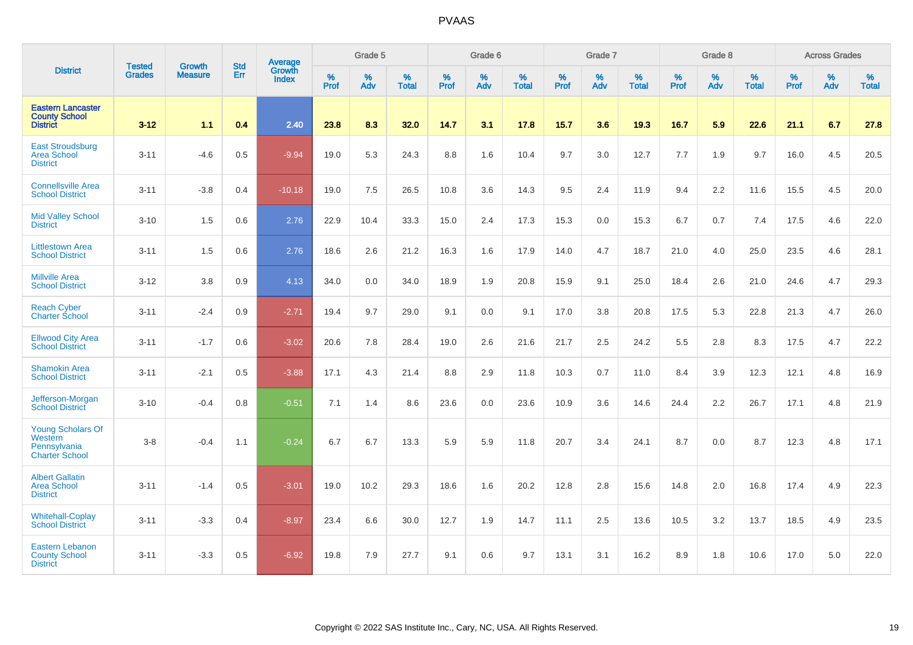|                                                                              |                                |                                 |                   | Average                       |                  | Grade 5  |                   |           | Grade 6  |                   |           | Grade 7  |                   |           | Grade 8  |                   |           | <b>Across Grades</b> |                   |
|------------------------------------------------------------------------------|--------------------------------|---------------------------------|-------------------|-------------------------------|------------------|----------|-------------------|-----------|----------|-------------------|-----------|----------|-------------------|-----------|----------|-------------------|-----------|----------------------|-------------------|
| <b>District</b>                                                              | <b>Tested</b><br><b>Grades</b> | <b>Growth</b><br><b>Measure</b> | <b>Std</b><br>Err | <b>Growth</b><br><b>Index</b> | %<br><b>Prof</b> | %<br>Adv | %<br><b>Total</b> | %<br>Prof | %<br>Adv | %<br><b>Total</b> | %<br>Prof | %<br>Adv | %<br><b>Total</b> | %<br>Prof | %<br>Adv | %<br><b>Total</b> | %<br>Prof | %<br>Adv             | %<br><b>Total</b> |
| <b>Eastern Lancaster</b><br><b>County School</b><br><b>District</b>          | $3 - 12$                       | 1.1                             | 0.4               | 2.40                          | 23.8             | 8.3      | 32.0              | 14.7      | 3.1      | 17.8              | 15.7      | 3.6      | 19.3              | 16.7      | 5.9      | 22.6              | 21.1      | 6.7                  | 27.8              |
| <b>East Stroudsburg</b><br><b>Area School</b><br><b>District</b>             | $3 - 11$                       | $-4.6$                          | 0.5               | $-9.94$                       | 19.0             | 5.3      | 24.3              | 8.8       | 1.6      | 10.4              | 9.7       | 3.0      | 12.7              | 7.7       | 1.9      | 9.7               | 16.0      | 4.5                  | 20.5              |
| <b>Connellsville Area</b><br><b>School District</b>                          | $3 - 11$                       | $-3.8$                          | 0.4               | $-10.18$                      | 19.0             | 7.5      | 26.5              | 10.8      | 3.6      | 14.3              | 9.5       | 2.4      | 11.9              | 9.4       | 2.2      | 11.6              | 15.5      | 4.5                  | 20.0              |
| <b>Mid Valley School</b><br><b>District</b>                                  | $3 - 10$                       | 1.5                             | 0.6               | 2.76                          | 22.9             | 10.4     | 33.3              | 15.0      | 2.4      | 17.3              | 15.3      | 0.0      | 15.3              | 6.7       | 0.7      | 7.4               | 17.5      | 4.6                  | 22.0              |
| <b>Littlestown Area</b><br><b>School District</b>                            | $3 - 11$                       | 1.5                             | 0.6               | 2.76                          | 18.6             | 2.6      | 21.2              | 16.3      | 1.6      | 17.9              | 14.0      | 4.7      | 18.7              | 21.0      | 4.0      | 25.0              | 23.5      | 4.6                  | 28.1              |
| <b>Millville Area</b><br><b>School District</b>                              | $3 - 12$                       | 3.8                             | 0.9               | 4.13                          | 34.0             | 0.0      | 34.0              | 18.9      | 1.9      | 20.8              | 15.9      | 9.1      | 25.0              | 18.4      | 2.6      | 21.0              | 24.6      | 4.7                  | 29.3              |
| <b>Reach Cyber</b><br><b>Charter School</b>                                  | $3 - 11$                       | $-2.4$                          | 0.9               | $-2.71$                       | 19.4             | 9.7      | 29.0              | 9.1       | 0.0      | 9.1               | 17.0      | 3.8      | 20.8              | 17.5      | 5.3      | 22.8              | 21.3      | 4.7                  | 26.0              |
| <b>Ellwood City Area</b><br><b>School District</b>                           | $3 - 11$                       | $-1.7$                          | 0.6               | $-3.02$                       | 20.6             | 7.8      | 28.4              | 19.0      | 2.6      | 21.6              | 21.7      | 2.5      | 24.2              | 5.5       | 2.8      | 8.3               | 17.5      | 4.7                  | 22.2              |
| <b>Shamokin Area</b><br><b>School District</b>                               | $3 - 11$                       | $-2.1$                          | 0.5               | $-3.88$                       | 17.1             | 4.3      | 21.4              | 8.8       | 2.9      | 11.8              | 10.3      | 0.7      | 11.0              | 8.4       | 3.9      | 12.3              | 12.1      | 4.8                  | 16.9              |
| Jefferson-Morgan<br><b>School District</b>                                   | $3 - 10$                       | $-0.4$                          | 0.8               | $-0.51$                       | 7.1              | 1.4      | 8.6               | 23.6      | 0.0      | 23.6              | 10.9      | 3.6      | 14.6              | 24.4      | 2.2      | 26.7              | 17.1      | 4.8                  | 21.9              |
| <b>Young Scholars Of</b><br>Western<br>Pennsylvania<br><b>Charter School</b> | $3 - 8$                        | $-0.4$                          | 1.1               | $-0.24$                       | 6.7              | 6.7      | 13.3              | 5.9       | 5.9      | 11.8              | 20.7      | 3.4      | 24.1              | 8.7       | 0.0      | 8.7               | 12.3      | 4.8                  | 17.1              |
| <b>Albert Gallatin</b><br><b>Area School</b><br><b>District</b>              | $3 - 11$                       | $-1.4$                          | 0.5               | $-3.01$                       | 19.0             | 10.2     | 29.3              | 18.6      | 1.6      | 20.2              | 12.8      | 2.8      | 15.6              | 14.8      | 2.0      | 16.8              | 17.4      | 4.9                  | 22.3              |
| <b>Whitehall-Coplay</b><br><b>School District</b>                            | $3 - 11$                       | $-3.3$                          | 0.4               | $-8.97$                       | 23.4             | 6.6      | 30.0              | 12.7      | 1.9      | 14.7              | 11.1      | 2.5      | 13.6              | 10.5      | 3.2      | 13.7              | 18.5      | 4.9                  | 23.5              |
| <b>Eastern Lebanon</b><br><b>County School</b><br><b>District</b>            | $3 - 11$                       | $-3.3$                          | 0.5               | $-6.92$                       | 19.8             | 7.9      | 27.7              | 9.1       | 0.6      | 9.7               | 13.1      | 3.1      | 16.2              | 8.9       | 1.8      | 10.6              | 17.0      | 5.0                  | 22.0              |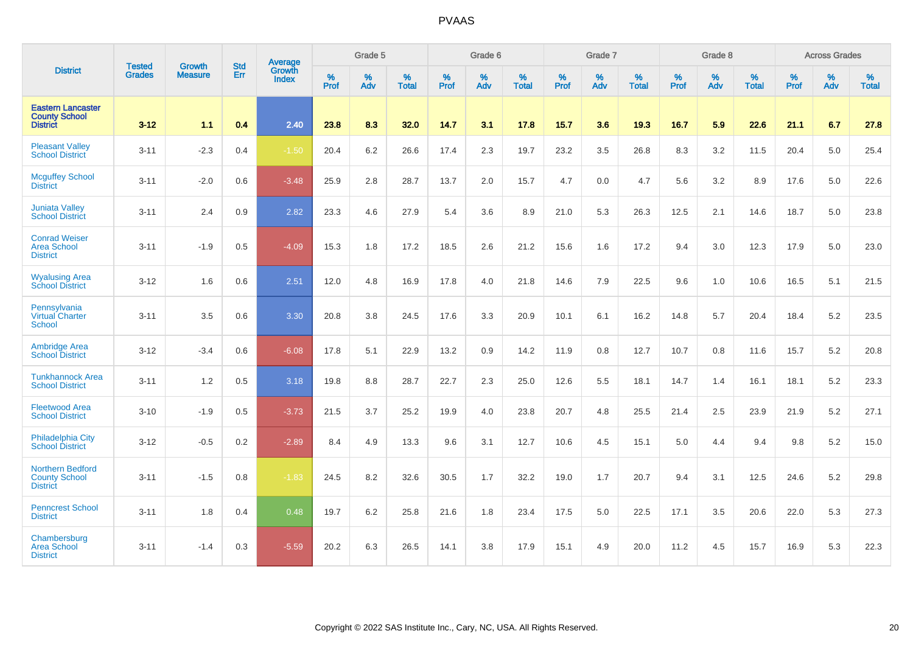|                                                                     | <b>Tested</b> | <b>Growth</b>  | <b>Std</b> | Average                |              | Grade 5  |                   |                     | Grade 6  |                   |              | Grade 7  |                   |                     | Grade 8  |                   |                     | <b>Across Grades</b> |                   |
|---------------------------------------------------------------------|---------------|----------------|------------|------------------------|--------------|----------|-------------------|---------------------|----------|-------------------|--------------|----------|-------------------|---------------------|----------|-------------------|---------------------|----------------------|-------------------|
| <b>District</b>                                                     | <b>Grades</b> | <b>Measure</b> | Err        | Growth<br><b>Index</b> | $\%$<br>Prof | %<br>Adv | %<br><b>Total</b> | $\%$<br><b>Prof</b> | %<br>Adv | %<br><b>Total</b> | $\%$<br>Prof | %<br>Adv | %<br><b>Total</b> | $\%$<br><b>Prof</b> | %<br>Adv | %<br><b>Total</b> | $\%$<br><b>Prof</b> | %<br>Adv             | %<br><b>Total</b> |
| <b>Eastern Lancaster</b><br><b>County School</b><br><b>District</b> | $3 - 12$      | 1.1            | 0.4        | 2.40                   | 23.8         | 8.3      | 32.0              | 14.7                | 3.1      | 17.8              | 15.7         | 3.6      | 19.3              | 16.7                | 5.9      | 22.6              | 21.1                | 6.7                  | 27.8              |
| <b>Pleasant Valley</b><br><b>School District</b>                    | $3 - 11$      | $-2.3$         | 0.4        | $-1.50$                | 20.4         | 6.2      | 26.6              | 17.4                | 2.3      | 19.7              | 23.2         | 3.5      | 26.8              | 8.3                 | 3.2      | 11.5              | 20.4                | 5.0                  | 25.4              |
| <b>Mcguffey School</b><br><b>District</b>                           | $3 - 11$      | $-2.0$         | 0.6        | $-3.48$                | 25.9         | 2.8      | 28.7              | 13.7                | 2.0      | 15.7              | 4.7          | 0.0      | 4.7               | 5.6                 | 3.2      | 8.9               | 17.6                | 5.0                  | 22.6              |
| <b>Juniata Valley</b><br><b>School District</b>                     | $3 - 11$      | 2.4            | 0.9        | 2.82                   | 23.3         | 4.6      | 27.9              | 5.4                 | 3.6      | 8.9               | 21.0         | 5.3      | 26.3              | 12.5                | 2.1      | 14.6              | 18.7                | 5.0                  | 23.8              |
| <b>Conrad Weiser</b><br><b>Area School</b><br><b>District</b>       | $3 - 11$      | $-1.9$         | 0.5        | $-4.09$                | 15.3         | 1.8      | 17.2              | 18.5                | 2.6      | 21.2              | 15.6         | 1.6      | 17.2              | 9.4                 | 3.0      | 12.3              | 17.9                | 5.0                  | 23.0              |
| <b>Wyalusing Area</b><br><b>School District</b>                     | $3 - 12$      | 1.6            | 0.6        | 2.51                   | 12.0         | 4.8      | 16.9              | 17.8                | 4.0      | 21.8              | 14.6         | 7.9      | 22.5              | 9.6                 | 1.0      | 10.6              | 16.5                | 5.1                  | 21.5              |
| Pennsylvania<br><b>Virtual Charter</b><br>School                    | $3 - 11$      | 3.5            | 0.6        | 3.30                   | 20.8         | 3.8      | 24.5              | 17.6                | 3.3      | 20.9              | 10.1         | 6.1      | 16.2              | 14.8                | 5.7      | 20.4              | 18.4                | 5.2                  | 23.5              |
| <b>Ambridge Area</b><br><b>School District</b>                      | $3 - 12$      | $-3.4$         | 0.6        | $-6.08$                | 17.8         | 5.1      | 22.9              | 13.2                | 0.9      | 14.2              | 11.9         | 0.8      | 12.7              | 10.7                | 0.8      | 11.6              | 15.7                | 5.2                  | 20.8              |
| <b>Tunkhannock Area</b><br><b>School District</b>                   | $3 - 11$      | 1.2            | 0.5        | 3.18                   | 19.8         | 8.8      | 28.7              | 22.7                | 2.3      | 25.0              | 12.6         | 5.5      | 18.1              | 14.7                | 1.4      | 16.1              | 18.1                | $5.2\,$              | 23.3              |
| <b>Fleetwood Area</b><br><b>School District</b>                     | $3 - 10$      | $-1.9$         | 0.5        | $-3.73$                | 21.5         | 3.7      | 25.2              | 19.9                | 4.0      | 23.8              | 20.7         | 4.8      | 25.5              | 21.4                | 2.5      | 23.9              | 21.9                | 5.2                  | 27.1              |
| <b>Philadelphia City</b><br><b>School District</b>                  | $3 - 12$      | $-0.5$         | 0.2        | $-2.89$                | 8.4          | 4.9      | 13.3              | 9.6                 | 3.1      | 12.7              | 10.6         | 4.5      | 15.1              | 5.0                 | 4.4      | 9.4               | 9.8                 | $5.2\,$              | 15.0              |
| <b>Northern Bedford</b><br><b>County School</b><br><b>District</b>  | $3 - 11$      | $-1.5$         | 0.8        | $-1.83$                | 24.5         | 8.2      | 32.6              | 30.5                | 1.7      | 32.2              | 19.0         | 1.7      | 20.7              | 9.4                 | 3.1      | 12.5              | 24.6                | 5.2                  | 29.8              |
| <b>Penncrest School</b><br><b>District</b>                          | $3 - 11$      | 1.8            | 0.4        | 0.48                   | 19.7         | 6.2      | 25.8              | 21.6                | 1.8      | 23.4              | 17.5         | 5.0      | 22.5              | 17.1                | 3.5      | 20.6              | 22.0                | 5.3                  | 27.3              |
| Chambersburg<br><b>Area School</b><br><b>District</b>               | $3 - 11$      | $-1.4$         | 0.3        | $-5.59$                | 20.2         | 6.3      | 26.5              | 14.1                | 3.8      | 17.9              | 15.1         | 4.9      | 20.0              | 11.2                | 4.5      | 15.7              | 16.9                | 5.3                  | 22.3              |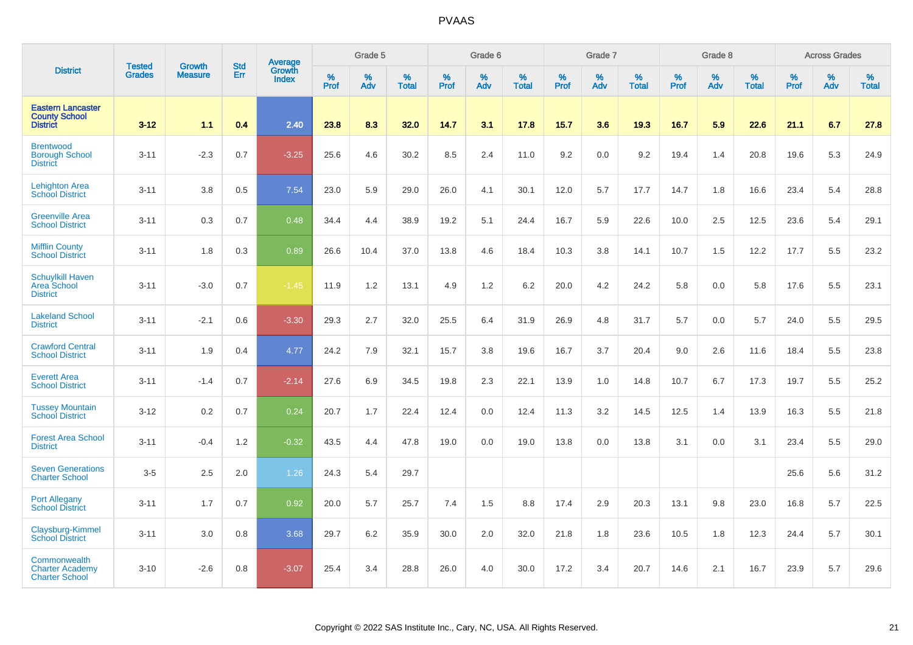|                                                                     |                                |                                 |                   | Average                |                     | Grade 5  |                   |           | Grade 6  |                   |           | Grade 7  |                   |           | Grade 8  |                   |           | <b>Across Grades</b> |                   |
|---------------------------------------------------------------------|--------------------------------|---------------------------------|-------------------|------------------------|---------------------|----------|-------------------|-----------|----------|-------------------|-----------|----------|-------------------|-----------|----------|-------------------|-----------|----------------------|-------------------|
| <b>District</b>                                                     | <b>Tested</b><br><b>Grades</b> | <b>Growth</b><br><b>Measure</b> | <b>Std</b><br>Err | Growth<br><b>Index</b> | $\%$<br><b>Prof</b> | %<br>Adv | %<br><b>Total</b> | %<br>Prof | %<br>Adv | %<br><b>Total</b> | %<br>Prof | %<br>Adv | %<br><b>Total</b> | %<br>Prof | %<br>Adv | %<br><b>Total</b> | %<br>Prof | %<br>Adv             | %<br><b>Total</b> |
| <b>Eastern Lancaster</b><br><b>County School</b><br><b>District</b> | $3 - 12$                       | 1.1                             | 0.4               | 2.40                   | 23.8                | 8.3      | 32.0              | 14.7      | 3.1      | 17.8              | 15.7      | 3.6      | 19.3              | 16.7      | 5.9      | 22.6              | 21.1      | 6.7                  | 27.8              |
| <b>Brentwood</b><br><b>Borough School</b><br><b>District</b>        | $3 - 11$                       | $-2.3$                          | 0.7               | $-3.25$                | 25.6                | 4.6      | 30.2              | 8.5       | 2.4      | 11.0              | 9.2       | 0.0      | 9.2               | 19.4      | 1.4      | 20.8              | 19.6      | 5.3                  | 24.9              |
| <b>Lehighton Area</b><br><b>School District</b>                     | $3 - 11$                       | 3.8                             | 0.5               | 7.54                   | 23.0                | 5.9      | 29.0              | 26.0      | 4.1      | 30.1              | 12.0      | 5.7      | 17.7              | 14.7      | 1.8      | 16.6              | 23.4      | 5.4                  | 28.8              |
| <b>Greenville Area</b><br><b>School District</b>                    | $3 - 11$                       | 0.3                             | 0.7               | 0.48                   | 34.4                | 4.4      | 38.9              | 19.2      | 5.1      | 24.4              | 16.7      | 5.9      | 22.6              | 10.0      | 2.5      | 12.5              | 23.6      | 5.4                  | 29.1              |
| <b>Mifflin County</b><br><b>School District</b>                     | $3 - 11$                       | 1.8                             | 0.3               | 0.89                   | 26.6                | 10.4     | 37.0              | 13.8      | 4.6      | 18.4              | 10.3      | 3.8      | 14.1              | 10.7      | 1.5      | 12.2              | 17.7      | 5.5                  | 23.2              |
| <b>Schuylkill Haven</b><br><b>Area School</b><br><b>District</b>    | $3 - 11$                       | $-3.0$                          | 0.7               | $-1.45$                | 11.9                | 1.2      | 13.1              | 4.9       | $1.2$    | 6.2               | 20.0      | 4.2      | 24.2              | 5.8       | 0.0      | 5.8               | 17.6      | 5.5                  | 23.1              |
| <b>Lakeland School</b><br><b>District</b>                           | $3 - 11$                       | $-2.1$                          | 0.6               | $-3.30$                | 29.3                | 2.7      | 32.0              | 25.5      | 6.4      | 31.9              | 26.9      | 4.8      | 31.7              | 5.7       | 0.0      | 5.7               | 24.0      | 5.5                  | 29.5              |
| <b>Crawford Central</b><br><b>School District</b>                   | $3 - 11$                       | 1.9                             | 0.4               | 4.77                   | 24.2                | 7.9      | 32.1              | 15.7      | 3.8      | 19.6              | 16.7      | 3.7      | 20.4              | 9.0       | 2.6      | 11.6              | 18.4      | 5.5                  | 23.8              |
| <b>Everett Area</b><br><b>School District</b>                       | $3 - 11$                       | $-1.4$                          | 0.7               | $-2.14$                | 27.6                | 6.9      | 34.5              | 19.8      | 2.3      | 22.1              | 13.9      | 1.0      | 14.8              | 10.7      | 6.7      | 17.3              | 19.7      | 5.5                  | 25.2              |
| <b>Tussey Mountain</b><br><b>School District</b>                    | $3 - 12$                       | 0.2                             | 0.7               | 0.24                   | 20.7                | 1.7      | 22.4              | 12.4      | 0.0      | 12.4              | 11.3      | 3.2      | 14.5              | 12.5      | 1.4      | 13.9              | 16.3      | 5.5                  | 21.8              |
| <b>Forest Area School</b><br><b>District</b>                        | $3 - 11$                       | $-0.4$                          | 1.2               | $-0.32$                | 43.5                | 4.4      | 47.8              | 19.0      | 0.0      | 19.0              | 13.8      | 0.0      | 13.8              | 3.1       | 0.0      | 3.1               | 23.4      | 5.5                  | 29.0              |
| <b>Seven Generations</b><br><b>Charter School</b>                   | $3-5$                          | 2.5                             | 2.0               | 1.26                   | 24.3                | 5.4      | 29.7              |           |          |                   |           |          |                   |           |          |                   | 25.6      | 5.6                  | 31.2              |
| <b>Port Allegany</b><br><b>School District</b>                      | $3 - 11$                       | 1.7                             | 0.7               | 0.92                   | 20.0                | 5.7      | 25.7              | 7.4       | 1.5      | 8.8               | 17.4      | 2.9      | 20.3              | 13.1      | 9.8      | 23.0              | 16.8      | 5.7                  | 22.5              |
| <b>Claysburg-Kimmel</b><br><b>School District</b>                   | $3 - 11$                       | 3.0                             | 0.8               | 3.68                   | 29.7                | 6.2      | 35.9              | 30.0      | 2.0      | 32.0              | 21.8      | 1.8      | 23.6              | 10.5      | 1.8      | 12.3              | 24.4      | 5.7                  | 30.1              |
| Commonwealth<br><b>Charter Academy</b><br><b>Charter School</b>     | $3 - 10$                       | $-2.6$                          | 0.8               | $-3.07$                | 25.4                | 3.4      | 28.8              | 26.0      | 4.0      | 30.0              | 17.2      | 3.4      | 20.7              | 14.6      | 2.1      | 16.7              | 23.9      | 5.7                  | 29.6              |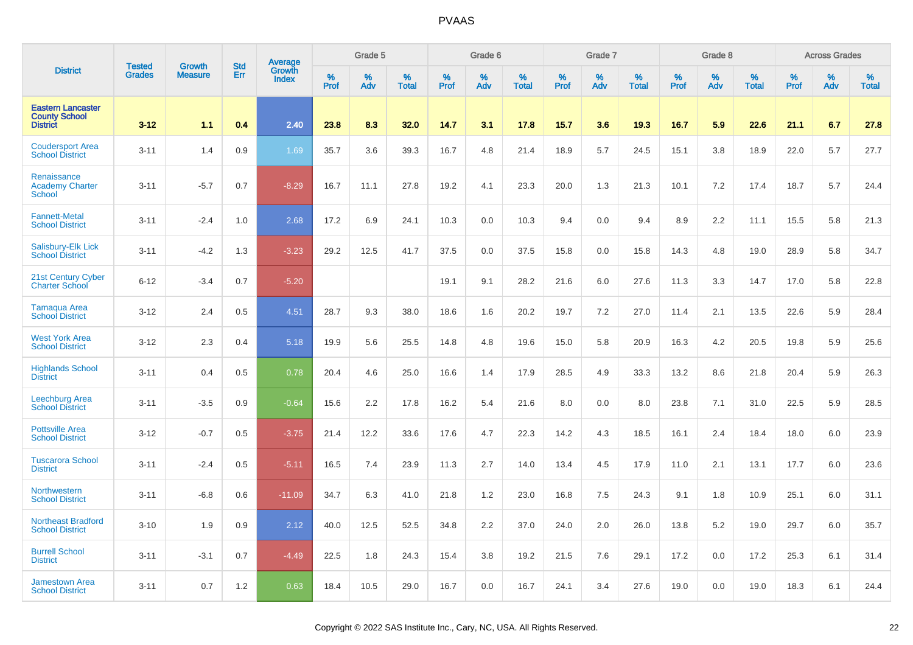|                                                                     | <b>Tested</b> | <b>Growth</b>  | <b>Std</b> | <b>Average</b><br>Growth |                     | Grade 5  |                   |                  | Grade 6  |                   |                     | Grade 7  |                   |                  | Grade 8  |                   |              | <b>Across Grades</b> |                   |
|---------------------------------------------------------------------|---------------|----------------|------------|--------------------------|---------------------|----------|-------------------|------------------|----------|-------------------|---------------------|----------|-------------------|------------------|----------|-------------------|--------------|----------------------|-------------------|
| <b>District</b>                                                     | <b>Grades</b> | <b>Measure</b> | Err        | <b>Index</b>             | $\%$<br><b>Prof</b> | %<br>Adv | %<br><b>Total</b> | %<br><b>Prof</b> | %<br>Adv | %<br><b>Total</b> | $\%$<br><b>Prof</b> | %<br>Adv | %<br><b>Total</b> | %<br><b>Prof</b> | %<br>Adv | %<br><b>Total</b> | $\%$<br>Prof | %<br>Adv             | %<br><b>Total</b> |
| <b>Eastern Lancaster</b><br><b>County School</b><br><b>District</b> | $3 - 12$      | 1.1            | 0.4        | 2.40                     | 23.8                | 8.3      | 32.0              | 14.7             | 3.1      | 17.8              | 15.7                | 3.6      | 19.3              | 16.7             | 5.9      | 22.6              | 21.1         | 6.7                  | 27.8              |
| <b>Coudersport Area</b><br><b>School District</b>                   | $3 - 11$      | 1.4            | 0.9        | 1.69                     | 35.7                | 3.6      | 39.3              | 16.7             | 4.8      | 21.4              | 18.9                | 5.7      | 24.5              | 15.1             | 3.8      | 18.9              | 22.0         | 5.7                  | 27.7              |
| Renaissance<br><b>Academy Charter</b><br><b>School</b>              | $3 - 11$      | $-5.7$         | 0.7        | $-8.29$                  | 16.7                | 11.1     | 27.8              | 19.2             | 4.1      | 23.3              | 20.0                | 1.3      | 21.3              | 10.1             | 7.2      | 17.4              | 18.7         | 5.7                  | 24.4              |
| <b>Fannett-Metal</b><br><b>School District</b>                      | $3 - 11$      | $-2.4$         | 1.0        | 2.68                     | 17.2                | 6.9      | 24.1              | 10.3             | 0.0      | 10.3              | 9.4                 | 0.0      | 9.4               | 8.9              | 2.2      | 11.1              | 15.5         | 5.8                  | 21.3              |
| Salisbury-Elk Lick<br><b>School District</b>                        | $3 - 11$      | $-4.2$         | 1.3        | $-3.23$                  | 29.2                | 12.5     | 41.7              | 37.5             | 0.0      | 37.5              | 15.8                | 0.0      | 15.8              | 14.3             | 4.8      | 19.0              | 28.9         | 5.8                  | 34.7              |
| 21st Century Cyber<br><b>Charter School</b>                         | $6 - 12$      | $-3.4$         | 0.7        | $-5.20$                  |                     |          |                   | 19.1             | 9.1      | 28.2              | 21.6                | 6.0      | 27.6              | 11.3             | 3.3      | 14.7              | 17.0         | 5.8                  | 22.8              |
| Tamaqua Area<br><b>School District</b>                              | $3 - 12$      | 2.4            | 0.5        | 4.51                     | 28.7                | 9.3      | 38.0              | 18.6             | 1.6      | 20.2              | 19.7                | 7.2      | 27.0              | 11.4             | 2.1      | 13.5              | 22.6         | 5.9                  | 28.4              |
| <b>West York Area</b><br><b>School District</b>                     | $3 - 12$      | 2.3            | 0.4        | 5.18                     | 19.9                | 5.6      | 25.5              | 14.8             | 4.8      | 19.6              | 15.0                | 5.8      | 20.9              | 16.3             | 4.2      | 20.5              | 19.8         | 5.9                  | 25.6              |
| <b>Highlands School</b><br><b>District</b>                          | $3 - 11$      | 0.4            | 0.5        | 0.78                     | 20.4                | 4.6      | 25.0              | 16.6             | 1.4      | 17.9              | 28.5                | 4.9      | 33.3              | 13.2             | 8.6      | 21.8              | 20.4         | 5.9                  | 26.3              |
| <b>Leechburg Area</b><br><b>School District</b>                     | $3 - 11$      | $-3.5$         | 0.9        | $-0.64$                  | 15.6                | 2.2      | 17.8              | 16.2             | 5.4      | 21.6              | 8.0                 | 0.0      | 8.0               | 23.8             | 7.1      | 31.0              | 22.5         | 5.9                  | 28.5              |
| <b>Pottsville Area</b><br><b>School District</b>                    | $3 - 12$      | $-0.7$         | 0.5        | $-3.75$                  | 21.4                | 12.2     | 33.6              | 17.6             | 4.7      | 22.3              | 14.2                | 4.3      | 18.5              | 16.1             | 2.4      | 18.4              | 18.0         | 6.0                  | 23.9              |
| <b>Tuscarora School</b><br><b>District</b>                          | $3 - 11$      | $-2.4$         | 0.5        | $-5.11$                  | 16.5                | 7.4      | 23.9              | 11.3             | 2.7      | 14.0              | 13.4                | 4.5      | 17.9              | 11.0             | 2.1      | 13.1              | 17.7         | 6.0                  | 23.6              |
| Northwestern<br><b>School District</b>                              | $3 - 11$      | $-6.8$         | 0.6        | $-11.09$                 | 34.7                | 6.3      | 41.0              | 21.8             | 1.2      | 23.0              | 16.8                | 7.5      | 24.3              | 9.1              | 1.8      | 10.9              | 25.1         | 6.0                  | 31.1              |
| <b>Northeast Bradford</b><br><b>School District</b>                 | $3 - 10$      | 1.9            | 0.9        | 2.12                     | 40.0                | 12.5     | 52.5              | 34.8             | 2.2      | 37.0              | 24.0                | 2.0      | 26.0              | 13.8             | 5.2      | 19.0              | 29.7         | 6.0                  | 35.7              |
| <b>Burrell School</b><br><b>District</b>                            | $3 - 11$      | $-3.1$         | 0.7        | $-4.49$                  | 22.5                | 1.8      | 24.3              | 15.4             | 3.8      | 19.2              | 21.5                | 7.6      | 29.1              | 17.2             | 0.0      | 17.2              | 25.3         | 6.1                  | 31.4              |
| <b>Jamestown Area</b><br><b>School District</b>                     | $3 - 11$      | 0.7            | 1.2        | 0.63                     | 18.4                | 10.5     | 29.0              | 16.7             | 0.0      | 16.7              | 24.1                | 3.4      | 27.6              | 19.0             | 0.0      | 19.0              | 18.3         | 6.1                  | 24.4              |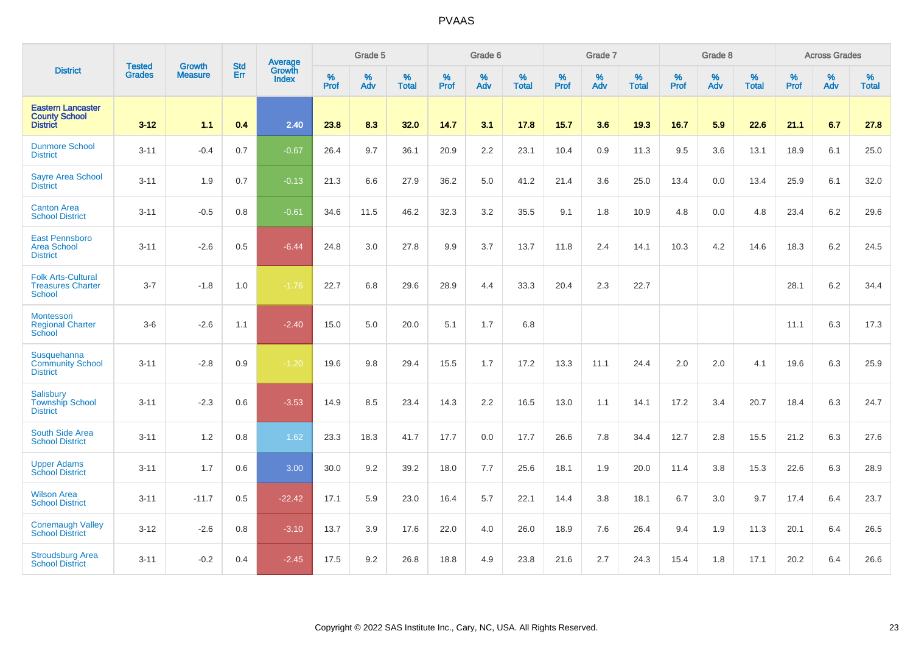|                                                                        |                                |                                 | <b>Std</b> | Average                |           | Grade 5  |                   |           | Grade 6  |                   |           | Grade 7  |                   |           | Grade 8  |                   |           | <b>Across Grades</b> |                   |
|------------------------------------------------------------------------|--------------------------------|---------------------------------|------------|------------------------|-----------|----------|-------------------|-----------|----------|-------------------|-----------|----------|-------------------|-----------|----------|-------------------|-----------|----------------------|-------------------|
| <b>District</b>                                                        | <b>Tested</b><br><b>Grades</b> | <b>Growth</b><br><b>Measure</b> | Err        | Growth<br><b>Index</b> | %<br>Prof | %<br>Adv | %<br><b>Total</b> | %<br>Prof | %<br>Adv | %<br><b>Total</b> | %<br>Prof | %<br>Adv | %<br><b>Total</b> | %<br>Prof | %<br>Adv | %<br><b>Total</b> | %<br>Prof | %<br>Adv             | %<br><b>Total</b> |
| <b>Eastern Lancaster</b><br><b>County School</b><br><b>District</b>    | $3 - 12$                       | 1.1                             | 0.4        | 2.40                   | 23.8      | 8.3      | 32.0              | 14.7      | 3.1      | 17.8              | 15.7      | 3.6      | 19.3              | 16.7      | 5.9      | 22.6              | 21.1      | 6.7                  | 27.8              |
| <b>Dunmore School</b><br><b>District</b>                               | $3 - 11$                       | $-0.4$                          | 0.7        | $-0.67$                | 26.4      | 9.7      | 36.1              | 20.9      | 2.2      | 23.1              | 10.4      | 0.9      | 11.3              | 9.5       | 3.6      | 13.1              | 18.9      | 6.1                  | 25.0              |
| <b>Sayre Area School</b><br><b>District</b>                            | $3 - 11$                       | 1.9                             | 0.7        | $-0.13$                | 21.3      | 6.6      | 27.9              | 36.2      | 5.0      | 41.2              | 21.4      | 3.6      | 25.0              | 13.4      | 0.0      | 13.4              | 25.9      | 6.1                  | 32.0              |
| <b>Canton Area</b><br><b>School District</b>                           | $3 - 11$                       | $-0.5$                          | 0.8        | $-0.61$                | 34.6      | 11.5     | 46.2              | 32.3      | 3.2      | 35.5              | 9.1       | 1.8      | 10.9              | 4.8       | 0.0      | 4.8               | 23.4      | 6.2                  | 29.6              |
| <b>East Pennsboro</b><br><b>Area School</b><br><b>District</b>         | $3 - 11$                       | $-2.6$                          | 0.5        | $-6.44$                | 24.8      | 3.0      | 27.8              | 9.9       | 3.7      | 13.7              | 11.8      | 2.4      | 14.1              | 10.3      | 4.2      | 14.6              | 18.3      | 6.2                  | 24.5              |
| <b>Folk Arts-Cultural</b><br><b>Treasures Charter</b><br><b>School</b> | $3 - 7$                        | $-1.8$                          | 1.0        | $-1.76$                | 22.7      | 6.8      | 29.6              | 28.9      | 4.4      | 33.3              | 20.4      | 2.3      | 22.7              |           |          |                   | 28.1      | 6.2                  | 34.4              |
| Montessori<br><b>Regional Charter</b><br>School                        | $3-6$                          | $-2.6$                          | 1.1        | $-2.40$                | 15.0      | 5.0      | 20.0              | 5.1       | 1.7      | 6.8               |           |          |                   |           |          |                   | 11.1      | 6.3                  | 17.3              |
| Susquehanna<br><b>Community School</b><br><b>District</b>              | $3 - 11$                       | $-2.8$                          | 0.9        | $-1.20$                | 19.6      | 9.8      | 29.4              | 15.5      | 1.7      | 17.2              | 13.3      | 11.1     | 24.4              | 2.0       | 2.0      | 4.1               | 19.6      | 6.3                  | 25.9              |
| <b>Salisbury</b><br><b>Township School</b><br><b>District</b>          | $3 - 11$                       | $-2.3$                          | 0.6        | $-3.53$                | 14.9      | 8.5      | 23.4              | 14.3      | 2.2      | 16.5              | 13.0      | 1.1      | 14.1              | 17.2      | 3.4      | 20.7              | 18.4      | 6.3                  | 24.7              |
| <b>South Side Area</b><br><b>School District</b>                       | $3 - 11$                       | 1.2                             | 0.8        | 1.62                   | 23.3      | 18.3     | 41.7              | 17.7      | 0.0      | 17.7              | 26.6      | 7.8      | 34.4              | 12.7      | 2.8      | 15.5              | 21.2      | 6.3                  | 27.6              |
| <b>Upper Adams</b><br><b>School District</b>                           | $3 - 11$                       | 1.7                             | 0.6        | 3.00                   | 30.0      | 9.2      | 39.2              | 18.0      | 7.7      | 25.6              | 18.1      | 1.9      | 20.0              | 11.4      | 3.8      | 15.3              | 22.6      | 6.3                  | 28.9              |
| <b>Wilson Area</b><br><b>School District</b>                           | $3 - 11$                       | $-11.7$                         | 0.5        | $-22.42$               | 17.1      | 5.9      | 23.0              | 16.4      | 5.7      | 22.1              | 14.4      | 3.8      | 18.1              | 6.7       | 3.0      | 9.7               | 17.4      | 6.4                  | 23.7              |
| <b>Conemaugh Valley</b><br><b>School District</b>                      | $3 - 12$                       | $-2.6$                          | 0.8        | $-3.10$                | 13.7      | 3.9      | 17.6              | 22.0      | 4.0      | 26.0              | 18.9      | 7.6      | 26.4              | 9.4       | 1.9      | 11.3              | 20.1      | 6.4                  | 26.5              |
| <b>Stroudsburg Area</b><br><b>School District</b>                      | $3 - 11$                       | $-0.2$                          | 0.4        | $-2.45$                | 17.5      | 9.2      | 26.8              | 18.8      | 4.9      | 23.8              | 21.6      | 2.7      | 24.3              | 15.4      | 1.8      | 17.1              | 20.2      | 6.4                  | 26.6              |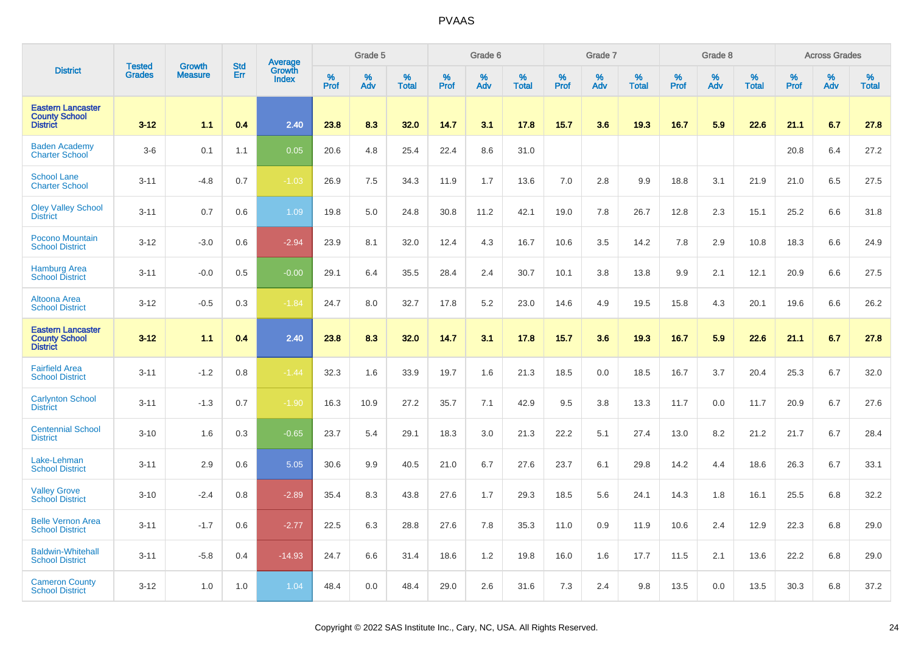|                                                                     | <b>Tested</b> | <b>Growth</b>  | <b>Std</b> |                                   |           | Grade 5  |                   |           | Grade 6  |                   |           | Grade 7  |                   |           | Grade 8  |                   |           | <b>Across Grades</b> |                   |
|---------------------------------------------------------------------|---------------|----------------|------------|-----------------------------------|-----------|----------|-------------------|-----------|----------|-------------------|-----------|----------|-------------------|-----------|----------|-------------------|-----------|----------------------|-------------------|
| <b>District</b>                                                     | <b>Grades</b> | <b>Measure</b> | Err        | Average<br>Growth<br><b>Index</b> | %<br>Prof | %<br>Adv | %<br><b>Total</b> | %<br>Prof | %<br>Adv | %<br><b>Total</b> | %<br>Prof | %<br>Adv | %<br><b>Total</b> | %<br>Prof | %<br>Adv | %<br><b>Total</b> | %<br>Prof | %<br>Adv             | %<br><b>Total</b> |
| <b>Eastern Lancaster</b><br><b>County School</b><br><b>District</b> | $3 - 12$      | 1.1            | 0.4        | 2.40                              | 23.8      | 8.3      | 32.0              | 14.7      | 3.1      | 17.8              | 15.7      | 3.6      | 19.3              | 16.7      | 5.9      | 22.6              | 21.1      | 6.7                  | 27.8              |
| <b>Baden Academy</b><br><b>Charter School</b>                       | $3-6$         | 0.1            | 1.1        | 0.05                              | 20.6      | 4.8      | 25.4              | 22.4      | 8.6      | 31.0              |           |          |                   |           |          |                   | 20.8      | 6.4                  | 27.2              |
| <b>School Lane</b><br><b>Charter School</b>                         | $3 - 11$      | $-4.8$         | 0.7        | $-1.03$                           | 26.9      | 7.5      | 34.3              | 11.9      | 1.7      | 13.6              | 7.0       | 2.8      | 9.9               | 18.8      | 3.1      | 21.9              | 21.0      | 6.5                  | 27.5              |
| <b>Oley Valley School</b><br><b>District</b>                        | $3 - 11$      | 0.7            | 0.6        | 1.09                              | 19.8      | 5.0      | 24.8              | 30.8      | 11.2     | 42.1              | 19.0      | 7.8      | 26.7              | 12.8      | 2.3      | 15.1              | 25.2      | 6.6                  | 31.8              |
| <b>Pocono Mountain</b><br><b>School District</b>                    | $3 - 12$      | $-3.0$         | 0.6        | $-2.94$                           | 23.9      | 8.1      | 32.0              | 12.4      | 4.3      | 16.7              | 10.6      | 3.5      | 14.2              | 7.8       | 2.9      | 10.8              | 18.3      | 6.6                  | 24.9              |
| <b>Hamburg Area</b><br><b>School District</b>                       | $3 - 11$      | $-0.0$         | 0.5        | $-0.00$                           | 29.1      | 6.4      | 35.5              | 28.4      | 2.4      | 30.7              | 10.1      | 3.8      | 13.8              | 9.9       | 2.1      | 12.1              | 20.9      | 6.6                  | 27.5              |
| <b>Altoona Area</b><br><b>School District</b>                       | $3 - 12$      | $-0.5$         | 0.3        | $-1.84$                           | 24.7      | 8.0      | 32.7              | 17.8      | 5.2      | 23.0              | 14.6      | 4.9      | 19.5              | 15.8      | 4.3      | 20.1              | 19.6      | 6.6                  | 26.2              |
| <b>Eastern Lancaster</b><br><b>County School</b><br><b>District</b> | $3 - 12$      | 1.1            | 0.4        | 2.40                              | 23.8      | 8.3      | 32.0              | 14.7      | 3.1      | 17.8              | 15.7      | 3.6      | 19.3              | 16.7      | 5.9      | 22.6              | 21.1      | 6.7                  | 27.8              |
| <b>Fairfield Area</b><br><b>School District</b>                     | $3 - 11$      | $-1.2$         | 0.8        | $-1.44$                           | 32.3      | 1.6      | 33.9              | 19.7      | 1.6      | 21.3              | 18.5      | 0.0      | 18.5              | 16.7      | 3.7      | 20.4              | 25.3      | 6.7                  | 32.0              |
| <b>Carlynton School</b><br><b>District</b>                          | $3 - 11$      | $-1.3$         | 0.7        | $-1.90$                           | 16.3      | 10.9     | 27.2              | 35.7      | 7.1      | 42.9              | 9.5       | 3.8      | 13.3              | 11.7      | 0.0      | 11.7              | 20.9      | 6.7                  | 27.6              |
| <b>Centennial School</b><br><b>District</b>                         | $3 - 10$      | 1.6            | 0.3        | $-0.65$                           | 23.7      | 5.4      | 29.1              | 18.3      | 3.0      | 21.3              | 22.2      | 5.1      | 27.4              | 13.0      | 8.2      | 21.2              | 21.7      | 6.7                  | 28.4              |
| Lake-Lehman<br><b>School District</b>                               | $3 - 11$      | 2.9            | 0.6        | 5.05                              | 30.6      | 9.9      | 40.5              | 21.0      | 6.7      | 27.6              | 23.7      | 6.1      | 29.8              | 14.2      | 4.4      | 18.6              | 26.3      | 6.7                  | 33.1              |
| <b>Valley Grove</b><br><b>School District</b>                       | $3 - 10$      | $-2.4$         | 0.8        | $-2.89$                           | 35.4      | 8.3      | 43.8              | 27.6      | 1.7      | 29.3              | 18.5      | 5.6      | 24.1              | 14.3      | 1.8      | 16.1              | 25.5      | 6.8                  | 32.2              |
| <b>Belle Vernon Area</b><br><b>School District</b>                  | $3 - 11$      | $-1.7$         | 0.6        | $-2.77$                           | 22.5      | 6.3      | 28.8              | 27.6      | 7.8      | 35.3              | 11.0      | 0.9      | 11.9              | 10.6      | 2.4      | 12.9              | 22.3      | 6.8                  | 29.0              |
| <b>Baldwin-Whitehall</b><br><b>School District</b>                  | $3 - 11$      | $-5.8$         | 0.4        | $-14.93$                          | 24.7      | 6.6      | 31.4              | 18.6      | 1.2      | 19.8              | 16.0      | 1.6      | 17.7              | 11.5      | 2.1      | 13.6              | 22.2      | 6.8                  | 29.0              |
| <b>Cameron County</b><br><b>School District</b>                     | $3 - 12$      | 1.0            | 1.0        | 1.04                              | 48.4      | 0.0      | 48.4              | 29.0      | 2.6      | 31.6              | 7.3       | 2.4      | 9.8               | 13.5      | 0.0      | 13.5              | 30.3      | 6.8                  | 37.2              |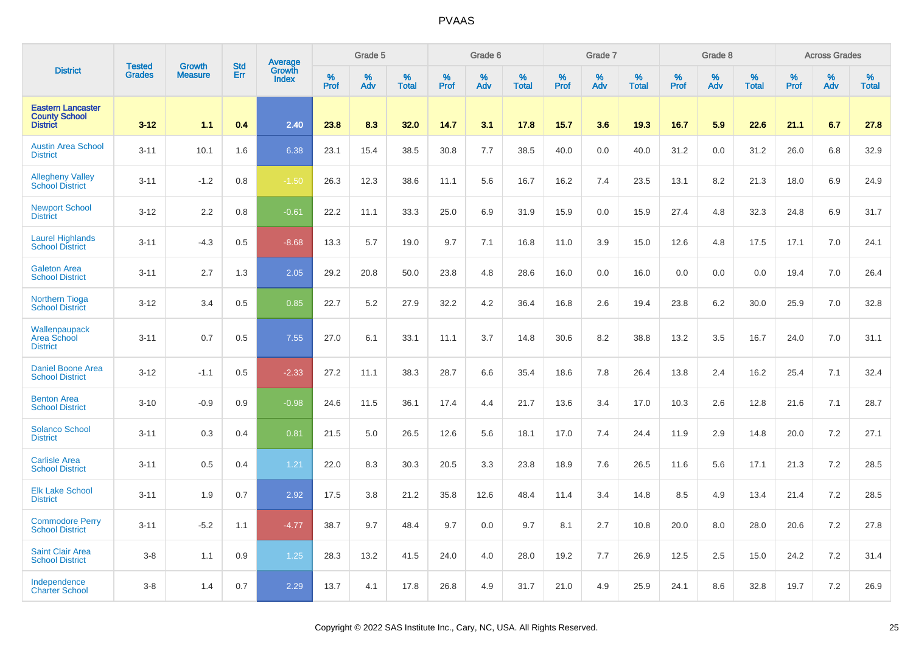|                                                                     | <b>Tested</b> | <b>Growth</b>  | <b>Std</b> |                                   |                  | Grade 5  |                   |              | Grade 6  |                   |              | Grade 7  |                   |           | Grade 8  |                   |                  | <b>Across Grades</b> |                   |
|---------------------------------------------------------------------|---------------|----------------|------------|-----------------------------------|------------------|----------|-------------------|--------------|----------|-------------------|--------------|----------|-------------------|-----------|----------|-------------------|------------------|----------------------|-------------------|
| <b>District</b>                                                     | <b>Grades</b> | <b>Measure</b> | Err        | Average<br>Growth<br><b>Index</b> | %<br><b>Prof</b> | %<br>Adv | %<br><b>Total</b> | $\%$<br>Prof | %<br>Adv | %<br><b>Total</b> | $\%$<br>Prof | %<br>Adv | %<br><b>Total</b> | %<br>Prof | %<br>Adv | %<br><b>Total</b> | %<br><b>Prof</b> | %<br>Adv             | %<br><b>Total</b> |
| <b>Eastern Lancaster</b><br><b>County School</b><br><b>District</b> | $3 - 12$      | 1.1            | 0.4        | 2.40                              | 23.8             | 8.3      | 32.0              | 14.7         | 3.1      | 17.8              | 15.7         | 3.6      | 19.3              | 16.7      | 5.9      | 22.6              | 21.1             | 6.7                  | 27.8              |
| <b>Austin Area School</b><br><b>District</b>                        | $3 - 11$      | 10.1           | 1.6        | 6.38                              | 23.1             | 15.4     | 38.5              | 30.8         | 7.7      | 38.5              | 40.0         | 0.0      | 40.0              | 31.2      | 0.0      | 31.2              | 26.0             | 6.8                  | 32.9              |
| <b>Allegheny Valley</b><br><b>School District</b>                   | $3 - 11$      | $-1.2$         | 0.8        | $-1.50$                           | 26.3             | 12.3     | 38.6              | 11.1         | 5.6      | 16.7              | 16.2         | 7.4      | 23.5              | 13.1      | 8.2      | 21.3              | 18.0             | 6.9                  | 24.9              |
| <b>Newport School</b><br><b>District</b>                            | $3 - 12$      | 2.2            | 0.8        | $-0.61$                           | 22.2             | 11.1     | 33.3              | 25.0         | 6.9      | 31.9              | 15.9         | 0.0      | 15.9              | 27.4      | 4.8      | 32.3              | 24.8             | 6.9                  | 31.7              |
| <b>Laurel Highlands</b><br><b>School District</b>                   | $3 - 11$      | $-4.3$         | 0.5        | $-8.68$                           | 13.3             | 5.7      | 19.0              | 9.7          | 7.1      | 16.8              | 11.0         | 3.9      | 15.0              | 12.6      | 4.8      | 17.5              | 17.1             | 7.0                  | 24.1              |
| <b>Galeton Area</b><br><b>School District</b>                       | $3 - 11$      | 2.7            | 1.3        | 2.05                              | 29.2             | 20.8     | 50.0              | 23.8         | 4.8      | 28.6              | 16.0         | 0.0      | 16.0              | 0.0       | 0.0      | 0.0               | 19.4             | 7.0                  | 26.4              |
| <b>Northern Tioga</b><br><b>School District</b>                     | $3 - 12$      | 3.4            | 0.5        | 0.85                              | 22.7             | 5.2      | 27.9              | 32.2         | 4.2      | 36.4              | 16.8         | 2.6      | 19.4              | 23.8      | 6.2      | 30.0              | 25.9             | 7.0                  | 32.8              |
| Wallenpaupack<br>Area School<br><b>District</b>                     | $3 - 11$      | 0.7            | 0.5        | 7.55                              | 27.0             | 6.1      | 33.1              | 11.1         | 3.7      | 14.8              | 30.6         | 8.2      | 38.8              | 13.2      | 3.5      | 16.7              | 24.0             | 7.0                  | 31.1              |
| <b>Daniel Boone Area</b><br><b>School District</b>                  | $3 - 12$      | $-1.1$         | 0.5        | $-2.33$                           | 27.2             | 11.1     | 38.3              | 28.7         | 6.6      | 35.4              | 18.6         | 7.8      | 26.4              | 13.8      | 2.4      | 16.2              | 25.4             | 7.1                  | 32.4              |
| <b>Benton Area</b><br><b>School District</b>                        | $3 - 10$      | $-0.9$         | 0.9        | $-0.98$                           | 24.6             | 11.5     | 36.1              | 17.4         | 4.4      | 21.7              | 13.6         | 3.4      | 17.0              | 10.3      | 2.6      | 12.8              | 21.6             | 7.1                  | 28.7              |
| <b>Solanco School</b><br><b>District</b>                            | $3 - 11$      | 0.3            | 0.4        | 0.81                              | 21.5             | 5.0      | 26.5              | 12.6         | 5.6      | 18.1              | 17.0         | 7.4      | 24.4              | 11.9      | 2.9      | 14.8              | 20.0             | 7.2                  | 27.1              |
| <b>Carlisle Area</b><br><b>School District</b>                      | $3 - 11$      | 0.5            | 0.4        | 1.21                              | 22.0             | 8.3      | 30.3              | 20.5         | 3.3      | 23.8              | 18.9         | 7.6      | 26.5              | 11.6      | 5.6      | 17.1              | 21.3             | 7.2                  | 28.5              |
| <b>Elk Lake School</b><br><b>District</b>                           | $3 - 11$      | 1.9            | 0.7        | 2.92                              | 17.5             | 3.8      | 21.2              | 35.8         | 12.6     | 48.4              | 11.4         | 3.4      | 14.8              | 8.5       | 4.9      | 13.4              | 21.4             | 7.2                  | 28.5              |
| <b>Commodore Perry</b><br><b>School District</b>                    | $3 - 11$      | $-5.2$         | 1.1        | $-4.77$                           | 38.7             | 9.7      | 48.4              | 9.7          | 0.0      | 9.7               | 8.1          | 2.7      | 10.8              | 20.0      | 8.0      | 28.0              | 20.6             | 7.2                  | 27.8              |
| <b>Saint Clair Area</b><br><b>School District</b>                   | $3 - 8$       | 1.1            | 0.9        | 1.25                              | 28.3             | 13.2     | 41.5              | 24.0         | 4.0      | 28.0              | 19.2         | 7.7      | 26.9              | 12.5      | 2.5      | 15.0              | 24.2             | 7.2                  | 31.4              |
| Independence<br><b>Charter School</b>                               | $3 - 8$       | 1.4            | 0.7        | 2.29                              | 13.7             | 4.1      | 17.8              | 26.8         | 4.9      | 31.7              | 21.0         | 4.9      | 25.9              | 24.1      | 8.6      | 32.8              | 19.7             | 7.2                  | 26.9              |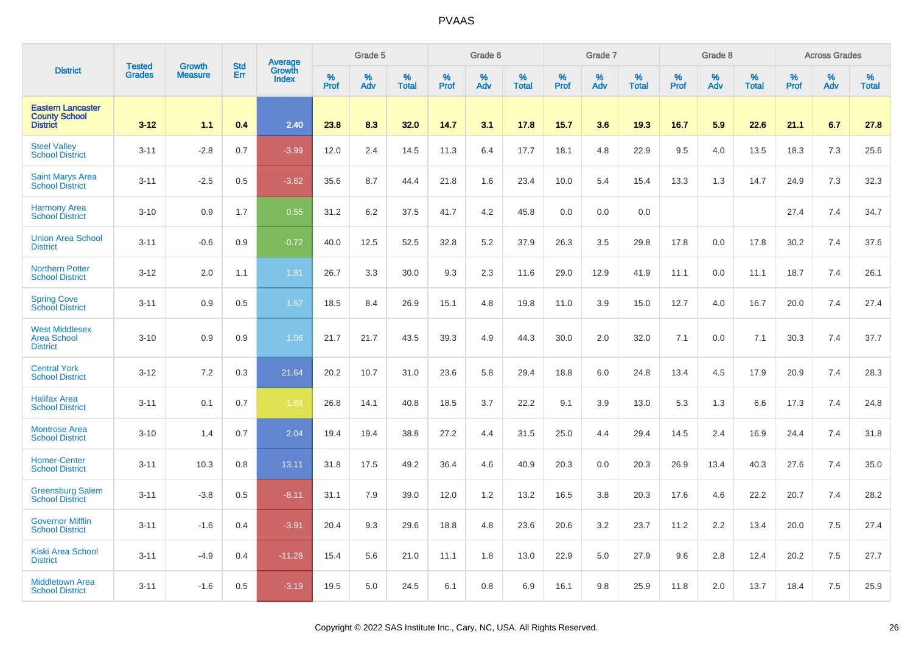|                                                                     | <b>Tested</b> | <b>Growth</b>  | <b>Std</b> |                                          |                     | Grade 5     |                   |                  | Grade 6  |                   |                     | Grade 7  |                   |              | Grade 8  |                   |              | <b>Across Grades</b> |                   |
|---------------------------------------------------------------------|---------------|----------------|------------|------------------------------------------|---------------------|-------------|-------------------|------------------|----------|-------------------|---------------------|----------|-------------------|--------------|----------|-------------------|--------------|----------------------|-------------------|
| <b>District</b>                                                     | <b>Grades</b> | <b>Measure</b> | Err        | <b>Average</b><br>Growth<br><b>Index</b> | $\%$<br><b>Prof</b> | $\%$<br>Adv | %<br><b>Total</b> | %<br><b>Prof</b> | %<br>Adv | %<br><b>Total</b> | $\%$<br><b>Prof</b> | %<br>Adv | %<br><b>Total</b> | $\%$<br>Prof | %<br>Adv | %<br><b>Total</b> | $\%$<br>Prof | $\%$<br>Adv          | %<br><b>Total</b> |
| <b>Eastern Lancaster</b><br><b>County School</b><br><b>District</b> | $3 - 12$      | 1.1            | 0.4        | 2.40                                     | 23.8                | 8.3         | 32.0              | 14.7             | 3.1      | 17.8              | 15.7                | 3.6      | 19.3              | 16.7         | 5.9      | 22.6              | 21.1         | 6.7                  | 27.8              |
| <b>Steel Valley</b><br><b>School District</b>                       | $3 - 11$      | $-2.8$         | 0.7        | $-3.99$                                  | 12.0                | 2.4         | 14.5              | 11.3             | 6.4      | 17.7              | 18.1                | 4.8      | 22.9              | 9.5          | 4.0      | 13.5              | 18.3         | 7.3                  | 25.6              |
| <b>Saint Marys Area</b><br><b>School District</b>                   | $3 - 11$      | $-2.5$         | 0.5        | $-3.62$                                  | 35.6                | 8.7         | 44.4              | 21.8             | 1.6      | 23.4              | 10.0                | 5.4      | 15.4              | 13.3         | 1.3      | 14.7              | 24.9         | 7.3                  | 32.3              |
| <b>Harmony Area</b><br><b>School District</b>                       | $3 - 10$      | 0.9            | 1.7        | 0.55                                     | 31.2                | 6.2         | 37.5              | 41.7             | 4.2      | 45.8              | 0.0                 | 0.0      | 0.0               |              |          |                   | 27.4         | 7.4                  | 34.7              |
| <b>Union Area School</b><br><b>District</b>                         | $3 - 11$      | $-0.6$         | 0.9        | $-0.72$                                  | 40.0                | 12.5        | 52.5              | 32.8             | 5.2      | 37.9              | 26.3                | 3.5      | 29.8              | 17.8         | 0.0      | 17.8              | 30.2         | 7.4                  | 37.6              |
| <b>Northern Potter</b><br><b>School District</b>                    | $3 - 12$      | 2.0            | 1.1        | 1.81                                     | 26.7                | 3.3         | 30.0              | 9.3              | 2.3      | 11.6              | 29.0                | 12.9     | 41.9              | 11.1         | 0.0      | 11.1              | 18.7         | 7.4                  | 26.1              |
| <b>Spring Cove</b><br>School District                               | $3 - 11$      | 0.9            | 0.5        | 1.67                                     | 18.5                | 8.4         | 26.9              | 15.1             | 4.8      | 19.8              | 11.0                | 3.9      | 15.0              | 12.7         | 4.0      | 16.7              | 20.0         | 7.4                  | 27.4              |
| <b>West Middlesex</b><br><b>Area School</b><br><b>District</b>      | $3 - 10$      | 0.9            | 0.9        | 1.06                                     | 21.7                | 21.7        | 43.5              | 39.3             | 4.9      | 44.3              | 30.0                | 2.0      | 32.0              | 7.1          | 0.0      | 7.1               | 30.3         | 7.4                  | 37.7              |
| <b>Central York</b><br><b>School District</b>                       | $3 - 12$      | 7.2            | 0.3        | 21.64                                    | 20.2                | 10.7        | 31.0              | 23.6             | 5.8      | 29.4              | 18.8                | 6.0      | 24.8              | 13.4         | 4.5      | 17.9              | 20.9         | 7.4                  | 28.3              |
| <b>Halifax Area</b><br><b>School District</b>                       | $3 - 11$      | 0.1            | 0.7        | $-1.68$                                  | 26.8                | 14.1        | 40.8              | 18.5             | 3.7      | 22.2              | 9.1                 | 3.9      | 13.0              | 5.3          | 1.3      | 6.6               | 17.3         | 7.4                  | 24.8              |
| <b>Montrose Area</b><br><b>School District</b>                      | $3 - 10$      | 1.4            | 0.7        | 2.04                                     | 19.4                | 19.4        | 38.8              | 27.2             | 4.4      | 31.5              | 25.0                | 4.4      | 29.4              | 14.5         | 2.4      | 16.9              | 24.4         | 7.4                  | 31.8              |
| <b>Homer-Center</b><br><b>School District</b>                       | $3 - 11$      | 10.3           | 0.8        | 13.11                                    | 31.8                | 17.5        | 49.2              | 36.4             | 4.6      | 40.9              | 20.3                | 0.0      | 20.3              | 26.9         | 13.4     | 40.3              | 27.6         | 7.4                  | 35.0              |
| <b>Greensburg Salem</b><br><b>School District</b>                   | $3 - 11$      | $-3.8$         | 0.5        | $-8.11$                                  | 31.1                | 7.9         | 39.0              | 12.0             | 1.2      | 13.2              | 16.5                | 3.8      | 20.3              | 17.6         | 4.6      | 22.2              | 20.7         | 7.4                  | 28.2              |
| <b>Governor Mifflin</b><br><b>School District</b>                   | $3 - 11$      | $-1.6$         | 0.4        | $-3.91$                                  | 20.4                | 9.3         | 29.6              | 18.8             | 4.8      | 23.6              | 20.6                | 3.2      | 23.7              | 11.2         | 2.2      | 13.4              | 20.0         | 7.5                  | 27.4              |
| <b>Kiski Area School</b><br><b>District</b>                         | $3 - 11$      | $-4.9$         | 0.4        | $-11.28$                                 | 15.4                | 5.6         | 21.0              | 11.1             | 1.8      | 13.0              | 22.9                | 5.0      | 27.9              | 9.6          | 2.8      | 12.4              | 20.2         | 7.5                  | 27.7              |
| <b>Middletown Area</b><br><b>School District</b>                    | $3 - 11$      | $-1.6$         | 0.5        | $-3.19$                                  | 19.5                | 5.0         | 24.5              | 6.1              | 0.8      | 6.9               | 16.1                | 9.8      | 25.9              | 11.8         | 2.0      | 13.7              | 18.4         | 7.5                  | 25.9              |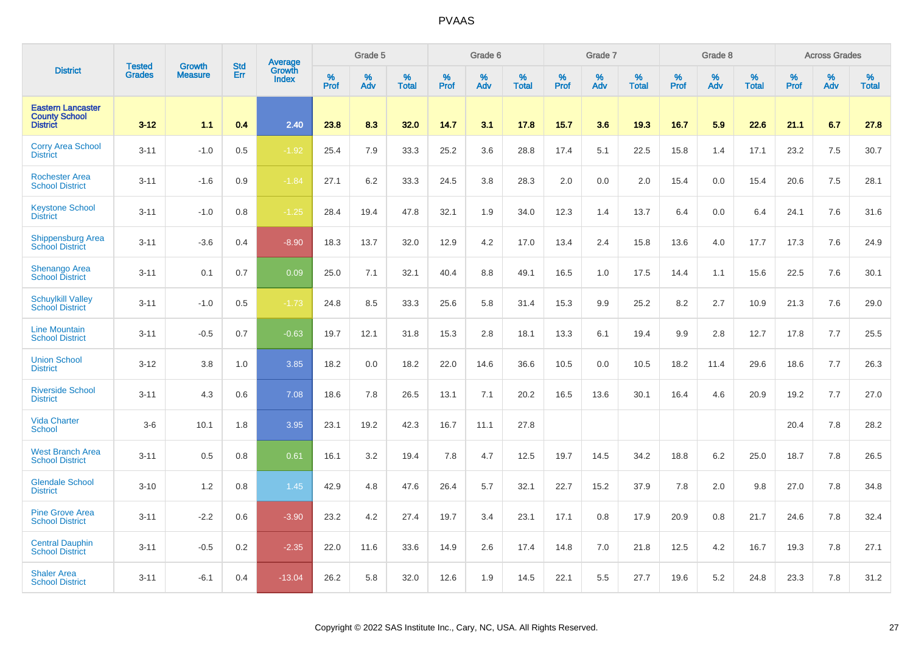|                                                                     | <b>Tested</b> | <b>Growth</b>  | <b>Std</b> | Average                |                     | Grade 5     |                      |                     | Grade 6  |                      |                     | Grade 7  |                      |              | Grade 8     |                      |              | <b>Across Grades</b> |                      |
|---------------------------------------------------------------------|---------------|----------------|------------|------------------------|---------------------|-------------|----------------------|---------------------|----------|----------------------|---------------------|----------|----------------------|--------------|-------------|----------------------|--------------|----------------------|----------------------|
| <b>District</b>                                                     | Grades        | <b>Measure</b> | Err        | Growth<br><b>Index</b> | $\%$<br><b>Prof</b> | $\%$<br>Adv | $\%$<br><b>Total</b> | $\%$<br><b>Prof</b> | %<br>Adv | $\%$<br><b>Total</b> | $\%$<br><b>Prof</b> | %<br>Adv | $\%$<br><b>Total</b> | $\%$<br>Prof | $\%$<br>Adv | $\%$<br><b>Total</b> | $\%$<br>Prof | %<br>Adv             | $\%$<br><b>Total</b> |
| <b>Eastern Lancaster</b><br><b>County School</b><br><b>District</b> | $3 - 12$      | 1.1            | 0.4        | 2.40                   | 23.8                | 8.3         | 32.0                 | 14.7                | 3.1      | 17.8                 | 15.7                | 3.6      | 19.3                 | 16.7         | 5.9         | 22.6                 | 21.1         | 6.7                  | 27.8                 |
| <b>Corry Area School</b><br><b>District</b>                         | $3 - 11$      | $-1.0$         | 0.5        | $-1.92$                | 25.4                | 7.9         | 33.3                 | 25.2                | 3.6      | 28.8                 | 17.4                | 5.1      | 22.5                 | 15.8         | 1.4         | 17.1                 | 23.2         | 7.5                  | 30.7                 |
| <b>Rochester Area</b><br><b>School District</b>                     | $3 - 11$      | $-1.6$         | 0.9        | $-1.84$                | 27.1                | 6.2         | 33.3                 | 24.5                | 3.8      | 28.3                 | 2.0                 | 0.0      | 2.0                  | 15.4         | 0.0         | 15.4                 | 20.6         | 7.5                  | 28.1                 |
| <b>Keystone School</b><br><b>District</b>                           | $3 - 11$      | $-1.0$         | 0.8        | $-1.25$                | 28.4                | 19.4        | 47.8                 | 32.1                | 1.9      | 34.0                 | 12.3                | 1.4      | 13.7                 | 6.4          | 0.0         | 6.4                  | 24.1         | 7.6                  | 31.6                 |
| Shippensburg Area<br><b>School District</b>                         | $3 - 11$      | $-3.6$         | 0.4        | $-8.90$                | 18.3                | 13.7        | 32.0                 | 12.9                | 4.2      | 17.0                 | 13.4                | 2.4      | 15.8                 | 13.6         | 4.0         | 17.7                 | 17.3         | 7.6                  | 24.9                 |
| <b>Shenango Area</b><br><b>School District</b>                      | $3 - 11$      | 0.1            | 0.7        | 0.09                   | 25.0                | 7.1         | 32.1                 | 40.4                | 8.8      | 49.1                 | 16.5                | 1.0      | 17.5                 | 14.4         | 1.1         | 15.6                 | 22.5         | 7.6                  | 30.1                 |
| <b>Schuylkill Valley</b><br><b>School District</b>                  | $3 - 11$      | $-1.0$         | 0.5        | $-1.73$                | 24.8                | 8.5         | 33.3                 | 25.6                | 5.8      | 31.4                 | 15.3                | 9.9      | 25.2                 | 8.2          | 2.7         | 10.9                 | 21.3         | 7.6                  | 29.0                 |
| <b>Line Mountain</b><br><b>School District</b>                      | $3 - 11$      | $-0.5$         | 0.7        | $-0.63$                | 19.7                | 12.1        | 31.8                 | 15.3                | 2.8      | 18.1                 | 13.3                | 6.1      | 19.4                 | 9.9          | 2.8         | 12.7                 | 17.8         | 7.7                  | 25.5                 |
| <b>Union School</b><br><b>District</b>                              | $3 - 12$      | 3.8            | 1.0        | 3.85                   | 18.2                | 0.0         | 18.2                 | 22.0                | 14.6     | 36.6                 | 10.5                | 0.0      | 10.5                 | 18.2         | 11.4        | 29.6                 | 18.6         | 7.7                  | 26.3                 |
| <b>Riverside School</b><br><b>District</b>                          | $3 - 11$      | 4.3            | 0.6        | 7.08                   | 18.6                | 7.8         | 26.5                 | 13.1                | 7.1      | 20.2                 | 16.5                | 13.6     | 30.1                 | 16.4         | 4.6         | 20.9                 | 19.2         | 7.7                  | 27.0                 |
| <b>Vida Charter</b><br><b>School</b>                                | $3-6$         | 10.1           | 1.8        | 3.95                   | 23.1                | 19.2        | 42.3                 | 16.7                | 11.1     | 27.8                 |                     |          |                      |              |             |                      | 20.4         | 7.8                  | 28.2                 |
| <b>West Branch Area</b><br><b>School District</b>                   | $3 - 11$      | 0.5            | 0.8        | 0.61                   | 16.1                | 3.2         | 19.4                 | 7.8                 | 4.7      | 12.5                 | 19.7                | 14.5     | 34.2                 | 18.8         | 6.2         | 25.0                 | 18.7         | 7.8                  | 26.5                 |
| <b>Glendale School</b><br><b>District</b>                           | $3 - 10$      | 1.2            | 0.8        | 1.45                   | 42.9                | 4.8         | 47.6                 | 26.4                | 5.7      | 32.1                 | 22.7                | 15.2     | 37.9                 | 7.8          | 2.0         | 9.8                  | 27.0         | 7.8                  | 34.8                 |
| <b>Pine Grove Area</b><br><b>School District</b>                    | $3 - 11$      | $-2.2$         | 0.6        | $-3.90$                | 23.2                | 4.2         | 27.4                 | 19.7                | 3.4      | 23.1                 | 17.1                | 0.8      | 17.9                 | 20.9         | 0.8         | 21.7                 | 24.6         | 7.8                  | 32.4                 |
| <b>Central Dauphin</b><br><b>School District</b>                    | $3 - 11$      | $-0.5$         | 0.2        | $-2.35$                | 22.0                | 11.6        | 33.6                 | 14.9                | 2.6      | 17.4                 | 14.8                | 7.0      | 21.8                 | 12.5         | 4.2         | 16.7                 | 19.3         | 7.8                  | 27.1                 |
| <b>Shaler Area</b><br><b>School District</b>                        | $3 - 11$      | $-6.1$         | 0.4        | $-13.04$               | 26.2                | 5.8         | 32.0                 | 12.6                | 1.9      | 14.5                 | 22.1                | 5.5      | 27.7                 | 19.6         | 5.2         | 24.8                 | 23.3         | 7.8                  | 31.2                 |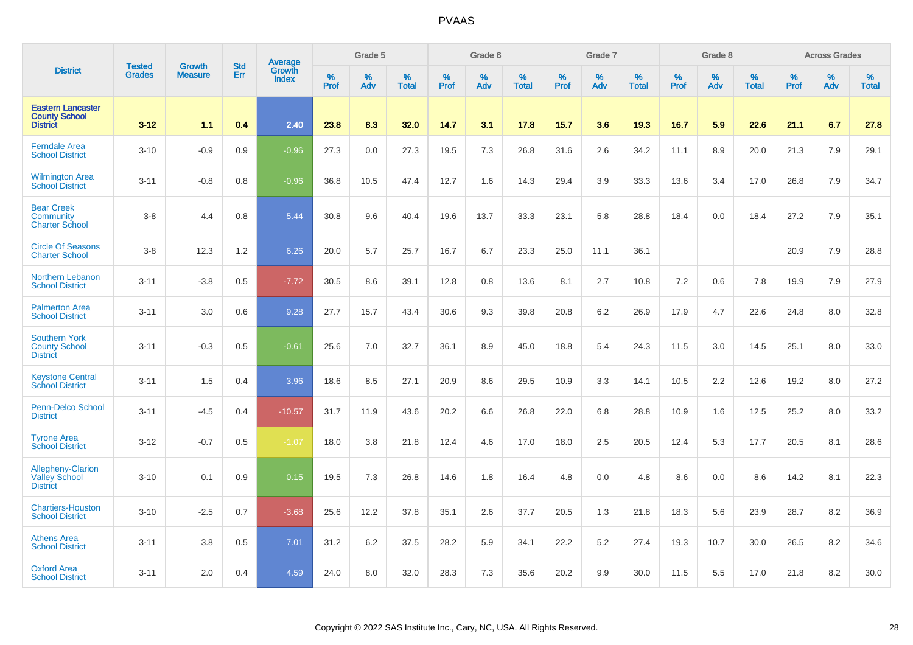|                                                                     | <b>Tested</b> | <b>Growth</b>  | <b>Std</b> | <b>Average</b><br>Growth |                     | Grade 5  |                   |                  | Grade 6  |                   |                  | Grade 7  |                   |                  | Grade 8     |                   |                  | <b>Across Grades</b> |                   |
|---------------------------------------------------------------------|---------------|----------------|------------|--------------------------|---------------------|----------|-------------------|------------------|----------|-------------------|------------------|----------|-------------------|------------------|-------------|-------------------|------------------|----------------------|-------------------|
| <b>District</b>                                                     | <b>Grades</b> | <b>Measure</b> | Err        | <b>Index</b>             | $\%$<br><b>Prof</b> | %<br>Adv | %<br><b>Total</b> | %<br><b>Prof</b> | %<br>Adv | %<br><b>Total</b> | %<br><b>Prof</b> | %<br>Adv | %<br><b>Total</b> | %<br><b>Prof</b> | $\%$<br>Adv | %<br><b>Total</b> | %<br><b>Prof</b> | %<br>Adv             | %<br><b>Total</b> |
| <b>Eastern Lancaster</b><br><b>County School</b><br><b>District</b> | $3 - 12$      | 1.1            | 0.4        | 2.40                     | 23.8                | 8.3      | 32.0              | 14.7             | 3.1      | 17.8              | 15.7             | 3.6      | 19.3              | 16.7             | 5.9         | 22.6              | 21.1             | 6.7                  | 27.8              |
| <b>Ferndale Area</b><br><b>School District</b>                      | $3 - 10$      | $-0.9$         | 0.9        | $-0.96$                  | 27.3                | 0.0      | 27.3              | 19.5             | 7.3      | 26.8              | 31.6             | 2.6      | 34.2              | 11.1             | 8.9         | 20.0              | 21.3             | 7.9                  | 29.1              |
| <b>Wilmington Area</b><br><b>School District</b>                    | $3 - 11$      | $-0.8$         | 0.8        | $-0.96$                  | 36.8                | 10.5     | 47.4              | 12.7             | 1.6      | 14.3              | 29.4             | 3.9      | 33.3              | 13.6             | 3.4         | 17.0              | 26.8             | 7.9                  | 34.7              |
| <b>Bear Creek</b><br>Community<br><b>Charter School</b>             | $3-8$         | 4.4            | 0.8        | 5.44                     | 30.8                | 9.6      | 40.4              | 19.6             | 13.7     | 33.3              | 23.1             | 5.8      | 28.8              | 18.4             | 0.0         | 18.4              | 27.2             | 7.9                  | 35.1              |
| <b>Circle Of Seasons</b><br><b>Charter School</b>                   | $3 - 8$       | 12.3           | 1.2        | 6.26                     | 20.0                | 5.7      | 25.7              | 16.7             | 6.7      | 23.3              | 25.0             | 11.1     | 36.1              |                  |             |                   | 20.9             | 7.9                  | 28.8              |
| <b>Northern Lebanon</b><br><b>School District</b>                   | $3 - 11$      | $-3.8$         | 0.5        | $-7.72$                  | 30.5                | 8.6      | 39.1              | 12.8             | 0.8      | 13.6              | 8.1              | 2.7      | 10.8              | 7.2              | 0.6         | 7.8               | 19.9             | 7.9                  | 27.9              |
| <b>Palmerton Area</b><br><b>School District</b>                     | $3 - 11$      | 3.0            | 0.6        | 9.28                     | 27.7                | 15.7     | 43.4              | 30.6             | 9.3      | 39.8              | 20.8             | 6.2      | 26.9              | 17.9             | 4.7         | 22.6              | 24.8             | 8.0                  | 32.8              |
| <b>Southern York</b><br><b>County School</b><br><b>District</b>     | $3 - 11$      | $-0.3$         | 0.5        | $-0.61$                  | 25.6                | 7.0      | 32.7              | 36.1             | 8.9      | 45.0              | 18.8             | 5.4      | 24.3              | 11.5             | 3.0         | 14.5              | 25.1             | 8.0                  | 33.0              |
| <b>Keystone Central</b><br><b>School District</b>                   | $3 - 11$      | 1.5            | 0.4        | 3.96                     | 18.6                | 8.5      | 27.1              | 20.9             | 8.6      | 29.5              | 10.9             | 3.3      | 14.1              | 10.5             | 2.2         | 12.6              | 19.2             | 8.0                  | 27.2              |
| Penn-Delco School<br><b>District</b>                                | $3 - 11$      | $-4.5$         | 0.4        | $-10.57$                 | 31.7                | 11.9     | 43.6              | 20.2             | 6.6      | 26.8              | 22.0             | 6.8      | 28.8              | 10.9             | 1.6         | 12.5              | 25.2             | 8.0                  | 33.2              |
| <b>Tyrone Area</b><br><b>School District</b>                        | $3 - 12$      | $-0.7$         | 0.5        | $-1.07$                  | 18.0                | 3.8      | 21.8              | 12.4             | 4.6      | 17.0              | 18.0             | 2.5      | 20.5              | 12.4             | 5.3         | 17.7              | 20.5             | 8.1                  | 28.6              |
| <b>Allegheny-Clarion</b><br>Valley School<br><b>District</b>        | $3 - 10$      | 0.1            | 0.9        | 0.15                     | 19.5                | 7.3      | 26.8              | 14.6             | 1.8      | 16.4              | 4.8              | 0.0      | 4.8               | 8.6              | 0.0         | 8.6               | 14.2             | 8.1                  | 22.3              |
| <b>Chartiers-Houston</b><br><b>School District</b>                  | $3 - 10$      | $-2.5$         | 0.7        | $-3.68$                  | 25.6                | 12.2     | 37.8              | 35.1             | 2.6      | 37.7              | 20.5             | 1.3      | 21.8              | 18.3             | 5.6         | 23.9              | 28.7             | 8.2                  | 36.9              |
| <b>Athens Area</b><br><b>School District</b>                        | $3 - 11$      | 3.8            | 0.5        | 7.01                     | 31.2                | 6.2      | 37.5              | 28.2             | 5.9      | 34.1              | 22.2             | 5.2      | 27.4              | 19.3             | 10.7        | 30.0              | 26.5             | 8.2                  | 34.6              |
| <b>Oxford Area</b><br><b>School District</b>                        | $3 - 11$      | 2.0            | 0.4        | 4.59                     | 24.0                | 8.0      | 32.0              | 28.3             | 7.3      | 35.6              | 20.2             | 9.9      | 30.0              | 11.5             | 5.5         | 17.0              | 21.8             | 8.2                  | 30.0              |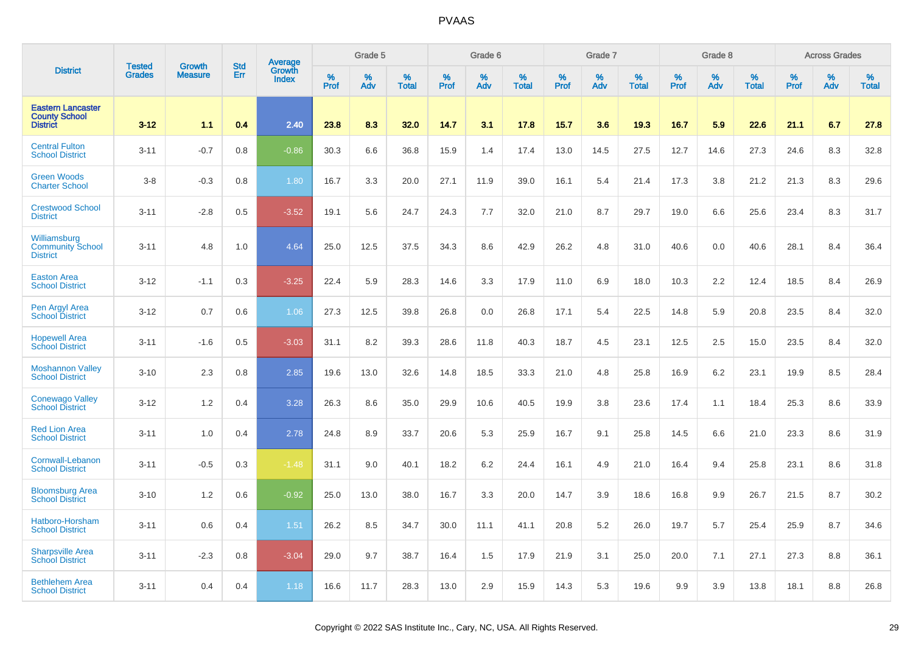|                                                                     | <b>Tested</b> | <b>Growth</b>  | <b>Std</b> | Average                |           | Grade 5  |                   |           | Grade 6  |                   |           | Grade 7  |                   |           | Grade 8  |                   |           | <b>Across Grades</b> |                   |
|---------------------------------------------------------------------|---------------|----------------|------------|------------------------|-----------|----------|-------------------|-----------|----------|-------------------|-----------|----------|-------------------|-----------|----------|-------------------|-----------|----------------------|-------------------|
| <b>District</b>                                                     | <b>Grades</b> | <b>Measure</b> | Err        | Growth<br><b>Index</b> | %<br>Prof | %<br>Adv | %<br><b>Total</b> | %<br>Prof | %<br>Adv | %<br><b>Total</b> | %<br>Prof | %<br>Adv | %<br><b>Total</b> | %<br>Prof | %<br>Adv | %<br><b>Total</b> | %<br>Prof | %<br>Adv             | %<br><b>Total</b> |
| <b>Eastern Lancaster</b><br><b>County School</b><br><b>District</b> | $3 - 12$      | 1.1            | 0.4        | 2.40                   | 23.8      | 8.3      | 32.0              | 14.7      | 3.1      | 17.8              | 15.7      | 3.6      | 19.3              | 16.7      | 5.9      | 22.6              | 21.1      | 6.7                  | 27.8              |
| <b>Central Fulton</b><br><b>School District</b>                     | $3 - 11$      | $-0.7$         | 0.8        | $-0.86$                | 30.3      | 6.6      | 36.8              | 15.9      | 1.4      | 17.4              | 13.0      | 14.5     | 27.5              | 12.7      | 14.6     | 27.3              | 24.6      | 8.3                  | 32.8              |
| <b>Green Woods</b><br><b>Charter School</b>                         | $3 - 8$       | $-0.3$         | 0.8        | 1.80                   | 16.7      | 3.3      | 20.0              | 27.1      | 11.9     | 39.0              | 16.1      | 5.4      | 21.4              | 17.3      | 3.8      | 21.2              | 21.3      | 8.3                  | 29.6              |
| <b>Crestwood School</b><br><b>District</b>                          | $3 - 11$      | $-2.8$         | 0.5        | $-3.52$                | 19.1      | 5.6      | 24.7              | 24.3      | 7.7      | 32.0              | 21.0      | 8.7      | 29.7              | 19.0      | 6.6      | 25.6              | 23.4      | 8.3                  | 31.7              |
| Williamsburg<br><b>Community School</b><br><b>District</b>          | $3 - 11$      | 4.8            | 1.0        | 4.64                   | 25.0      | 12.5     | 37.5              | 34.3      | 8.6      | 42.9              | 26.2      | 4.8      | 31.0              | 40.6      | 0.0      | 40.6              | 28.1      | 8.4                  | 36.4              |
| <b>Easton Area</b><br><b>School District</b>                        | $3 - 12$      | $-1.1$         | 0.3        | $-3.25$                | 22.4      | 5.9      | 28.3              | 14.6      | 3.3      | 17.9              | 11.0      | 6.9      | 18.0              | 10.3      | 2.2      | 12.4              | 18.5      | 8.4                  | 26.9              |
| Pen Argyl Area<br><b>School District</b>                            | $3 - 12$      | 0.7            | 0.6        | 1.06                   | 27.3      | 12.5     | 39.8              | 26.8      | 0.0      | 26.8              | 17.1      | 5.4      | 22.5              | 14.8      | 5.9      | 20.8              | 23.5      | 8.4                  | 32.0              |
| <b>Hopewell Area</b><br><b>School District</b>                      | $3 - 11$      | $-1.6$         | 0.5        | $-3.03$                | 31.1      | 8.2      | 39.3              | 28.6      | 11.8     | 40.3              | 18.7      | 4.5      | 23.1              | 12.5      | 2.5      | 15.0              | 23.5      | 8.4                  | 32.0              |
| <b>Moshannon Valley</b><br><b>School District</b>                   | $3 - 10$      | 2.3            | 0.8        | 2.85                   | 19.6      | 13.0     | 32.6              | 14.8      | 18.5     | 33.3              | 21.0      | 4.8      | 25.8              | 16.9      | 6.2      | 23.1              | 19.9      | 8.5                  | 28.4              |
| <b>Conewago Valley</b><br><b>School District</b>                    | $3 - 12$      | 1.2            | 0.4        | 3.28                   | 26.3      | 8.6      | 35.0              | 29.9      | 10.6     | 40.5              | 19.9      | 3.8      | 23.6              | 17.4      | 1.1      | 18.4              | 25.3      | 8.6                  | 33.9              |
| <b>Red Lion Area</b><br><b>School District</b>                      | $3 - 11$      | 1.0            | 0.4        | 2.78                   | 24.8      | 8.9      | 33.7              | 20.6      | 5.3      | 25.9              | 16.7      | 9.1      | 25.8              | 14.5      | 6.6      | 21.0              | 23.3      | 8.6                  | 31.9              |
| Cornwall-Lebanon<br><b>School District</b>                          | $3 - 11$      | $-0.5$         | 0.3        | $-1.48$                | 31.1      | 9.0      | 40.1              | 18.2      | 6.2      | 24.4              | 16.1      | 4.9      | 21.0              | 16.4      | 9.4      | 25.8              | 23.1      | 8.6                  | 31.8              |
| <b>Bloomsburg Area</b><br><b>School District</b>                    | $3 - 10$      | 1.2            | 0.6        | $-0.92$                | 25.0      | 13.0     | 38.0              | 16.7      | 3.3      | 20.0              | 14.7      | 3.9      | 18.6              | 16.8      | 9.9      | 26.7              | 21.5      | 8.7                  | 30.2              |
| Hatboro-Horsham<br><b>School District</b>                           | $3 - 11$      | 0.6            | 0.4        | 1.51                   | 26.2      | 8.5      | 34.7              | 30.0      | 11.1     | 41.1              | 20.8      | 5.2      | 26.0              | 19.7      | 5.7      | 25.4              | 25.9      | 8.7                  | 34.6              |
| <b>Sharpsville Area</b><br><b>School District</b>                   | $3 - 11$      | $-2.3$         | 0.8        | $-3.04$                | 29.0      | 9.7      | 38.7              | 16.4      | 1.5      | 17.9              | 21.9      | 3.1      | 25.0              | 20.0      | 7.1      | 27.1              | 27.3      | 8.8                  | 36.1              |
| <b>Bethlehem Area</b><br><b>School District</b>                     | $3 - 11$      | 0.4            | 0.4        | 1.18                   | 16.6      | 11.7     | 28.3              | 13.0      | 2.9      | 15.9              | 14.3      | 5.3      | 19.6              | 9.9       | 3.9      | 13.8              | 18.1      | 8.8                  | 26.8              |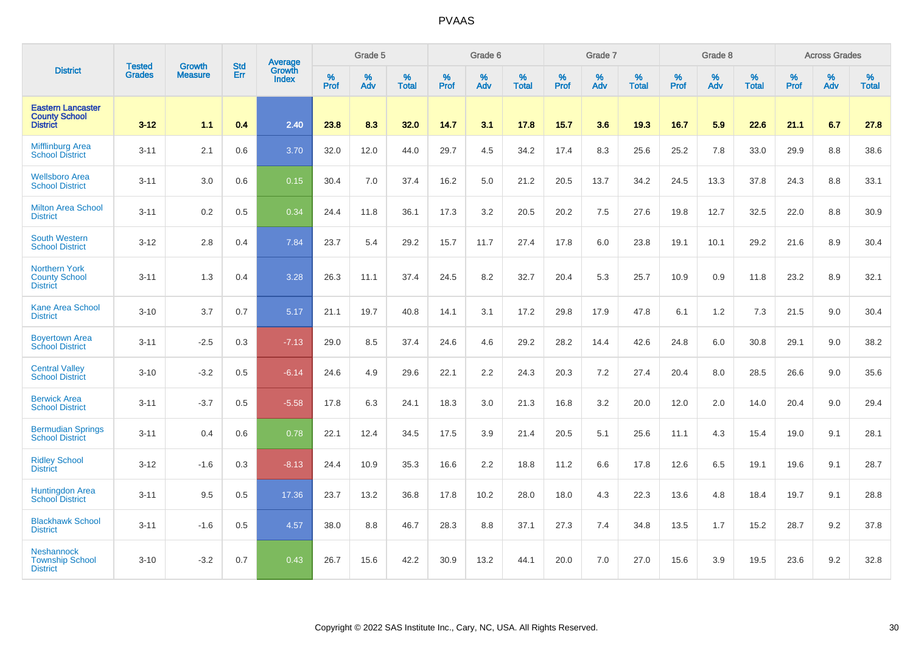|                                                                     |                                |                                 | <b>Std</b> | Average                |           | Grade 5  |                   |           | Grade 6  |                   |           | Grade 7  |                   |           | Grade 8  |                   |           | <b>Across Grades</b> |                   |
|---------------------------------------------------------------------|--------------------------------|---------------------------------|------------|------------------------|-----------|----------|-------------------|-----------|----------|-------------------|-----------|----------|-------------------|-----------|----------|-------------------|-----------|----------------------|-------------------|
| <b>District</b>                                                     | <b>Tested</b><br><b>Grades</b> | <b>Growth</b><br><b>Measure</b> | Err        | Growth<br><b>Index</b> | %<br>Prof | %<br>Adv | %<br><b>Total</b> | %<br>Prof | %<br>Adv | %<br><b>Total</b> | %<br>Prof | %<br>Adv | %<br><b>Total</b> | %<br>Prof | %<br>Adv | %<br><b>Total</b> | %<br>Prof | %<br>Adv             | %<br><b>Total</b> |
| <b>Eastern Lancaster</b><br><b>County School</b><br><b>District</b> | $3 - 12$                       | 1.1                             | 0.4        | 2.40                   | 23.8      | 8.3      | 32.0              | 14.7      | 3.1      | 17.8              | 15.7      | 3.6      | 19.3              | 16.7      | 5.9      | 22.6              | 21.1      | 6.7                  | 27.8              |
| <b>Mifflinburg Area</b><br><b>School District</b>                   | $3 - 11$                       | 2.1                             | 0.6        | 3.70                   | 32.0      | 12.0     | 44.0              | 29.7      | 4.5      | 34.2              | 17.4      | 8.3      | 25.6              | 25.2      | 7.8      | 33.0              | 29.9      | 8.8                  | 38.6              |
| <b>Wellsboro Area</b><br><b>School District</b>                     | $3 - 11$                       | 3.0                             | 0.6        | 0.15                   | 30.4      | 7.0      | 37.4              | 16.2      | 5.0      | 21.2              | 20.5      | 13.7     | 34.2              | 24.5      | 13.3     | 37.8              | 24.3      | 8.8                  | 33.1              |
| <b>Milton Area School</b><br><b>District</b>                        | $3 - 11$                       | 0.2                             | 0.5        | 0.34                   | 24.4      | 11.8     | 36.1              | 17.3      | 3.2      | 20.5              | 20.2      | 7.5      | 27.6              | 19.8      | 12.7     | 32.5              | 22.0      | 8.8                  | 30.9              |
| <b>South Western</b><br><b>School District</b>                      | $3 - 12$                       | 2.8                             | 0.4        | 7.84                   | 23.7      | 5.4      | 29.2              | 15.7      | 11.7     | 27.4              | 17.8      | 6.0      | 23.8              | 19.1      | 10.1     | 29.2              | 21.6      | 8.9                  | 30.4              |
| <b>Northern York</b><br><b>County School</b><br><b>District</b>     | $3 - 11$                       | 1.3                             | 0.4        | 3.28                   | 26.3      | 11.1     | 37.4              | 24.5      | 8.2      | 32.7              | 20.4      | 5.3      | 25.7              | 10.9      | 0.9      | 11.8              | 23.2      | 8.9                  | 32.1              |
| <b>Kane Area School</b><br><b>District</b>                          | $3 - 10$                       | 3.7                             | 0.7        | 5.17                   | 21.1      | 19.7     | 40.8              | 14.1      | 3.1      | 17.2              | 29.8      | 17.9     | 47.8              | 6.1       | 1.2      | 7.3               | 21.5      | 9.0                  | 30.4              |
| <b>Boyertown Area</b><br><b>School District</b>                     | $3 - 11$                       | $-2.5$                          | 0.3        | $-7.13$                | 29.0      | 8.5      | 37.4              | 24.6      | 4.6      | 29.2              | 28.2      | 14.4     | 42.6              | 24.8      | 6.0      | 30.8              | 29.1      | 9.0                  | 38.2              |
| <b>Central Valley</b><br><b>School District</b>                     | $3 - 10$                       | $-3.2$                          | 0.5        | $-6.14$                | 24.6      | 4.9      | 29.6              | 22.1      | 2.2      | 24.3              | 20.3      | 7.2      | 27.4              | 20.4      | 8.0      | 28.5              | 26.6      | 9.0                  | 35.6              |
| <b>Berwick Area</b><br><b>School District</b>                       | $3 - 11$                       | $-3.7$                          | 0.5        | $-5.58$                | 17.8      | 6.3      | 24.1              | 18.3      | 3.0      | 21.3              | 16.8      | 3.2      | 20.0              | 12.0      | 2.0      | 14.0              | 20.4      | 9.0                  | 29.4              |
| <b>Bermudian Springs</b><br><b>School District</b>                  | $3 - 11$                       | 0.4                             | 0.6        | 0.78                   | 22.1      | 12.4     | 34.5              | 17.5      | 3.9      | 21.4              | 20.5      | 5.1      | 25.6              | 11.1      | 4.3      | 15.4              | 19.0      | 9.1                  | 28.1              |
| <b>Ridley School</b><br><b>District</b>                             | $3 - 12$                       | $-1.6$                          | 0.3        | $-8.13$                | 24.4      | 10.9     | 35.3              | 16.6      | 2.2      | 18.8              | 11.2      | 6.6      | 17.8              | 12.6      | 6.5      | 19.1              | 19.6      | 9.1                  | 28.7              |
| Huntingdon Area<br>School District                                  | $3 - 11$                       | 9.5                             | 0.5        | 17.36                  | 23.7      | 13.2     | 36.8              | 17.8      | 10.2     | 28.0              | 18.0      | 4.3      | 22.3              | 13.6      | 4.8      | 18.4              | 19.7      | 9.1                  | 28.8              |
| <b>Blackhawk School</b><br><b>District</b>                          | $3 - 11$                       | $-1.6$                          | 0.5        | 4.57                   | 38.0      | 8.8      | 46.7              | 28.3      | 8.8      | 37.1              | 27.3      | 7.4      | 34.8              | 13.5      | 1.7      | 15.2              | 28.7      | 9.2                  | 37.8              |
| <b>Neshannock</b><br><b>Township School</b><br><b>District</b>      | $3 - 10$                       | $-3.2$                          | 0.7        | 0.43                   | 26.7      | 15.6     | 42.2              | 30.9      | 13.2     | 44.1              | 20.0      | 7.0      | 27.0              | 15.6      | 3.9      | 19.5              | 23.6      | 9.2                  | 32.8              |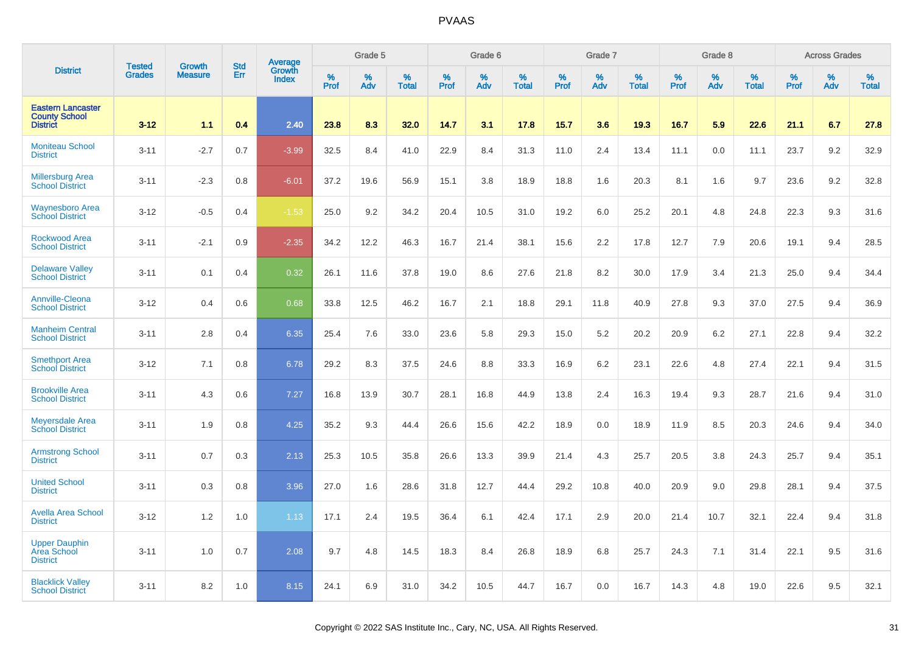|                                                                     | <b>Tested</b> | <b>Growth</b>  | <b>Std</b> | <b>Average</b>                |              | Grade 5     |                   |                  | Grade 6  |                   |                     | Grade 7  |                   |              | Grade 8  |                   |              | <b>Across Grades</b> |                   |
|---------------------------------------------------------------------|---------------|----------------|------------|-------------------------------|--------------|-------------|-------------------|------------------|----------|-------------------|---------------------|----------|-------------------|--------------|----------|-------------------|--------------|----------------------|-------------------|
| <b>District</b>                                                     | <b>Grades</b> | <b>Measure</b> | Err        | <b>Growth</b><br><b>Index</b> | $\%$<br>Prof | $\%$<br>Adv | %<br><b>Total</b> | %<br><b>Prof</b> | %<br>Adv | %<br><b>Total</b> | $\%$<br><b>Prof</b> | %<br>Adv | %<br><b>Total</b> | $\%$<br>Prof | %<br>Adv | %<br><b>Total</b> | $\%$<br>Prof | $\%$<br>Adv          | %<br><b>Total</b> |
| <b>Eastern Lancaster</b><br><b>County School</b><br><b>District</b> | $3 - 12$      | 1.1            | 0.4        | 2.40                          | 23.8         | 8.3         | 32.0              | 14.7             | 3.1      | 17.8              | 15.7                | 3.6      | 19.3              | 16.7         | 5.9      | 22.6              | 21.1         | 6.7                  | 27.8              |
| <b>Moniteau School</b><br><b>District</b>                           | $3 - 11$      | $-2.7$         | 0.7        | $-3.99$                       | 32.5         | 8.4         | 41.0              | 22.9             | 8.4      | 31.3              | 11.0                | 2.4      | 13.4              | 11.1         | 0.0      | 11.1              | 23.7         | 9.2                  | 32.9              |
| <b>Millersburg Area</b><br><b>School District</b>                   | $3 - 11$      | $-2.3$         | 0.8        | $-6.01$                       | 37.2         | 19.6        | 56.9              | 15.1             | 3.8      | 18.9              | 18.8                | 1.6      | 20.3              | 8.1          | 1.6      | 9.7               | 23.6         | 9.2                  | 32.8              |
| <b>Waynesboro Area</b><br><b>School District</b>                    | $3 - 12$      | $-0.5$         | 0.4        | $-1.53$                       | 25.0         | 9.2         | 34.2              | 20.4             | 10.5     | 31.0              | 19.2                | 6.0      | 25.2              | 20.1         | 4.8      | 24.8              | 22.3         | 9.3                  | 31.6              |
| <b>Rockwood Area</b><br><b>School District</b>                      | $3 - 11$      | $-2.1$         | 0.9        | $-2.35$                       | 34.2         | 12.2        | 46.3              | 16.7             | 21.4     | 38.1              | 15.6                | 2.2      | 17.8              | 12.7         | 7.9      | 20.6              | 19.1         | 9.4                  | 28.5              |
| <b>Delaware Valley</b><br><b>School District</b>                    | $3 - 11$      | 0.1            | 0.4        | 0.32                          | 26.1         | 11.6        | 37.8              | 19.0             | 8.6      | 27.6              | 21.8                | 8.2      | 30.0              | 17.9         | 3.4      | 21.3              | 25.0         | 9.4                  | 34.4              |
| <b>Annville-Cleona</b><br><b>School District</b>                    | $3 - 12$      | 0.4            | 0.6        | 0.68                          | 33.8         | 12.5        | 46.2              | 16.7             | 2.1      | 18.8              | 29.1                | 11.8     | 40.9              | 27.8         | 9.3      | 37.0              | 27.5         | 9.4                  | 36.9              |
| <b>Manheim Central</b><br><b>School District</b>                    | $3 - 11$      | 2.8            | 0.4        | 6.35                          | 25.4         | 7.6         | 33.0              | 23.6             | 5.8      | 29.3              | 15.0                | 5.2      | 20.2              | 20.9         | 6.2      | 27.1              | 22.8         | 9.4                  | 32.2              |
| <b>Smethport Area</b><br><b>School District</b>                     | $3 - 12$      | 7.1            | 0.8        | 6.78                          | 29.2         | 8.3         | 37.5              | 24.6             | 8.8      | 33.3              | 16.9                | 6.2      | 23.1              | 22.6         | 4.8      | 27.4              | 22.1         | 9.4                  | 31.5              |
| <b>Brookville Area</b><br><b>School District</b>                    | $3 - 11$      | 4.3            | 0.6        | 7.27                          | 16.8         | 13.9        | 30.7              | 28.1             | 16.8     | 44.9              | 13.8                | 2.4      | 16.3              | 19.4         | 9.3      | 28.7              | 21.6         | 9.4                  | 31.0              |
| <b>Meyersdale Area</b><br><b>School District</b>                    | $3 - 11$      | 1.9            | 0.8        | 4.25                          | 35.2         | 9.3         | 44.4              | 26.6             | 15.6     | 42.2              | 18.9                | 0.0      | 18.9              | 11.9         | 8.5      | 20.3              | 24.6         | 9.4                  | 34.0              |
| <b>Armstrong School</b><br><b>District</b>                          | $3 - 11$      | 0.7            | 0.3        | 2.13                          | 25.3         | 10.5        | 35.8              | 26.6             | 13.3     | 39.9              | 21.4                | 4.3      | 25.7              | 20.5         | 3.8      | 24.3              | 25.7         | 9.4                  | 35.1              |
| <b>United School</b><br><b>District</b>                             | $3 - 11$      | 0.3            | 0.8        | 3.96                          | 27.0         | 1.6         | 28.6              | 31.8             | 12.7     | 44.4              | 29.2                | 10.8     | 40.0              | 20.9         | 9.0      | 29.8              | 28.1         | 9.4                  | 37.5              |
| <b>Avella Area School</b><br><b>District</b>                        | $3 - 12$      | 1.2            | 1.0        | 1.13                          | 17.1         | 2.4         | 19.5              | 36.4             | 6.1      | 42.4              | 17.1                | 2.9      | 20.0              | 21.4         | 10.7     | 32.1              | 22.4         | 9.4                  | 31.8              |
| <b>Upper Dauphin</b><br>Area School<br><b>District</b>              | $3 - 11$      | 1.0            | 0.7        | 2.08                          | 9.7          | 4.8         | 14.5              | 18.3             | 8.4      | 26.8              | 18.9                | 6.8      | 25.7              | 24.3         | 7.1      | 31.4              | 22.1         | 9.5                  | 31.6              |
| <b>Blacklick Valley</b><br><b>School District</b>                   | $3 - 11$      | 8.2            | 1.0        | 8.15                          | 24.1         | 6.9         | 31.0              | 34.2             | 10.5     | 44.7              | 16.7                | 0.0      | 16.7              | 14.3         | 4.8      | 19.0              | 22.6         | 9.5                  | 32.1              |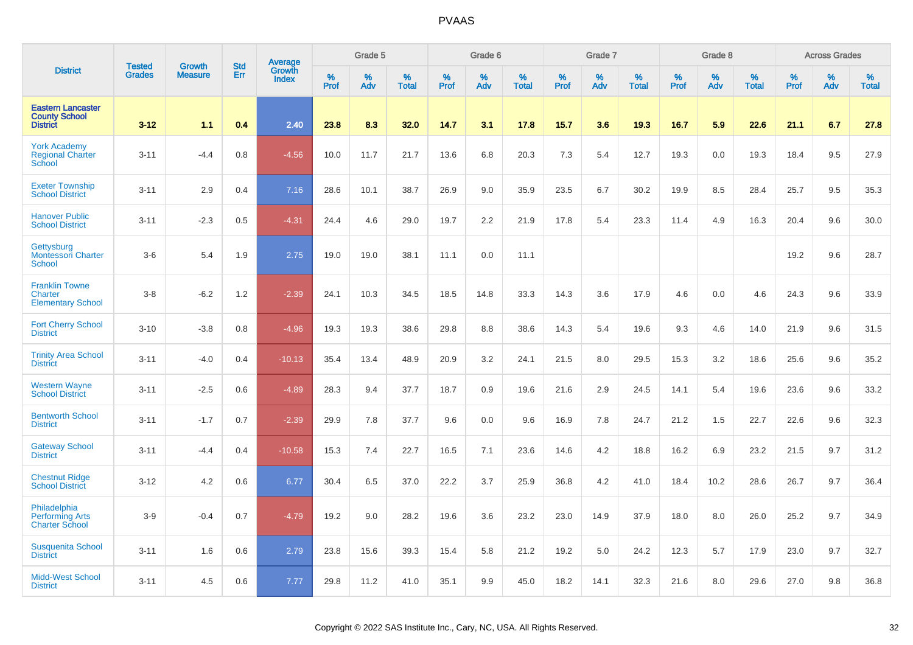|                                                                     | <b>Tested</b> | <b>Growth</b>  | <b>Std</b> |                                          |              | Grade 5  |                   |              | Grade 6  |                   |           | Grade 7  |                   |           | Grade 8  |                   |              | <b>Across Grades</b> |                   |
|---------------------------------------------------------------------|---------------|----------------|------------|------------------------------------------|--------------|----------|-------------------|--------------|----------|-------------------|-----------|----------|-------------------|-----------|----------|-------------------|--------------|----------------------|-------------------|
| <b>District</b>                                                     | <b>Grades</b> | <b>Measure</b> | Err        | <b>Average</b><br>Growth<br><b>Index</b> | $\%$<br>Prof | %<br>Adv | %<br><b>Total</b> | $\%$<br>Prof | %<br>Adv | %<br><b>Total</b> | %<br>Prof | %<br>Adv | %<br><b>Total</b> | %<br>Prof | %<br>Adv | %<br><b>Total</b> | $\%$<br>Prof | %<br>Adv             | %<br><b>Total</b> |
| <b>Eastern Lancaster</b><br><b>County School</b><br><b>District</b> | $3 - 12$      | 1.1            | 0.4        | 2.40                                     | 23.8         | 8.3      | 32.0              | 14.7         | 3.1      | 17.8              | 15.7      | 3.6      | 19.3              | 16.7      | 5.9      | 22.6              | 21.1         | 6.7                  | 27.8              |
| <b>York Academy</b><br><b>Regional Charter</b><br>School            | $3 - 11$      | $-4.4$         | 0.8        | $-4.56$                                  | 10.0         | 11.7     | 21.7              | 13.6         | 6.8      | 20.3              | 7.3       | 5.4      | 12.7              | 19.3      | 0.0      | 19.3              | 18.4         | 9.5                  | 27.9              |
| <b>Exeter Township</b><br><b>School District</b>                    | $3 - 11$      | 2.9            | 0.4        | 7.16                                     | 28.6         | 10.1     | 38.7              | 26.9         | 9.0      | 35.9              | 23.5      | 6.7      | 30.2              | 19.9      | 8.5      | 28.4              | 25.7         | 9.5                  | 35.3              |
| <b>Hanover Public</b><br><b>School District</b>                     | $3 - 11$      | $-2.3$         | 0.5        | $-4.31$                                  | 24.4         | 4.6      | 29.0              | 19.7         | 2.2      | 21.9              | 17.8      | 5.4      | 23.3              | 11.4      | 4.9      | 16.3              | 20.4         | 9.6                  | 30.0              |
| Gettysburg<br><b>Montessori Charter</b><br><b>School</b>            | $3-6$         | 5.4            | 1.9        | 2.75                                     | 19.0         | 19.0     | 38.1              | 11.1         | 0.0      | 11.1              |           |          |                   |           |          |                   | 19.2         | 9.6                  | 28.7              |
| <b>Franklin Towne</b><br><b>Charter</b><br><b>Elementary School</b> | $3-8$         | $-6.2$         | 1.2        | $-2.39$                                  | 24.1         | 10.3     | 34.5              | 18.5         | 14.8     | 33.3              | 14.3      | 3.6      | 17.9              | 4.6       | 0.0      | 4.6               | 24.3         | 9.6                  | 33.9              |
| <b>Fort Cherry School</b><br><b>District</b>                        | $3 - 10$      | $-3.8$         | 0.8        | $-4.96$                                  | 19.3         | 19.3     | 38.6              | 29.8         | 8.8      | 38.6              | 14.3      | 5.4      | 19.6              | 9.3       | 4.6      | 14.0              | 21.9         | 9.6                  | 31.5              |
| <b>Trinity Area School</b><br><b>District</b>                       | $3 - 11$      | $-4.0$         | 0.4        | $-10.13$                                 | 35.4         | 13.4     | 48.9              | 20.9         | 3.2      | 24.1              | 21.5      | 8.0      | 29.5              | 15.3      | 3.2      | 18.6              | 25.6         | 9.6                  | 35.2              |
| <b>Western Wayne</b><br><b>School District</b>                      | $3 - 11$      | $-2.5$         | 0.6        | $-4.89$                                  | 28.3         | 9.4      | 37.7              | 18.7         | 0.9      | 19.6              | 21.6      | 2.9      | 24.5              | 14.1      | 5.4      | 19.6              | 23.6         | 9.6                  | 33.2              |
| <b>Bentworth School</b><br><b>District</b>                          | $3 - 11$      | $-1.7$         | 0.7        | $-2.39$                                  | 29.9         | 7.8      | 37.7              | 9.6          | 0.0      | 9.6               | 16.9      | 7.8      | 24.7              | 21.2      | 1.5      | 22.7              | 22.6         | 9.6                  | 32.3              |
| <b>Gateway School</b><br><b>District</b>                            | $3 - 11$      | $-4.4$         | 0.4        | $-10.58$                                 | 15.3         | 7.4      | 22.7              | 16.5         | 7.1      | 23.6              | 14.6      | 4.2      | 18.8              | 16.2      | 6.9      | 23.2              | 21.5         | 9.7                  | 31.2              |
| <b>Chestnut Ridge</b><br><b>School District</b>                     | $3 - 12$      | 4.2            | 0.6        | 6.77                                     | 30.4         | 6.5      | 37.0              | 22.2         | 3.7      | 25.9              | 36.8      | 4.2      | 41.0              | 18.4      | 10.2     | 28.6              | 26.7         | 9.7                  | 36.4              |
| Philadelphia<br><b>Performing Arts</b><br><b>Charter School</b>     | $3-9$         | $-0.4$         | 0.7        | $-4.79$                                  | 19.2         | 9.0      | 28.2              | 19.6         | 3.6      | 23.2              | 23.0      | 14.9     | 37.9              | 18.0      | 8.0      | 26.0              | 25.2         | 9.7                  | 34.9              |
| <b>Susquenita School</b><br><b>District</b>                         | $3 - 11$      | 1.6            | 0.6        | 2.79                                     | 23.8         | 15.6     | 39.3              | 15.4         | 5.8      | 21.2              | 19.2      | 5.0      | 24.2              | 12.3      | 5.7      | 17.9              | 23.0         | 9.7                  | 32.7              |
| <b>Midd-West School</b><br><b>District</b>                          | $3 - 11$      | 4.5            | 0.6        | 7.77                                     | 29.8         | 11.2     | 41.0              | 35.1         | 9.9      | 45.0              | 18.2      | 14.1     | 32.3              | 21.6      | 8.0      | 29.6              | 27.0         | 9.8                  | 36.8              |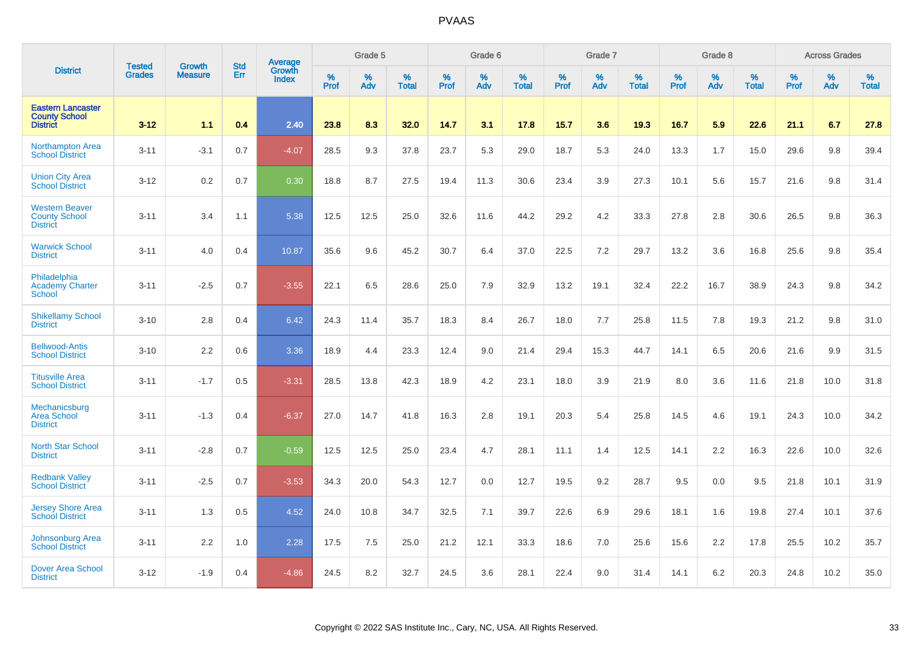|                                                                     | <b>Tested</b> | <b>Growth</b>  | <b>Std</b> | <b>Average</b><br>Growth |                     | Grade 5  |                   |           | Grade 6  |                   |                  | Grade 7  |                   |                  | Grade 8     |                   |                  | <b>Across Grades</b> |                   |
|---------------------------------------------------------------------|---------------|----------------|------------|--------------------------|---------------------|----------|-------------------|-----------|----------|-------------------|------------------|----------|-------------------|------------------|-------------|-------------------|------------------|----------------------|-------------------|
| <b>District</b>                                                     | <b>Grades</b> | <b>Measure</b> | Err        | <b>Index</b>             | $\%$<br><b>Prof</b> | %<br>Adv | %<br><b>Total</b> | %<br>Prof | %<br>Adv | %<br><b>Total</b> | %<br><b>Prof</b> | %<br>Adv | %<br><b>Total</b> | %<br><b>Prof</b> | $\%$<br>Adv | %<br><b>Total</b> | %<br><b>Prof</b> | %<br>Adv             | %<br><b>Total</b> |
| <b>Eastern Lancaster</b><br><b>County School</b><br><b>District</b> | $3 - 12$      | 1.1            | 0.4        | 2.40                     | 23.8                | 8.3      | 32.0              | 14.7      | 3.1      | 17.8              | 15.7             | 3.6      | 19.3              | 16.7             | 5.9         | 22.6              | 21.1             | 6.7                  | 27.8              |
| <b>Northampton Area</b><br><b>School District</b>                   | $3 - 11$      | $-3.1$         | 0.7        | $-4.07$                  | 28.5                | 9.3      | 37.8              | 23.7      | 5.3      | 29.0              | 18.7             | 5.3      | 24.0              | 13.3             | 1.7         | 15.0              | 29.6             | 9.8                  | 39.4              |
| <b>Union City Area</b><br><b>School District</b>                    | $3 - 12$      | 0.2            | 0.7        | 0.30                     | 18.8                | 8.7      | 27.5              | 19.4      | 11.3     | 30.6              | 23.4             | 3.9      | 27.3              | 10.1             | 5.6         | 15.7              | 21.6             | 9.8                  | 31.4              |
| <b>Western Beaver</b><br><b>County School</b><br><b>District</b>    | $3 - 11$      | 3.4            | 1.1        | 5.38                     | 12.5                | 12.5     | 25.0              | 32.6      | 11.6     | 44.2              | 29.2             | 4.2      | 33.3              | 27.8             | 2.8         | 30.6              | 26.5             | 9.8                  | 36.3              |
| <b>Warwick School</b><br><b>District</b>                            | $3 - 11$      | 4.0            | 0.4        | 10.87                    | 35.6                | 9.6      | 45.2              | 30.7      | 6.4      | 37.0              | 22.5             | 7.2      | 29.7              | 13.2             | 3.6         | 16.8              | 25.6             | 9.8                  | 35.4              |
| Philadelphia<br><b>Academy Charter</b><br><b>School</b>             | $3 - 11$      | $-2.5$         | 0.7        | $-3.55$                  | 22.1                | 6.5      | 28.6              | 25.0      | 7.9      | 32.9              | 13.2             | 19.1     | 32.4              | 22.2             | 16.7        | 38.9              | 24.3             | 9.8                  | 34.2              |
| <b>Shikellamy School</b><br><b>District</b>                         | $3 - 10$      | 2.8            | 0.4        | 6.42                     | 24.3                | 11.4     | 35.7              | 18.3      | 8.4      | 26.7              | 18.0             | 7.7      | 25.8              | 11.5             | 7.8         | 19.3              | 21.2             | 9.8                  | 31.0              |
| <b>Bellwood-Antis</b><br><b>School District</b>                     | $3 - 10$      | 2.2            | 0.6        | 3.36                     | 18.9                | 4.4      | 23.3              | 12.4      | 9.0      | 21.4              | 29.4             | 15.3     | 44.7              | 14.1             | 6.5         | 20.6              | 21.6             | 9.9                  | 31.5              |
| <b>Titusville Area</b><br><b>School District</b>                    | $3 - 11$      | $-1.7$         | 0.5        | $-3.31$                  | 28.5                | 13.8     | 42.3              | 18.9      | 4.2      | 23.1              | 18.0             | 3.9      | 21.9              | 8.0              | 3.6         | 11.6              | 21.8             | 10.0                 | 31.8              |
| Mechanicsburg<br>Area School<br><b>District</b>                     | $3 - 11$      | $-1.3$         | 0.4        | $-6.37$                  | 27.0                | 14.7     | 41.8              | 16.3      | 2.8      | 19.1              | 20.3             | 5.4      | 25.8              | 14.5             | 4.6         | 19.1              | 24.3             | 10.0                 | 34.2              |
| <b>North Star School</b><br><b>District</b>                         | $3 - 11$      | $-2.8$         | 0.7        | $-0.59$                  | 12.5                | 12.5     | 25.0              | 23.4      | 4.7      | 28.1              | 11.1             | 1.4      | 12.5              | 14.1             | 2.2         | 16.3              | 22.6             | 10.0                 | 32.6              |
| <b>Redbank Valley</b><br><b>School District</b>                     | $3 - 11$      | $-2.5$         | 0.7        | $-3.53$                  | 34.3                | 20.0     | 54.3              | 12.7      | 0.0      | 12.7              | 19.5             | 9.2      | 28.7              | 9.5              | 0.0         | 9.5               | 21.8             | 10.1                 | 31.9              |
| Jersey Shore Area<br><b>School District</b>                         | $3 - 11$      | 1.3            | 0.5        | 4.52                     | 24.0                | 10.8     | 34.7              | 32.5      | 7.1      | 39.7              | 22.6             | 6.9      | 29.6              | 18.1             | 1.6         | 19.8              | 27.4             | 10.1                 | 37.6              |
| Johnsonburg Area<br><b>School District</b>                          | $3 - 11$      | 2.2            | 1.0        | 2.28                     | 17.5                | 7.5      | 25.0              | 21.2      | 12.1     | 33.3              | 18.6             | 7.0      | 25.6              | 15.6             | 2.2         | 17.8              | 25.5             | 10.2                 | 35.7              |
| <b>Dover Area School</b><br><b>District</b>                         | $3 - 12$      | $-1.9$         | 0.4        | $-4.86$                  | 24.5                | 8.2      | 32.7              | 24.5      | 3.6      | 28.1              | 22.4             | 9.0      | 31.4              | 14.1             | 6.2         | 20.3              | 24.8             | 10.2                 | 35.0              |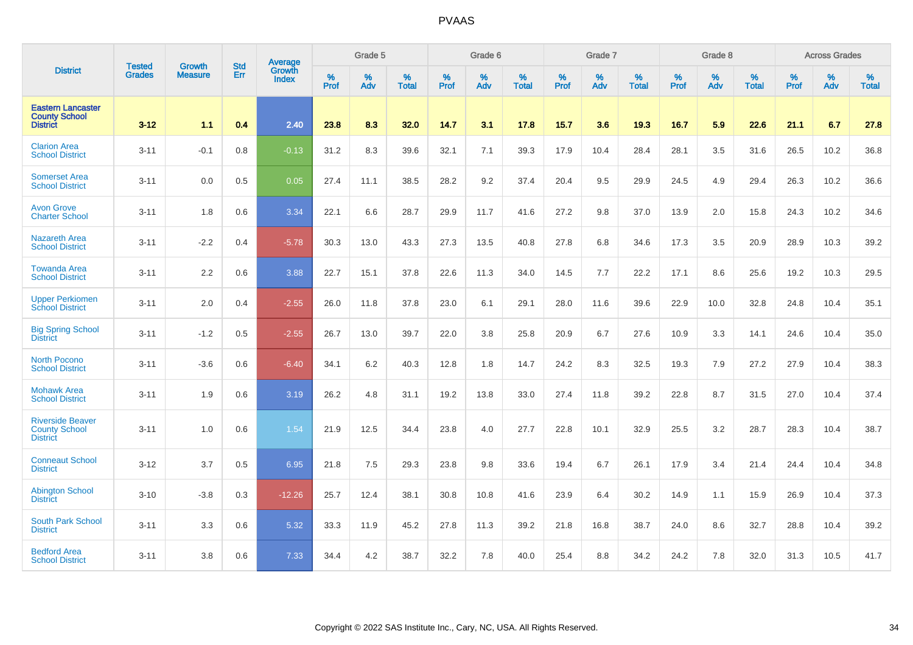|                                                                     |                                |                                 | <b>Std</b> | Average                |           | Grade 5  |                   |           | Grade 6  |                   |           | Grade 7  |                   |           | Grade 8  |                   |           | <b>Across Grades</b> |                   |
|---------------------------------------------------------------------|--------------------------------|---------------------------------|------------|------------------------|-----------|----------|-------------------|-----------|----------|-------------------|-----------|----------|-------------------|-----------|----------|-------------------|-----------|----------------------|-------------------|
| <b>District</b>                                                     | <b>Tested</b><br><b>Grades</b> | <b>Growth</b><br><b>Measure</b> | Err        | Growth<br><b>Index</b> | %<br>Prof | %<br>Adv | %<br><b>Total</b> | %<br>Prof | %<br>Adv | %<br><b>Total</b> | %<br>Prof | %<br>Adv | %<br><b>Total</b> | %<br>Prof | %<br>Adv | %<br><b>Total</b> | %<br>Prof | %<br>Adv             | %<br><b>Total</b> |
| <b>Eastern Lancaster</b><br><b>County School</b><br><b>District</b> | $3 - 12$                       | 1.1                             | 0.4        | 2.40                   | 23.8      | 8.3      | 32.0              | 14.7      | 3.1      | 17.8              | 15.7      | 3.6      | 19.3              | 16.7      | 5.9      | 22.6              | 21.1      | 6.7                  | 27.8              |
| <b>Clarion Area</b><br><b>School District</b>                       | $3 - 11$                       | $-0.1$                          | 0.8        | $-0.13$                | 31.2      | 8.3      | 39.6              | 32.1      | 7.1      | 39.3              | 17.9      | 10.4     | 28.4              | 28.1      | 3.5      | 31.6              | 26.5      | 10.2                 | 36.8              |
| <b>Somerset Area</b><br><b>School District</b>                      | $3 - 11$                       | 0.0                             | 0.5        | 0.05                   | 27.4      | 11.1     | 38.5              | 28.2      | 9.2      | 37.4              | 20.4      | 9.5      | 29.9              | 24.5      | 4.9      | 29.4              | 26.3      | 10.2                 | 36.6              |
| <b>Avon Grove</b><br><b>Charter School</b>                          | $3 - 11$                       | 1.8                             | 0.6        | 3.34                   | 22.1      | 6.6      | 28.7              | 29.9      | 11.7     | 41.6              | 27.2      | 9.8      | 37.0              | 13.9      | 2.0      | 15.8              | 24.3      | 10.2                 | 34.6              |
| <b>Nazareth Area</b><br><b>School District</b>                      | $3 - 11$                       | $-2.2$                          | 0.4        | $-5.78$                | 30.3      | 13.0     | 43.3              | 27.3      | 13.5     | 40.8              | 27.8      | 6.8      | 34.6              | 17.3      | 3.5      | 20.9              | 28.9      | 10.3                 | 39.2              |
| <b>Towanda Area</b><br><b>School District</b>                       | $3 - 11$                       | 2.2                             | 0.6        | 3.88                   | 22.7      | 15.1     | 37.8              | 22.6      | 11.3     | 34.0              | 14.5      | 7.7      | 22.2              | 17.1      | 8.6      | 25.6              | 19.2      | 10.3                 | 29.5              |
| <b>Upper Perkiomen</b><br><b>School District</b>                    | $3 - 11$                       | 2.0                             | 0.4        | $-2.55$                | 26.0      | 11.8     | 37.8              | 23.0      | 6.1      | 29.1              | 28.0      | 11.6     | 39.6              | 22.9      | 10.0     | 32.8              | 24.8      | 10.4                 | 35.1              |
| <b>Big Spring School</b><br><b>District</b>                         | $3 - 11$                       | $-1.2$                          | 0.5        | $-2.55$                | 26.7      | 13.0     | 39.7              | 22.0      | 3.8      | 25.8              | 20.9      | 6.7      | 27.6              | 10.9      | 3.3      | 14.1              | 24.6      | 10.4                 | 35.0              |
| <b>North Pocono</b><br><b>School District</b>                       | $3 - 11$                       | $-3.6$                          | 0.6        | $-6.40$                | 34.1      | 6.2      | 40.3              | 12.8      | 1.8      | 14.7              | 24.2      | 8.3      | 32.5              | 19.3      | 7.9      | 27.2              | 27.9      | 10.4                 | 38.3              |
| <b>Mohawk Area</b><br><b>School District</b>                        | $3 - 11$                       | 1.9                             | 0.6        | 3.19                   | 26.2      | 4.8      | 31.1              | 19.2      | 13.8     | 33.0              | 27.4      | 11.8     | 39.2              | 22.8      | 8.7      | 31.5              | 27.0      | 10.4                 | 37.4              |
| <b>Riverside Beaver</b><br><b>County School</b><br><b>District</b>  | $3 - 11$                       | 1.0                             | 0.6        | 1.54                   | 21.9      | 12.5     | 34.4              | 23.8      | 4.0      | 27.7              | 22.8      | 10.1     | 32.9              | 25.5      | 3.2      | 28.7              | 28.3      | 10.4                 | 38.7              |
| <b>Conneaut School</b><br><b>District</b>                           | $3 - 12$                       | 3.7                             | 0.5        | 6.95                   | 21.8      | 7.5      | 29.3              | 23.8      | 9.8      | 33.6              | 19.4      | 6.7      | 26.1              | 17.9      | 3.4      | 21.4              | 24.4      | 10.4                 | 34.8              |
| <b>Abington School</b><br><b>District</b>                           | $3 - 10$                       | $-3.8$                          | 0.3        | $-12.26$               | 25.7      | 12.4     | 38.1              | 30.8      | 10.8     | 41.6              | 23.9      | 6.4      | 30.2              | 14.9      | 1.1      | 15.9              | 26.9      | 10.4                 | 37.3              |
| <b>South Park School</b><br><b>District</b>                         | $3 - 11$                       | 3.3                             | 0.6        | 5.32                   | 33.3      | 11.9     | 45.2              | 27.8      | 11.3     | 39.2              | 21.8      | 16.8     | 38.7              | 24.0      | 8.6      | 32.7              | 28.8      | 10.4                 | 39.2              |
| <b>Bedford Area</b><br><b>School District</b>                       | $3 - 11$                       | 3.8                             | 0.6        | 7.33                   | 34.4      | 4.2      | 38.7              | 32.2      | 7.8      | 40.0              | 25.4      | 8.8      | 34.2              | 24.2      | 7.8      | 32.0              | 31.3      | 10.5                 | 41.7              |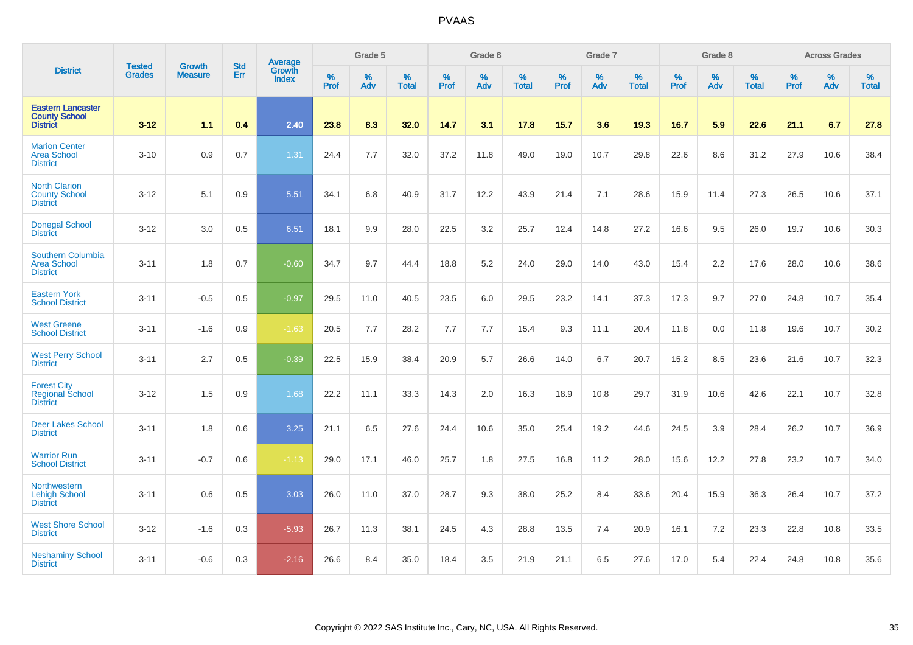|                                                                     |                                |                                 | <b>Std</b> | <b>Average</b>         |           | Grade 5  |                   |           | Grade 6  |                   |           | Grade 7  |                   |           | Grade 8  |                   |           | <b>Across Grades</b> |                   |
|---------------------------------------------------------------------|--------------------------------|---------------------------------|------------|------------------------|-----------|----------|-------------------|-----------|----------|-------------------|-----------|----------|-------------------|-----------|----------|-------------------|-----------|----------------------|-------------------|
| <b>District</b>                                                     | <b>Tested</b><br><b>Grades</b> | <b>Growth</b><br><b>Measure</b> | Err        | Growth<br><b>Index</b> | %<br>Prof | %<br>Adv | %<br><b>Total</b> | %<br>Prof | %<br>Adv | %<br><b>Total</b> | %<br>Prof | %<br>Adv | %<br><b>Total</b> | %<br>Prof | %<br>Adv | %<br><b>Total</b> | %<br>Prof | %<br>Adv             | %<br><b>Total</b> |
| <b>Eastern Lancaster</b><br><b>County School</b><br><b>District</b> | $3 - 12$                       | 1.1                             | 0.4        | 2.40                   | 23.8      | 8.3      | 32.0              | 14.7      | 3.1      | 17.8              | 15.7      | 3.6      | 19.3              | 16.7      | 5.9      | 22.6              | 21.1      | 6.7                  | 27.8              |
| <b>Marion Center</b><br><b>Area School</b><br><b>District</b>       | $3 - 10$                       | 0.9                             | 0.7        | 1.31                   | 24.4      | 7.7      | 32.0              | 37.2      | 11.8     | 49.0              | 19.0      | 10.7     | 29.8              | 22.6      | 8.6      | 31.2              | 27.9      | 10.6                 | 38.4              |
| <b>North Clarion</b><br><b>County School</b><br><b>District</b>     | $3 - 12$                       | 5.1                             | 0.9        | 5.51                   | 34.1      | 6.8      | 40.9              | 31.7      | 12.2     | 43.9              | 21.4      | 7.1      | 28.6              | 15.9      | 11.4     | 27.3              | 26.5      | 10.6                 | 37.1              |
| <b>Donegal School</b><br><b>District</b>                            | $3 - 12$                       | 3.0                             | 0.5        | 6.51                   | 18.1      | 9.9      | 28.0              | 22.5      | 3.2      | 25.7              | 12.4      | 14.8     | 27.2              | 16.6      | 9.5      | 26.0              | 19.7      | 10.6                 | 30.3              |
| Southern Columbia<br><b>Area School</b><br><b>District</b>          | $3 - 11$                       | 1.8                             | 0.7        | $-0.60$                | 34.7      | 9.7      | 44.4              | 18.8      | 5.2      | 24.0              | 29.0      | 14.0     | 43.0              | 15.4      | 2.2      | 17.6              | 28.0      | 10.6                 | 38.6              |
| <b>Eastern York</b><br><b>School District</b>                       | $3 - 11$                       | $-0.5$                          | 0.5        | $-0.97$                | 29.5      | 11.0     | 40.5              | 23.5      | 6.0      | 29.5              | 23.2      | 14.1     | 37.3              | 17.3      | 9.7      | 27.0              | 24.8      | 10.7                 | 35.4              |
| <b>West Greene</b><br><b>School District</b>                        | $3 - 11$                       | $-1.6$                          | 0.9        | $-1.63$                | 20.5      | 7.7      | 28.2              | 7.7       | 7.7      | 15.4              | 9.3       | 11.1     | 20.4              | 11.8      | 0.0      | 11.8              | 19.6      | 10.7                 | 30.2              |
| <b>West Perry School</b><br><b>District</b>                         | $3 - 11$                       | 2.7                             | 0.5        | $-0.39$                | 22.5      | 15.9     | 38.4              | 20.9      | 5.7      | 26.6              | 14.0      | 6.7      | 20.7              | 15.2      | 8.5      | 23.6              | 21.6      | 10.7                 | 32.3              |
| <b>Forest City</b><br>Regional School<br><b>District</b>            | $3 - 12$                       | 1.5                             | 0.9        | 1.68                   | 22.2      | 11.1     | 33.3              | 14.3      | 2.0      | 16.3              | 18.9      | 10.8     | 29.7              | 31.9      | 10.6     | 42.6              | 22.1      | 10.7                 | 32.8              |
| <b>Deer Lakes School</b><br><b>District</b>                         | $3 - 11$                       | 1.8                             | 0.6        | 3.25                   | 21.1      | 6.5      | 27.6              | 24.4      | 10.6     | 35.0              | 25.4      | 19.2     | 44.6              | 24.5      | 3.9      | 28.4              | 26.2      | 10.7                 | 36.9              |
| <b>Warrior Run</b><br><b>School District</b>                        | $3 - 11$                       | $-0.7$                          | 0.6        | $-1.13$                | 29.0      | 17.1     | 46.0              | 25.7      | 1.8      | 27.5              | 16.8      | 11.2     | 28.0              | 15.6      | 12.2     | 27.8              | 23.2      | 10.7                 | 34.0              |
| Northwestern<br><b>Lehigh School</b><br><b>District</b>             | $3 - 11$                       | 0.6                             | 0.5        | 3.03                   | 26.0      | 11.0     | 37.0              | 28.7      | 9.3      | 38.0              | 25.2      | 8.4      | 33.6              | 20.4      | 15.9     | 36.3              | 26.4      | 10.7                 | 37.2              |
| <b>West Shore School</b><br><b>District</b>                         | $3 - 12$                       | $-1.6$                          | 0.3        | $-5.93$                | 26.7      | 11.3     | 38.1              | 24.5      | 4.3      | 28.8              | 13.5      | 7.4      | 20.9              | 16.1      | 7.2      | 23.3              | 22.8      | 10.8                 | 33.5              |
| <b>Neshaminy School</b><br><b>District</b>                          | $3 - 11$                       | $-0.6$                          | 0.3        | $-2.16$                | 26.6      | 8.4      | 35.0              | 18.4      | 3.5      | 21.9              | 21.1      | 6.5      | 27.6              | 17.0      | 5.4      | 22.4              | 24.8      | 10.8                 | 35.6              |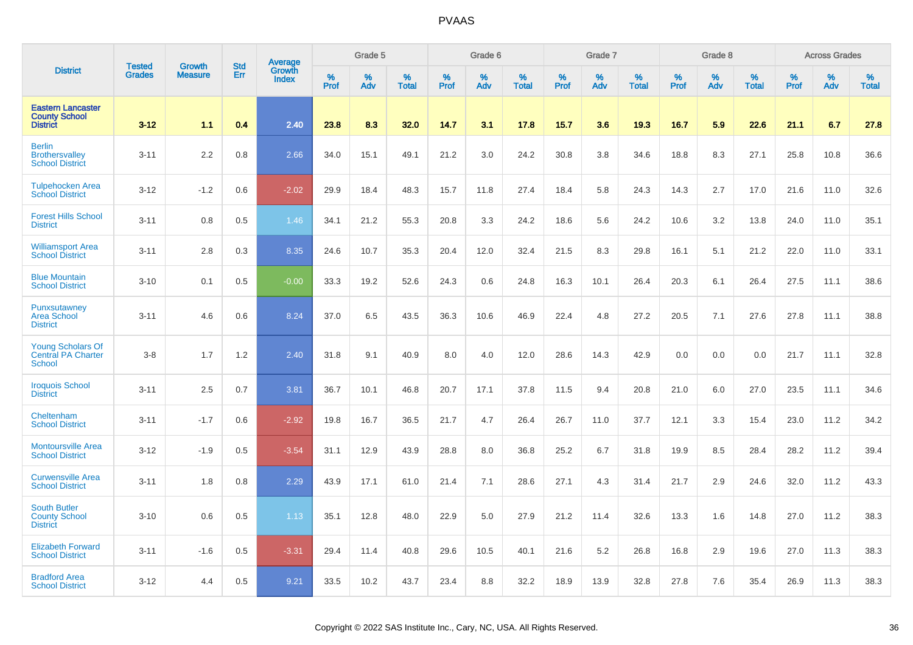|                                                                        | <b>Tested</b> | <b>Growth</b>  | <b>Std</b> | Average                       |                  | Grade 5  |                   |           | Grade 6  |                   |           | Grade 7  |                   |           | Grade 8  |                   |           | <b>Across Grades</b> |                   |
|------------------------------------------------------------------------|---------------|----------------|------------|-------------------------------|------------------|----------|-------------------|-----------|----------|-------------------|-----------|----------|-------------------|-----------|----------|-------------------|-----------|----------------------|-------------------|
| <b>District</b>                                                        | <b>Grades</b> | <b>Measure</b> | Err        | <b>Growth</b><br><b>Index</b> | %<br><b>Prof</b> | %<br>Adv | %<br><b>Total</b> | %<br>Prof | %<br>Adv | %<br><b>Total</b> | %<br>Prof | %<br>Adv | %<br><b>Total</b> | %<br>Prof | %<br>Adv | %<br><b>Total</b> | %<br>Prof | %<br>Adv             | %<br><b>Total</b> |
| <b>Eastern Lancaster</b><br><b>County School</b><br><b>District</b>    | $3 - 12$      | 1.1            | 0.4        | 2.40                          | 23.8             | 8.3      | 32.0              | 14.7      | 3.1      | 17.8              | 15.7      | 3.6      | 19.3              | 16.7      | 5.9      | 22.6              | 21.1      | 6.7                  | 27.8              |
| <b>Berlin</b><br><b>Brothersvalley</b><br><b>School District</b>       | $3 - 11$      | 2.2            | 0.8        | 2.66                          | 34.0             | 15.1     | 49.1              | 21.2      | 3.0      | 24.2              | 30.8      | 3.8      | 34.6              | 18.8      | 8.3      | 27.1              | 25.8      | 10.8                 | 36.6              |
| <b>Tulpehocken Area</b><br><b>School District</b>                      | $3 - 12$      | $-1.2$         | 0.6        | $-2.02$                       | 29.9             | 18.4     | 48.3              | 15.7      | 11.8     | 27.4              | 18.4      | 5.8      | 24.3              | 14.3      | 2.7      | 17.0              | 21.6      | 11.0                 | 32.6              |
| <b>Forest Hills School</b><br><b>District</b>                          | $3 - 11$      | 0.8            | 0.5        | 1.46                          | 34.1             | 21.2     | 55.3              | 20.8      | 3.3      | 24.2              | 18.6      | 5.6      | 24.2              | 10.6      | 3.2      | 13.8              | 24.0      | 11.0                 | 35.1              |
| <b>Williamsport Area</b><br><b>School District</b>                     | $3 - 11$      | 2.8            | 0.3        | 8.35                          | 24.6             | 10.7     | 35.3              | 20.4      | 12.0     | 32.4              | 21.5      | 8.3      | 29.8              | 16.1      | 5.1      | 21.2              | 22.0      | 11.0                 | 33.1              |
| <b>Blue Mountain</b><br><b>School District</b>                         | $3 - 10$      | 0.1            | 0.5        | $-0.00$                       | 33.3             | 19.2     | 52.6              | 24.3      | 0.6      | 24.8              | 16.3      | 10.1     | 26.4              | 20.3      | 6.1      | 26.4              | 27.5      | 11.1                 | 38.6              |
| Punxsutawney<br><b>Area School</b><br><b>District</b>                  | $3 - 11$      | 4.6            | 0.6        | 8.24                          | 37.0             | 6.5      | 43.5              | 36.3      | 10.6     | 46.9              | 22.4      | 4.8      | 27.2              | 20.5      | 7.1      | 27.6              | 27.8      | 11.1                 | 38.8              |
| <b>Young Scholars Of</b><br><b>Central PA Charter</b><br><b>School</b> | $3 - 8$       | 1.7            | 1.2        | 2.40                          | 31.8             | 9.1      | 40.9              | 8.0       | 4.0      | 12.0              | 28.6      | 14.3     | 42.9              | 0.0       | 0.0      | 0.0               | 21.7      | 11.1                 | 32.8              |
| <b>Iroquois School</b><br><b>District</b>                              | $3 - 11$      | 2.5            | 0.7        | 3.81                          | 36.7             | 10.1     | 46.8              | 20.7      | 17.1     | 37.8              | 11.5      | 9.4      | 20.8              | 21.0      | 6.0      | 27.0              | 23.5      | 11.1                 | 34.6              |
| Cheltenham<br><b>School District</b>                                   | $3 - 11$      | $-1.7$         | 0.6        | $-2.92$                       | 19.8             | 16.7     | 36.5              | 21.7      | 4.7      | 26.4              | 26.7      | 11.0     | 37.7              | 12.1      | 3.3      | 15.4              | 23.0      | 11.2                 | 34.2              |
| <b>Montoursville Area</b><br><b>School District</b>                    | $3 - 12$      | $-1.9$         | 0.5        | $-3.54$                       | 31.1             | 12.9     | 43.9              | 28.8      | 8.0      | 36.8              | 25.2      | 6.7      | 31.8              | 19.9      | 8.5      | 28.4              | 28.2      | 11.2                 | 39.4              |
| <b>Curwensville Area</b><br><b>School District</b>                     | $3 - 11$      | 1.8            | 0.8        | 2.29                          | 43.9             | 17.1     | 61.0              | 21.4      | 7.1      | 28.6              | 27.1      | 4.3      | 31.4              | 21.7      | 2.9      | 24.6              | 32.0      | 11.2                 | 43.3              |
| <b>South Butler</b><br><b>County School</b><br><b>District</b>         | $3 - 10$      | 0.6            | 0.5        | 1.13                          | 35.1             | 12.8     | 48.0              | 22.9      | 5.0      | 27.9              | 21.2      | 11.4     | 32.6              | 13.3      | 1.6      | 14.8              | 27.0      | 11.2                 | 38.3              |
| <b>Elizabeth Forward</b><br><b>School District</b>                     | $3 - 11$      | $-1.6$         | 0.5        | $-3.31$                       | 29.4             | 11.4     | 40.8              | 29.6      | 10.5     | 40.1              | 21.6      | 5.2      | 26.8              | 16.8      | 2.9      | 19.6              | 27.0      | 11.3                 | 38.3              |
| <b>Bradford Area</b><br><b>School District</b>                         | $3 - 12$      | 4.4            | 0.5        | 9.21                          | 33.5             | 10.2     | 43.7              | 23.4      | 8.8      | 32.2              | 18.9      | 13.9     | 32.8              | 27.8      | 7.6      | 35.4              | 26.9      | 11.3                 | 38.3              |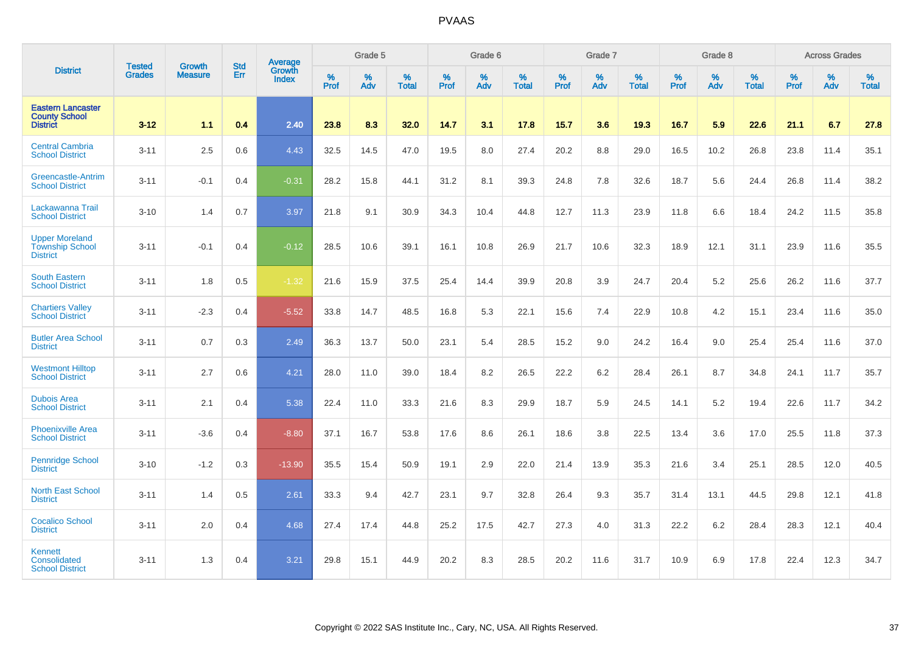|                                                                     |                                |                                 | <b>Std</b> | Average                |           | Grade 5  |                   |           | Grade 6  |                   |           | Grade 7  |                   |           | Grade 8  |                   |           | <b>Across Grades</b> |                   |
|---------------------------------------------------------------------|--------------------------------|---------------------------------|------------|------------------------|-----------|----------|-------------------|-----------|----------|-------------------|-----------|----------|-------------------|-----------|----------|-------------------|-----------|----------------------|-------------------|
| <b>District</b>                                                     | <b>Tested</b><br><b>Grades</b> | <b>Growth</b><br><b>Measure</b> | Err        | Growth<br><b>Index</b> | %<br>Prof | %<br>Adv | %<br><b>Total</b> | %<br>Prof | %<br>Adv | %<br><b>Total</b> | %<br>Prof | %<br>Adv | %<br><b>Total</b> | %<br>Prof | %<br>Adv | %<br><b>Total</b> | %<br>Prof | %<br>Adv             | %<br><b>Total</b> |
| <b>Eastern Lancaster</b><br><b>County School</b><br><b>District</b> | $3 - 12$                       | 1.1                             | 0.4        | 2.40                   | 23.8      | 8.3      | 32.0              | 14.7      | 3.1      | 17.8              | 15.7      | 3.6      | 19.3              | 16.7      | 5.9      | 22.6              | 21.1      | 6.7                  | 27.8              |
| <b>Central Cambria</b><br><b>School District</b>                    | $3 - 11$                       | 2.5                             | 0.6        | 4.43                   | 32.5      | 14.5     | 47.0              | 19.5      | 8.0      | 27.4              | 20.2      | 8.8      | 29.0              | 16.5      | 10.2     | 26.8              | 23.8      | 11.4                 | 35.1              |
| Greencastle-Antrim<br><b>School District</b>                        | $3 - 11$                       | $-0.1$                          | 0.4        | $-0.31$                | 28.2      | 15.8     | 44.1              | 31.2      | 8.1      | 39.3              | 24.8      | 7.8      | 32.6              | 18.7      | 5.6      | 24.4              | 26.8      | 11.4                 | 38.2              |
| Lackawanna Trail<br><b>School District</b>                          | $3 - 10$                       | 1.4                             | 0.7        | 3.97                   | 21.8      | 9.1      | 30.9              | 34.3      | 10.4     | 44.8              | 12.7      | 11.3     | 23.9              | 11.8      | 6.6      | 18.4              | 24.2      | 11.5                 | 35.8              |
| <b>Upper Moreland</b><br><b>Township School</b><br><b>District</b>  | $3 - 11$                       | $-0.1$                          | 0.4        | $-0.12$                | 28.5      | 10.6     | 39.1              | 16.1      | 10.8     | 26.9              | 21.7      | 10.6     | 32.3              | 18.9      | 12.1     | 31.1              | 23.9      | 11.6                 | 35.5              |
| <b>South Eastern</b><br><b>School District</b>                      | $3 - 11$                       | 1.8                             | 0.5        | $-1.32$                | 21.6      | 15.9     | 37.5              | 25.4      | 14.4     | 39.9              | 20.8      | 3.9      | 24.7              | 20.4      | 5.2      | 25.6              | 26.2      | 11.6                 | 37.7              |
| <b>Chartiers Valley</b><br><b>School District</b>                   | $3 - 11$                       | $-2.3$                          | 0.4        | $-5.52$                | 33.8      | 14.7     | 48.5              | 16.8      | 5.3      | 22.1              | 15.6      | 7.4      | 22.9              | 10.8      | 4.2      | 15.1              | 23.4      | 11.6                 | 35.0              |
| <b>Butler Area School</b><br><b>District</b>                        | $3 - 11$                       | 0.7                             | 0.3        | 2.49                   | 36.3      | 13.7     | 50.0              | 23.1      | 5.4      | 28.5              | 15.2      | 9.0      | 24.2              | 16.4      | 9.0      | 25.4              | 25.4      | 11.6                 | 37.0              |
| <b>Westmont Hilltop</b><br><b>School District</b>                   | $3 - 11$                       | 2.7                             | 0.6        | 4.21                   | 28.0      | 11.0     | 39.0              | 18.4      | 8.2      | 26.5              | 22.2      | 6.2      | 28.4              | 26.1      | 8.7      | 34.8              | 24.1      | 11.7                 | 35.7              |
| <b>Dubois Area</b><br><b>School District</b>                        | $3 - 11$                       | 2.1                             | 0.4        | 5.38                   | 22.4      | 11.0     | 33.3              | 21.6      | 8.3      | 29.9              | 18.7      | 5.9      | 24.5              | 14.1      | 5.2      | 19.4              | 22.6      | 11.7                 | 34.2              |
| <b>Phoenixville Area</b><br><b>School District</b>                  | $3 - 11$                       | $-3.6$                          | 0.4        | $-8.80$                | 37.1      | 16.7     | 53.8              | 17.6      | 8.6      | 26.1              | 18.6      | 3.8      | 22.5              | 13.4      | 3.6      | 17.0              | 25.5      | 11.8                 | 37.3              |
| <b>Pennridge School</b><br><b>District</b>                          | $3 - 10$                       | $-1.2$                          | 0.3        | $-13.90$               | 35.5      | 15.4     | 50.9              | 19.1      | 2.9      | 22.0              | 21.4      | 13.9     | 35.3              | 21.6      | 3.4      | 25.1              | 28.5      | 12.0                 | 40.5              |
| <b>North East School</b><br><b>District</b>                         | $3 - 11$                       | 1.4                             | 0.5        | 2.61                   | 33.3      | 9.4      | 42.7              | 23.1      | 9.7      | 32.8              | 26.4      | 9.3      | 35.7              | 31.4      | 13.1     | 44.5              | 29.8      | 12.1                 | 41.8              |
| <b>Cocalico School</b><br><b>District</b>                           | $3 - 11$                       | 2.0                             | 0.4        | 4.68                   | 27.4      | 17.4     | 44.8              | 25.2      | 17.5     | 42.7              | 27.3      | 4.0      | 31.3              | 22.2      | $6.2\,$  | 28.4              | 28.3      | 12.1                 | 40.4              |
| <b>Kennett</b><br>Consolidated<br><b>School District</b>            | $3 - 11$                       | 1.3                             | 0.4        | 3.21                   | 29.8      | 15.1     | 44.9              | 20.2      | 8.3      | 28.5              | 20.2      | 11.6     | 31.7              | 10.9      | 6.9      | 17.8              | 22.4      | 12.3                 | 34.7              |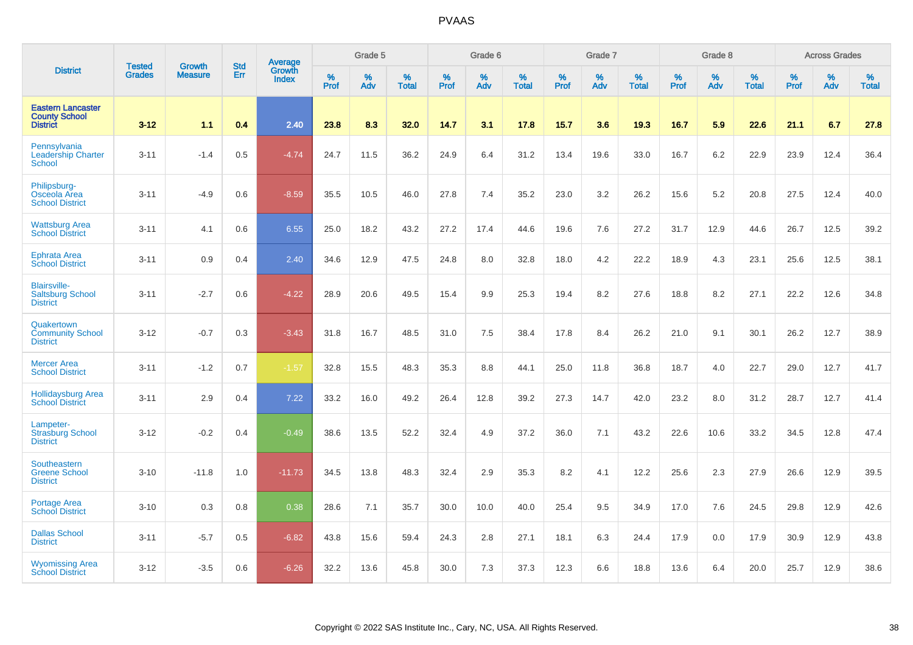|                                                                     |                                |                                 | <b>Std</b> | Average                |           | Grade 5  |                   |           | Grade 6  |                   |           | Grade 7  |                   |           | Grade 8  |                   |           | <b>Across Grades</b> |                   |
|---------------------------------------------------------------------|--------------------------------|---------------------------------|------------|------------------------|-----------|----------|-------------------|-----------|----------|-------------------|-----------|----------|-------------------|-----------|----------|-------------------|-----------|----------------------|-------------------|
| <b>District</b>                                                     | <b>Tested</b><br><b>Grades</b> | <b>Growth</b><br><b>Measure</b> | Err        | Growth<br><b>Index</b> | %<br>Prof | %<br>Adv | %<br><b>Total</b> | %<br>Prof | %<br>Adv | %<br><b>Total</b> | %<br>Prof | %<br>Adv | %<br><b>Total</b> | %<br>Prof | %<br>Adv | %<br><b>Total</b> | %<br>Prof | %<br>Adv             | %<br><b>Total</b> |
| <b>Eastern Lancaster</b><br><b>County School</b><br><b>District</b> | $3 - 12$                       | 1.1                             | 0.4        | 2.40                   | 23.8      | 8.3      | 32.0              | 14.7      | 3.1      | 17.8              | $15.7$    | 3.6      | 19.3              | 16.7      | 5.9      | 22.6              | 21.1      | 6.7                  | 27.8              |
| Pennsylvania<br><b>Leadership Charter</b><br><b>School</b>          | $3 - 11$                       | $-1.4$                          | 0.5        | $-4.74$                | 24.7      | 11.5     | 36.2              | 24.9      | 6.4      | 31.2              | 13.4      | 19.6     | 33.0              | 16.7      | 6.2      | 22.9              | 23.9      | 12.4                 | 36.4              |
| Philipsburg-<br>Osceola Area<br><b>School District</b>              | $3 - 11$                       | $-4.9$                          | 0.6        | $-8.59$                | 35.5      | 10.5     | 46.0              | 27.8      | 7.4      | 35.2              | 23.0      | 3.2      | 26.2              | 15.6      | 5.2      | 20.8              | 27.5      | 12.4                 | 40.0              |
| <b>Wattsburg Area</b><br><b>School District</b>                     | $3 - 11$                       | 4.1                             | 0.6        | 6.55                   | 25.0      | 18.2     | 43.2              | 27.2      | 17.4     | 44.6              | 19.6      | 7.6      | 27.2              | 31.7      | 12.9     | 44.6              | 26.7      | 12.5                 | 39.2              |
| <b>Ephrata Area</b><br><b>School District</b>                       | $3 - 11$                       | 0.9                             | 0.4        | 2.40                   | 34.6      | 12.9     | 47.5              | 24.8      | 8.0      | 32.8              | 18.0      | 4.2      | 22.2              | 18.9      | 4.3      | 23.1              | 25.6      | 12.5                 | 38.1              |
| <b>Blairsville-</b><br><b>Saltsburg School</b><br><b>District</b>   | $3 - 11$                       | $-2.7$                          | 0.6        | $-4.22$                | 28.9      | 20.6     | 49.5              | 15.4      | 9.9      | 25.3              | 19.4      | 8.2      | 27.6              | 18.8      | 8.2      | 27.1              | 22.2      | 12.6                 | 34.8              |
| Quakertown<br><b>Community School</b><br><b>District</b>            | $3 - 12$                       | $-0.7$                          | 0.3        | $-3.43$                | 31.8      | 16.7     | 48.5              | 31.0      | 7.5      | 38.4              | 17.8      | 8.4      | 26.2              | 21.0      | 9.1      | 30.1              | 26.2      | 12.7                 | 38.9              |
| <b>Mercer Area</b><br><b>School District</b>                        | $3 - 11$                       | $-1.2$                          | 0.7        | $-1.57$                | 32.8      | 15.5     | 48.3              | 35.3      | 8.8      | 44.1              | 25.0      | 11.8     | 36.8              | 18.7      | 4.0      | 22.7              | 29.0      | 12.7                 | 41.7              |
| <b>Hollidaysburg Area</b><br><b>School District</b>                 | $3 - 11$                       | 2.9                             | 0.4        | 7.22                   | 33.2      | 16.0     | 49.2              | 26.4      | 12.8     | 39.2              | 27.3      | 14.7     | 42.0              | 23.2      | 8.0      | 31.2              | 28.7      | 12.7                 | 41.4              |
| Lampeter-<br><b>Strasburg School</b><br><b>District</b>             | $3 - 12$                       | $-0.2$                          | 0.4        | $-0.49$                | 38.6      | 13.5     | 52.2              | 32.4      | 4.9      | 37.2              | 36.0      | 7.1      | 43.2              | 22.6      | 10.6     | 33.2              | 34.5      | 12.8                 | 47.4              |
| Southeastern<br><b>Greene School</b><br><b>District</b>             | $3 - 10$                       | $-11.8$                         | 1.0        | $-11.73$               | 34.5      | 13.8     | 48.3              | 32.4      | 2.9      | 35.3              | 8.2       | 4.1      | 12.2              | 25.6      | 2.3      | 27.9              | 26.6      | 12.9                 | 39.5              |
| Portage Area<br><b>School District</b>                              | $3 - 10$                       | 0.3                             | 0.8        | 0.38                   | 28.6      | 7.1      | 35.7              | 30.0      | 10.0     | 40.0              | 25.4      | 9.5      | 34.9              | 17.0      | 7.6      | 24.5              | 29.8      | 12.9                 | 42.6              |
| <b>Dallas School</b><br><b>District</b>                             | $3 - 11$                       | $-5.7$                          | 0.5        | $-6.82$                | 43.8      | 15.6     | 59.4              | 24.3      | 2.8      | 27.1              | 18.1      | 6.3      | 24.4              | 17.9      | 0.0      | 17.9              | 30.9      | 12.9                 | 43.8              |
| <b>Wyomissing Area</b><br><b>School District</b>                    | $3 - 12$                       | $-3.5$                          | 0.6        | $-6.26$                | 32.2      | 13.6     | 45.8              | 30.0      | 7.3      | 37.3              | 12.3      | 6.6      | 18.8              | 13.6      | 6.4      | 20.0              | 25.7      | 12.9                 | 38.6              |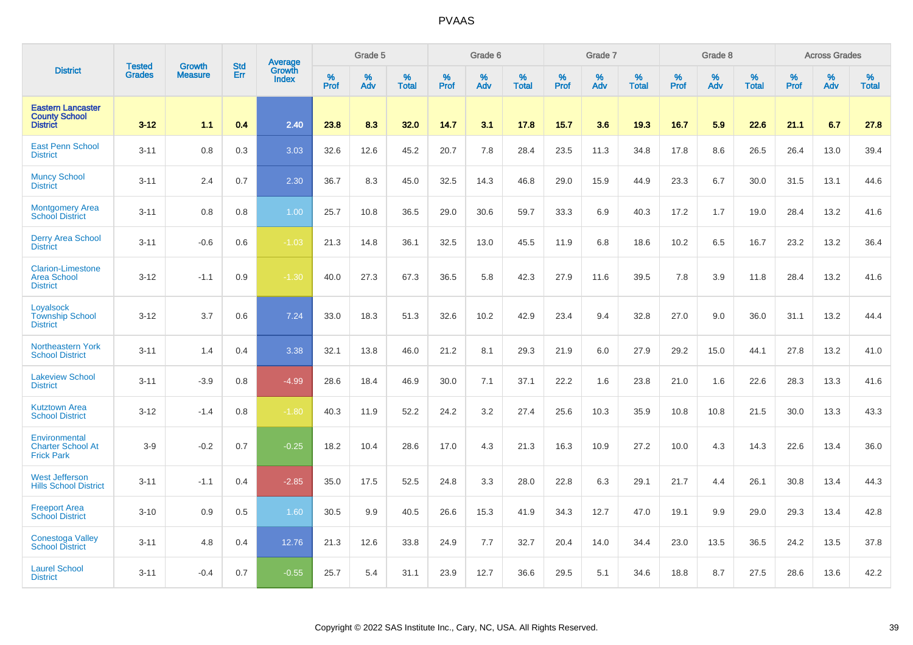|                                                                     | <b>Tested</b> | <b>Growth</b>  | <b>Std</b> | <b>Average</b><br>Growth |                     | Grade 5  |                   |                  | Grade 6  |                   |                  | Grade 7  |                   |                  | Grade 8     |                   |                  | <b>Across Grades</b> |                   |
|---------------------------------------------------------------------|---------------|----------------|------------|--------------------------|---------------------|----------|-------------------|------------------|----------|-------------------|------------------|----------|-------------------|------------------|-------------|-------------------|------------------|----------------------|-------------------|
| <b>District</b>                                                     | <b>Grades</b> | <b>Measure</b> | Err        | <b>Index</b>             | $\%$<br><b>Prof</b> | %<br>Adv | %<br><b>Total</b> | %<br><b>Prof</b> | %<br>Adv | %<br><b>Total</b> | %<br><b>Prof</b> | %<br>Adv | %<br><b>Total</b> | %<br><b>Prof</b> | $\%$<br>Adv | %<br><b>Total</b> | %<br><b>Prof</b> | %<br>Adv             | %<br><b>Total</b> |
| <b>Eastern Lancaster</b><br><b>County School</b><br><b>District</b> | $3 - 12$      | 1.1            | 0.4        | 2.40                     | 23.8                | 8.3      | 32.0              | 14.7             | 3.1      | 17.8              | 15.7             | 3.6      | 19.3              | 16.7             | 5.9         | 22.6              | 21.1             | 6.7                  | 27.8              |
| <b>East Penn School</b><br><b>District</b>                          | $3 - 11$      | 0.8            | 0.3        | 3.03                     | 32.6                | 12.6     | 45.2              | 20.7             | 7.8      | 28.4              | 23.5             | 11.3     | 34.8              | 17.8             | 8.6         | 26.5              | 26.4             | 13.0                 | 39.4              |
| <b>Muncy School</b><br><b>District</b>                              | $3 - 11$      | 2.4            | 0.7        | 2.30                     | 36.7                | 8.3      | 45.0              | 32.5             | 14.3     | 46.8              | 29.0             | 15.9     | 44.9              | 23.3             | 6.7         | 30.0              | 31.5             | 13.1                 | 44.6              |
| <b>Montgomery Area</b><br><b>School District</b>                    | $3 - 11$      | 0.8            | 0.8        | 1.00                     | 25.7                | 10.8     | 36.5              | 29.0             | 30.6     | 59.7              | 33.3             | 6.9      | 40.3              | 17.2             | 1.7         | 19.0              | 28.4             | 13.2                 | 41.6              |
| <b>Derry Area School</b><br><b>District</b>                         | $3 - 11$      | $-0.6$         | 0.6        | $-1.03$                  | 21.3                | 14.8     | 36.1              | 32.5             | 13.0     | 45.5              | 11.9             | 6.8      | 18.6              | 10.2             | 6.5         | 16.7              | 23.2             | 13.2                 | 36.4              |
| <b>Clarion-Limestone</b><br><b>Area School</b><br><b>District</b>   | $3 - 12$      | $-1.1$         | 0.9        | $-1.30$                  | 40.0                | 27.3     | 67.3              | 36.5             | 5.8      | 42.3              | 27.9             | 11.6     | 39.5              | 7.8              | 3.9         | 11.8              | 28.4             | 13.2                 | 41.6              |
| Loyalsock<br><b>Township School</b><br><b>District</b>              | $3 - 12$      | 3.7            | 0.6        | 7.24                     | 33.0                | 18.3     | 51.3              | 32.6             | 10.2     | 42.9              | 23.4             | 9.4      | 32.8              | 27.0             | 9.0         | 36.0              | 31.1             | 13.2                 | 44.4              |
| Northeastern York<br><b>School District</b>                         | $3 - 11$      | 1.4            | 0.4        | 3.38                     | 32.1                | 13.8     | 46.0              | 21.2             | 8.1      | 29.3              | 21.9             | 6.0      | 27.9              | 29.2             | 15.0        | 44.1              | 27.8             | 13.2                 | 41.0              |
| <b>Lakeview School</b><br><b>District</b>                           | $3 - 11$      | $-3.9$         | 0.8        | $-4.99$                  | 28.6                | 18.4     | 46.9              | 30.0             | 7.1      | 37.1              | 22.2             | 1.6      | 23.8              | 21.0             | 1.6         | 22.6              | 28.3             | 13.3                 | 41.6              |
| <b>Kutztown Area</b><br><b>School District</b>                      | $3 - 12$      | $-1.4$         | 0.8        | $-1.80$                  | 40.3                | 11.9     | 52.2              | 24.2             | 3.2      | 27.4              | 25.6             | 10.3     | 35.9              | 10.8             | 10.8        | 21.5              | 30.0             | 13.3                 | 43.3              |
| Environmental<br><b>Charter School At</b><br><b>Frick Park</b>      | $3-9$         | $-0.2$         | 0.7        | $-0.25$                  | 18.2                | 10.4     | 28.6              | 17.0             | 4.3      | 21.3              | 16.3             | 10.9     | 27.2              | 10.0             | 4.3         | 14.3              | 22.6             | 13.4                 | 36.0              |
| <b>West Jefferson</b><br><b>Hills School District</b>               | $3 - 11$      | $-1.1$         | 0.4        | $-2.85$                  | 35.0                | 17.5     | 52.5              | 24.8             | 3.3      | 28.0              | 22.8             | 6.3      | 29.1              | 21.7             | 4.4         | 26.1              | 30.8             | 13.4                 | 44.3              |
| <b>Freeport Area</b><br><b>School District</b>                      | $3 - 10$      | 0.9            | 0.5        | 1.60                     | 30.5                | 9.9      | 40.5              | 26.6             | 15.3     | 41.9              | 34.3             | 12.7     | 47.0              | 19.1             | 9.9         | 29.0              | 29.3             | 13.4                 | 42.8              |
| <b>Conestoga Valley</b><br><b>School District</b>                   | $3 - 11$      | 4.8            | 0.4        | 12.76                    | 21.3                | 12.6     | 33.8              | 24.9             | 7.7      | 32.7              | 20.4             | 14.0     | 34.4              | 23.0             | 13.5        | 36.5              | 24.2             | 13.5                 | 37.8              |
| <b>Laurel School</b><br><b>District</b>                             | $3 - 11$      | $-0.4$         | 0.7        | $-0.55$                  | 25.7                | 5.4      | 31.1              | 23.9             | 12.7     | 36.6              | 29.5             | 5.1      | 34.6              | 18.8             | 8.7         | 27.5              | 28.6             | 13.6                 | 42.2              |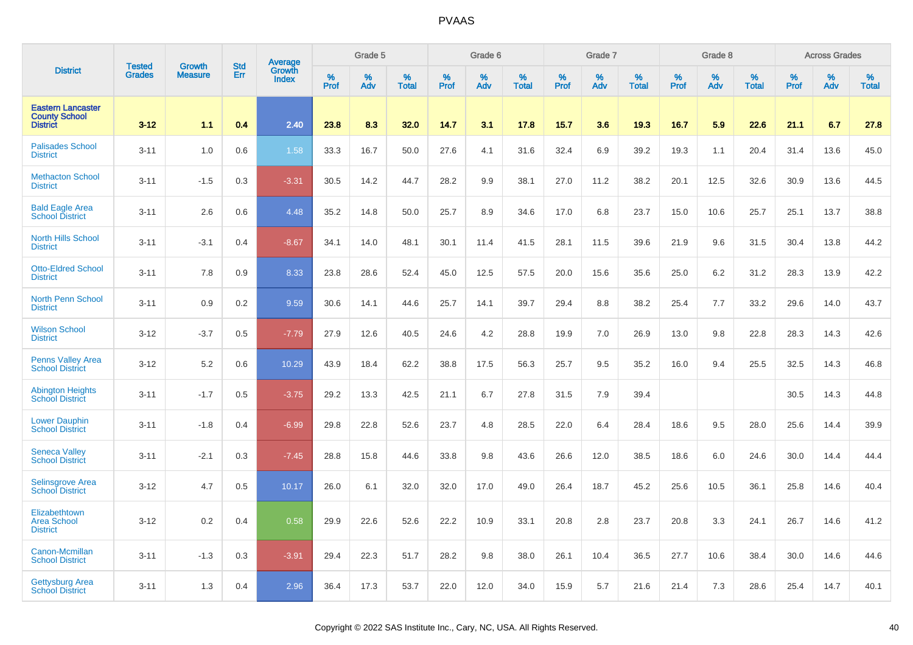|                                                                     | <b>Tested</b> | <b>Growth</b>  | <b>Std</b> | Average                |                     | Grade 5     |                   |                  | Grade 6  |                   |                     | Grade 7  |                   |                  | Grade 8  |                   |              | <b>Across Grades</b> |                   |
|---------------------------------------------------------------------|---------------|----------------|------------|------------------------|---------------------|-------------|-------------------|------------------|----------|-------------------|---------------------|----------|-------------------|------------------|----------|-------------------|--------------|----------------------|-------------------|
| <b>District</b>                                                     | <b>Grades</b> | <b>Measure</b> | Err        | Growth<br><b>Index</b> | $\%$<br><b>Prof</b> | $\%$<br>Adv | %<br><b>Total</b> | %<br><b>Prof</b> | %<br>Adv | %<br><b>Total</b> | $\%$<br><b>Prof</b> | %<br>Adv | %<br><b>Total</b> | %<br><b>Prof</b> | %<br>Adv | %<br><b>Total</b> | $\%$<br>Prof | %<br>Adv             | %<br><b>Total</b> |
| <b>Eastern Lancaster</b><br><b>County School</b><br><b>District</b> | $3 - 12$      | 1.1            | 0.4        | 2.40                   | 23.8                | 8.3         | 32.0              | 14.7             | 3.1      | 17.8              | 15.7                | 3.6      | 19.3              | 16.7             | 5.9      | 22.6              | 21.1         | 6.7                  | 27.8              |
| <b>Palisades School</b><br><b>District</b>                          | $3 - 11$      | 1.0            | 0.6        | 1.58                   | 33.3                | 16.7        | 50.0              | 27.6             | 4.1      | 31.6              | 32.4                | 6.9      | 39.2              | 19.3             | 1.1      | 20.4              | 31.4         | 13.6                 | 45.0              |
| <b>Methacton School</b><br><b>District</b>                          | $3 - 11$      | $-1.5$         | 0.3        | $-3.31$                | 30.5                | 14.2        | 44.7              | 28.2             | 9.9      | 38.1              | 27.0                | 11.2     | 38.2              | 20.1             | 12.5     | 32.6              | 30.9         | 13.6                 | 44.5              |
| <b>Bald Eagle Area</b><br><b>School District</b>                    | $3 - 11$      | 2.6            | 0.6        | 4.48                   | 35.2                | 14.8        | 50.0              | 25.7             | 8.9      | 34.6              | 17.0                | 6.8      | 23.7              | 15.0             | 10.6     | 25.7              | 25.1         | 13.7                 | 38.8              |
| <b>North Hills School</b><br><b>District</b>                        | $3 - 11$      | $-3.1$         | 0.4        | $-8.67$                | 34.1                | 14.0        | 48.1              | 30.1             | 11.4     | 41.5              | 28.1                | 11.5     | 39.6              | 21.9             | 9.6      | 31.5              | 30.4         | 13.8                 | 44.2              |
| <b>Otto-Eldred School</b><br><b>District</b>                        | $3 - 11$      | 7.8            | 0.9        | 8.33                   | 23.8                | 28.6        | 52.4              | 45.0             | 12.5     | 57.5              | 20.0                | 15.6     | 35.6              | 25.0             | 6.2      | 31.2              | 28.3         | 13.9                 | 42.2              |
| <b>North Penn School</b><br><b>District</b>                         | $3 - 11$      | 0.9            | 0.2        | 9.59                   | 30.6                | 14.1        | 44.6              | 25.7             | 14.1     | 39.7              | 29.4                | 8.8      | 38.2              | 25.4             | 7.7      | 33.2              | 29.6         | 14.0                 | 43.7              |
| <b>Wilson School</b><br><b>District</b>                             | $3 - 12$      | $-3.7$         | 0.5        | $-7.79$                | 27.9                | 12.6        | 40.5              | 24.6             | 4.2      | 28.8              | 19.9                | 7.0      | 26.9              | 13.0             | 9.8      | 22.8              | 28.3         | 14.3                 | 42.6              |
| Penns Valley Area<br><b>School District</b>                         | $3 - 12$      | 5.2            | 0.6        | 10.29                  | 43.9                | 18.4        | 62.2              | 38.8             | 17.5     | 56.3              | 25.7                | 9.5      | 35.2              | 16.0             | 9.4      | 25.5              | 32.5         | 14.3                 | 46.8              |
| <b>Abington Heights</b><br><b>School District</b>                   | $3 - 11$      | $-1.7$         | 0.5        | $-3.75$                | 29.2                | 13.3        | 42.5              | 21.1             | 6.7      | 27.8              | 31.5                | 7.9      | 39.4              |                  |          |                   | 30.5         | 14.3                 | 44.8              |
| <b>Lower Dauphin</b><br><b>School District</b>                      | $3 - 11$      | $-1.8$         | 0.4        | $-6.99$                | 29.8                | 22.8        | 52.6              | 23.7             | 4.8      | 28.5              | 22.0                | 6.4      | 28.4              | 18.6             | 9.5      | 28.0              | 25.6         | 14.4                 | 39.9              |
| <b>Seneca Valley</b><br><b>School District</b>                      | $3 - 11$      | $-2.1$         | 0.3        | $-7.45$                | 28.8                | 15.8        | 44.6              | 33.8             | 9.8      | 43.6              | 26.6                | 12.0     | 38.5              | 18.6             | 6.0      | 24.6              | 30.0         | 14.4                 | 44.4              |
| <b>Selinsgrove Area</b><br><b>School District</b>                   | $3 - 12$      | 4.7            | 0.5        | 10.17                  | 26.0                | 6.1         | 32.0              | 32.0             | 17.0     | 49.0              | 26.4                | 18.7     | 45.2              | 25.6             | 10.5     | 36.1              | 25.8         | 14.6                 | 40.4              |
| Elizabethtown<br><b>Area School</b><br><b>District</b>              | $3 - 12$      | 0.2            | 0.4        | 0.58                   | 29.9                | 22.6        | 52.6              | 22.2             | 10.9     | 33.1              | 20.8                | 2.8      | 23.7              | 20.8             | 3.3      | 24.1              | 26.7         | 14.6                 | 41.2              |
| Canon-Mcmillan<br><b>School District</b>                            | $3 - 11$      | $-1.3$         | 0.3        | $-3.91$                | 29.4                | 22.3        | 51.7              | 28.2             | 9.8      | 38.0              | 26.1                | 10.4     | 36.5              | 27.7             | 10.6     | 38.4              | 30.0         | 14.6                 | 44.6              |
| <b>Gettysburg Area</b><br><b>School District</b>                    | $3 - 11$      | 1.3            | 0.4        | 2.96                   | 36.4                | 17.3        | 53.7              | 22.0             | 12.0     | 34.0              | 15.9                | 5.7      | 21.6              | 21.4             | 7.3      | 28.6              | 25.4         | 14.7                 | 40.1              |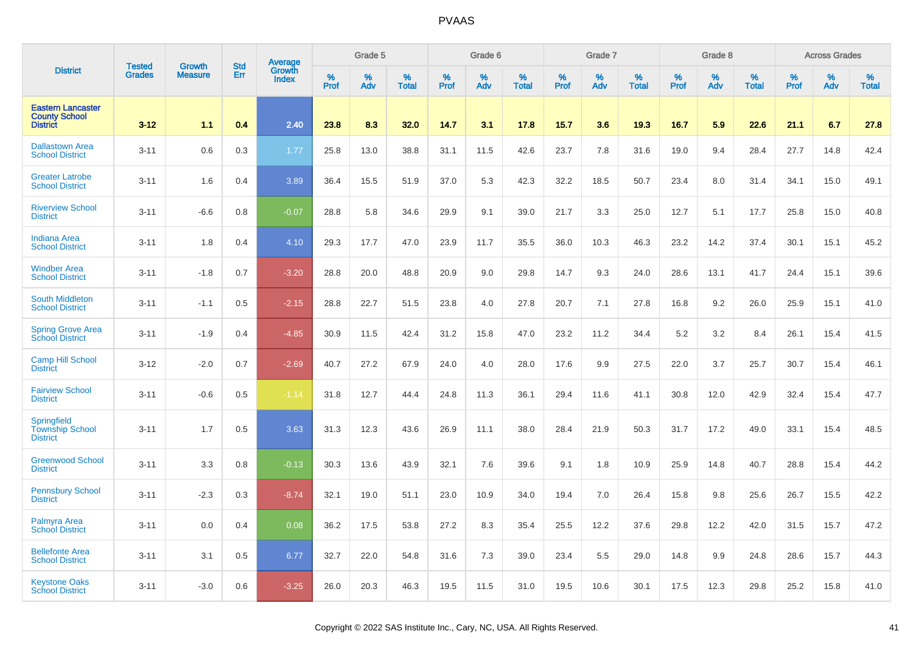|                                                                     | <b>Tested</b> | <b>Growth</b>  | <b>Std</b> | Average                |              | Grade 5  |                   |                  | Grade 6  |                   |                     | Grade 7  |                   |           | Grade 8  |                   |              | <b>Across Grades</b> |                   |
|---------------------------------------------------------------------|---------------|----------------|------------|------------------------|--------------|----------|-------------------|------------------|----------|-------------------|---------------------|----------|-------------------|-----------|----------|-------------------|--------------|----------------------|-------------------|
| <b>District</b>                                                     | <b>Grades</b> | <b>Measure</b> | Err        | Growth<br><b>Index</b> | $\%$<br>Prof | %<br>Adv | %<br><b>Total</b> | %<br><b>Prof</b> | %<br>Adv | %<br><b>Total</b> | $\%$<br><b>Prof</b> | %<br>Adv | %<br><b>Total</b> | %<br>Prof | %<br>Adv | %<br><b>Total</b> | $\%$<br>Prof | %<br>Adv             | %<br><b>Total</b> |
| <b>Eastern Lancaster</b><br><b>County School</b><br><b>District</b> | $3 - 12$      | 1.1            | 0.4        | 2.40                   | 23.8         | 8.3      | 32.0              | 14.7             | 3.1      | 17.8              | 15.7                | 3.6      | 19.3              | 16.7      | 5.9      | 22.6              | 21.1         | 6.7                  | 27.8              |
| <b>Dallastown Area</b><br><b>School District</b>                    | $3 - 11$      | 0.6            | 0.3        | 1.77                   | 25.8         | 13.0     | 38.8              | 31.1             | 11.5     | 42.6              | 23.7                | 7.8      | 31.6              | 19.0      | 9.4      | 28.4              | 27.7         | 14.8                 | 42.4              |
| <b>Greater Latrobe</b><br><b>School District</b>                    | $3 - 11$      | 1.6            | 0.4        | 3.89                   | 36.4         | 15.5     | 51.9              | 37.0             | 5.3      | 42.3              | 32.2                | 18.5     | 50.7              | 23.4      | 8.0      | 31.4              | 34.1         | 15.0                 | 49.1              |
| <b>Riverview School</b><br><b>District</b>                          | $3 - 11$      | $-6.6$         | 0.8        | $-0.07$                | 28.8         | 5.8      | 34.6              | 29.9             | 9.1      | 39.0              | 21.7                | 3.3      | 25.0              | 12.7      | 5.1      | 17.7              | 25.8         | 15.0                 | 40.8              |
| <b>Indiana Area</b><br><b>School District</b>                       | $3 - 11$      | 1.8            | 0.4        | 4.10                   | 29.3         | 17.7     | 47.0              | 23.9             | 11.7     | 35.5              | 36.0                | 10.3     | 46.3              | 23.2      | 14.2     | 37.4              | 30.1         | 15.1                 | 45.2              |
| <b>Windber Area</b><br><b>School District</b>                       | $3 - 11$      | $-1.8$         | 0.7        | $-3.20$                | 28.8         | 20.0     | 48.8              | 20.9             | 9.0      | 29.8              | 14.7                | 9.3      | 24.0              | 28.6      | 13.1     | 41.7              | 24.4         | 15.1                 | 39.6              |
| <b>South Middleton</b><br><b>School District</b>                    | $3 - 11$      | $-1.1$         | 0.5        | $-2.15$                | 28.8         | 22.7     | 51.5              | 23.8             | 4.0      | 27.8              | 20.7                | 7.1      | 27.8              | 16.8      | 9.2      | 26.0              | 25.9         | 15.1                 | 41.0              |
| <b>Spring Grove Area</b><br><b>School District</b>                  | $3 - 11$      | $-1.9$         | 0.4        | $-4.85$                | 30.9         | 11.5     | 42.4              | 31.2             | 15.8     | 47.0              | 23.2                | 11.2     | 34.4              | 5.2       | 3.2      | 8.4               | 26.1         | 15.4                 | 41.5              |
| <b>Camp Hill School</b><br><b>District</b>                          | $3 - 12$      | $-2.0$         | 0.7        | $-2.69$                | 40.7         | 27.2     | 67.9              | 24.0             | 4.0      | 28.0              | 17.6                | 9.9      | 27.5              | 22.0      | 3.7      | 25.7              | 30.7         | 15.4                 | 46.1              |
| <b>Fairview School</b><br><b>District</b>                           | $3 - 11$      | $-0.6$         | 0.5        | $-1.14$                | 31.8         | 12.7     | 44.4              | 24.8             | 11.3     | 36.1              | 29.4                | 11.6     | 41.1              | 30.8      | 12.0     | 42.9              | 32.4         | 15.4                 | 47.7              |
| <b>Springfield</b><br><b>Township School</b><br><b>District</b>     | $3 - 11$      | 1.7            | 0.5        | 3.63                   | 31.3         | 12.3     | 43.6              | 26.9             | 11.1     | 38.0              | 28.4                | 21.9     | 50.3              | 31.7      | 17.2     | 49.0              | 33.1         | 15.4                 | 48.5              |
| <b>Greenwood School</b><br><b>District</b>                          | $3 - 11$      | 3.3            | 0.8        | $-0.13$                | 30.3         | 13.6     | 43.9              | 32.1             | 7.6      | 39.6              | 9.1                 | 1.8      | 10.9              | 25.9      | 14.8     | 40.7              | 28.8         | 15.4                 | 44.2              |
| <b>Pennsbury School</b><br><b>District</b>                          | $3 - 11$      | $-2.3$         | 0.3        | $-8.74$                | 32.1         | 19.0     | 51.1              | 23.0             | 10.9     | 34.0              | 19.4                | 7.0      | 26.4              | 15.8      | 9.8      | 25.6              | 26.7         | 15.5                 | 42.2              |
| Palmyra Area<br><b>School District</b>                              | $3 - 11$      | 0.0            | 0.4        | 0.08                   | 36.2         | 17.5     | 53.8              | 27.2             | 8.3      | 35.4              | 25.5                | 12.2     | 37.6              | 29.8      | 12.2     | 42.0              | 31.5         | 15.7                 | 47.2              |
| <b>Bellefonte Area</b><br><b>School District</b>                    | $3 - 11$      | 3.1            | 0.5        | 6.77                   | 32.7         | 22.0     | 54.8              | 31.6             | 7.3      | 39.0              | 23.4                | 5.5      | 29.0              | 14.8      | 9.9      | 24.8              | 28.6         | 15.7                 | 44.3              |
| <b>Keystone Oaks</b><br><b>School District</b>                      | $3 - 11$      | $-3.0$         | 0.6        | $-3.25$                | 26.0         | 20.3     | 46.3              | 19.5             | 11.5     | 31.0              | 19.5                | 10.6     | 30.1              | 17.5      | 12.3     | 29.8              | 25.2         | 15.8                 | 41.0              |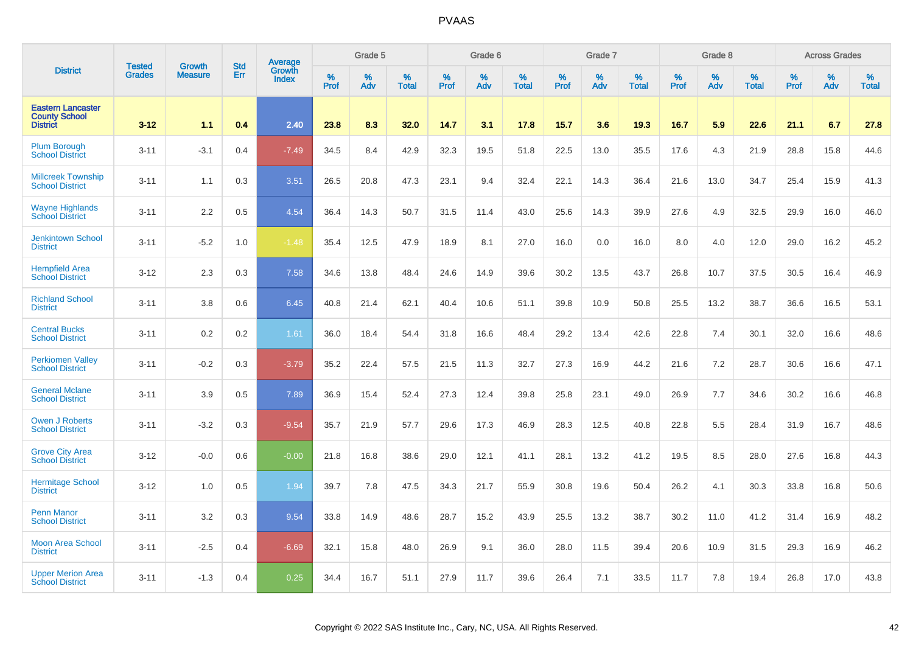|                                                                     | <b>Tested</b> | <b>Growth</b>  | <b>Std</b> | Average                |                     | Grade 5     |                      |                  | Grade 6     |                      |                  | Grade 7  |                   |              | Grade 8  |                      |                     | <b>Across Grades</b> |                      |
|---------------------------------------------------------------------|---------------|----------------|------------|------------------------|---------------------|-------------|----------------------|------------------|-------------|----------------------|------------------|----------|-------------------|--------------|----------|----------------------|---------------------|----------------------|----------------------|
| <b>District</b>                                                     | <b>Grades</b> | <b>Measure</b> | Err        | Growth<br><b>Index</b> | $\%$<br><b>Prof</b> | $\%$<br>Adv | $\%$<br><b>Total</b> | %<br><b>Prof</b> | $\%$<br>Adv | $\%$<br><b>Total</b> | %<br><b>Prof</b> | %<br>Adv | %<br><b>Total</b> | $\%$<br>Prof | %<br>Adv | $\%$<br><b>Total</b> | $\%$<br><b>Prof</b> | $\%$<br>Adv          | $\%$<br><b>Total</b> |
| <b>Eastern Lancaster</b><br><b>County School</b><br><b>District</b> | $3 - 12$      | 1.1            | 0.4        | 2.40                   | 23.8                | 8.3         | 32.0                 | 14.7             | 3.1         | 17.8                 | 15.7             | 3.6      | 19.3              | 16.7         | 5.9      | 22.6                 | 21.1                | 6.7                  | 27.8                 |
| <b>Plum Borough</b><br><b>School District</b>                       | $3 - 11$      | $-3.1$         | 0.4        | $-7.49$                | 34.5                | 8.4         | 42.9                 | 32.3             | 19.5        | 51.8                 | 22.5             | 13.0     | 35.5              | 17.6         | 4.3      | 21.9                 | 28.8                | 15.8                 | 44.6                 |
| <b>Millcreek Township</b><br><b>School District</b>                 | $3 - 11$      | 1.1            | 0.3        | 3.51                   | 26.5                | 20.8        | 47.3                 | 23.1             | 9.4         | 32.4                 | 22.1             | 14.3     | 36.4              | 21.6         | 13.0     | 34.7                 | 25.4                | 15.9                 | 41.3                 |
| <b>Wayne Highlands</b><br><b>School District</b>                    | $3 - 11$      | 2.2            | 0.5        | 4.54                   | 36.4                | 14.3        | 50.7                 | 31.5             | 11.4        | 43.0                 | 25.6             | 14.3     | 39.9              | 27.6         | 4.9      | 32.5                 | 29.9                | 16.0                 | 46.0                 |
| <b>Jenkintown School</b><br><b>District</b>                         | $3 - 11$      | $-5.2$         | 1.0        | $-1.48$                | 35.4                | 12.5        | 47.9                 | 18.9             | 8.1         | 27.0                 | 16.0             | 0.0      | 16.0              | 8.0          | 4.0      | 12.0                 | 29.0                | 16.2                 | 45.2                 |
| <b>Hempfield Area</b><br><b>School District</b>                     | $3 - 12$      | 2.3            | 0.3        | 7.58                   | 34.6                | 13.8        | 48.4                 | 24.6             | 14.9        | 39.6                 | 30.2             | 13.5     | 43.7              | 26.8         | 10.7     | 37.5                 | 30.5                | 16.4                 | 46.9                 |
| <b>Richland School</b><br><b>District</b>                           | $3 - 11$      | 3.8            | 0.6        | 6.45                   | 40.8                | 21.4        | 62.1                 | 40.4             | 10.6        | 51.1                 | 39.8             | 10.9     | 50.8              | 25.5         | 13.2     | 38.7                 | 36.6                | 16.5                 | 53.1                 |
| <b>Central Bucks</b><br><b>School District</b>                      | $3 - 11$      | 0.2            | 0.2        | 1.61                   | 36.0                | 18.4        | 54.4                 | 31.8             | 16.6        | 48.4                 | 29.2             | 13.4     | 42.6              | 22.8         | 7.4      | 30.1                 | 32.0                | 16.6                 | 48.6                 |
| <b>Perkiomen Valley</b><br><b>School District</b>                   | $3 - 11$      | $-0.2$         | 0.3        | $-3.79$                | 35.2                | 22.4        | 57.5                 | 21.5             | 11.3        | 32.7                 | 27.3             | 16.9     | 44.2              | 21.6         | 7.2      | 28.7                 | 30.6                | 16.6                 | 47.1                 |
| <b>General Mclane</b><br><b>School District</b>                     | $3 - 11$      | 3.9            | 0.5        | 7.89                   | 36.9                | 15.4        | 52.4                 | 27.3             | 12.4        | 39.8                 | 25.8             | 23.1     | 49.0              | 26.9         | 7.7      | 34.6                 | 30.2                | 16.6                 | 46.8                 |
| <b>Owen J Roberts</b><br><b>School District</b>                     | $3 - 11$      | $-3.2$         | 0.3        | $-9.54$                | 35.7                | 21.9        | 57.7                 | 29.6             | 17.3        | 46.9                 | 28.3             | 12.5     | 40.8              | 22.8         | 5.5      | 28.4                 | 31.9                | 16.7                 | 48.6                 |
| <b>Grove City Area</b><br><b>School District</b>                    | $3 - 12$      | $-0.0$         | 0.6        | $-0.00$                | 21.8                | 16.8        | 38.6                 | 29.0             | 12.1        | 41.1                 | 28.1             | 13.2     | 41.2              | 19.5         | 8.5      | 28.0                 | 27.6                | 16.8                 | 44.3                 |
| <b>Hermitage School</b><br><b>District</b>                          | $3 - 12$      | 1.0            | 0.5        | 1.94                   | 39.7                | 7.8         | 47.5                 | 34.3             | 21.7        | 55.9                 | 30.8             | 19.6     | 50.4              | 26.2         | 4.1      | 30.3                 | 33.8                | 16.8                 | 50.6                 |
| <b>Penn Manor</b><br><b>School District</b>                         | $3 - 11$      | 3.2            | 0.3        | 9.54                   | 33.8                | 14.9        | 48.6                 | 28.7             | 15.2        | 43.9                 | 25.5             | 13.2     | 38.7              | 30.2         | 11.0     | 41.2                 | 31.4                | 16.9                 | 48.2                 |
| <b>Moon Area School</b><br><b>District</b>                          | $3 - 11$      | $-2.5$         | 0.4        | $-6.69$                | 32.1                | 15.8        | 48.0                 | 26.9             | 9.1         | 36.0                 | 28.0             | 11.5     | 39.4              | 20.6         | 10.9     | 31.5                 | 29.3                | 16.9                 | 46.2                 |
| <b>Upper Merion Area</b><br><b>School District</b>                  | $3 - 11$      | $-1.3$         | 0.4        | 0.25                   | 34.4                | 16.7        | 51.1                 | 27.9             | 11.7        | 39.6                 | 26.4             | 7.1      | 33.5              | 11.7         | 7.8      | 19.4                 | 26.8                | 17.0                 | 43.8                 |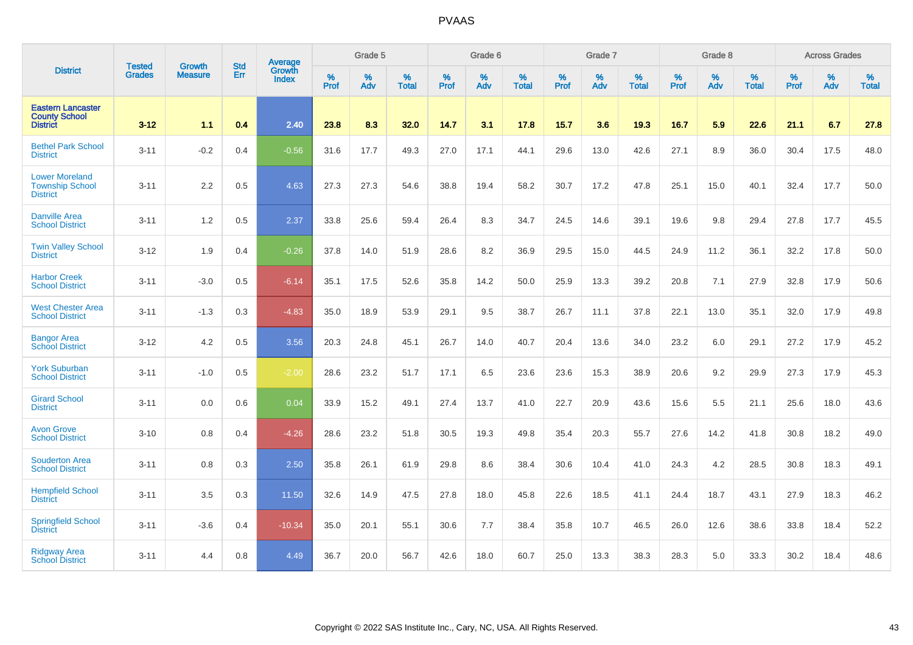|                                                                     | <b>Tested</b> | <b>Growth</b>  | <b>Std</b> | Average                |           | Grade 5  |                   |           | Grade 6  |                   |           | Grade 7  |                   |           | Grade 8  |                   |           | <b>Across Grades</b> |                   |
|---------------------------------------------------------------------|---------------|----------------|------------|------------------------|-----------|----------|-------------------|-----------|----------|-------------------|-----------|----------|-------------------|-----------|----------|-------------------|-----------|----------------------|-------------------|
| <b>District</b>                                                     | <b>Grades</b> | <b>Measure</b> | Err        | Growth<br><b>Index</b> | %<br>Prof | %<br>Adv | %<br><b>Total</b> | %<br>Prof | %<br>Adv | %<br><b>Total</b> | %<br>Prof | %<br>Adv | %<br><b>Total</b> | %<br>Prof | %<br>Adv | %<br><b>Total</b> | %<br>Prof | %<br>Adv             | %<br><b>Total</b> |
| <b>Eastern Lancaster</b><br><b>County School</b><br><b>District</b> | $3 - 12$      | 1.1            | 0.4        | 2.40                   | 23.8      | 8.3      | 32.0              | 14.7      | 3.1      | 17.8              | 15.7      | 3.6      | 19.3              | 16.7      | 5.9      | 22.6              | 21.1      | 6.7                  | 27.8              |
| <b>Bethel Park School</b><br><b>District</b>                        | $3 - 11$      | $-0.2$         | 0.4        | $-0.56$                | 31.6      | 17.7     | 49.3              | 27.0      | 17.1     | 44.1              | 29.6      | 13.0     | 42.6              | 27.1      | 8.9      | 36.0              | 30.4      | 17.5                 | 48.0              |
| <b>Lower Moreland</b><br><b>Township School</b><br><b>District</b>  | $3 - 11$      | 2.2            | 0.5        | 4.63                   | 27.3      | 27.3     | 54.6              | 38.8      | 19.4     | 58.2              | 30.7      | 17.2     | 47.8              | 25.1      | 15.0     | 40.1              | 32.4      | 17.7                 | 50.0              |
| <b>Danville Area</b><br><b>School District</b>                      | $3 - 11$      | 1.2            | 0.5        | 2.37                   | 33.8      | 25.6     | 59.4              | 26.4      | 8.3      | 34.7              | 24.5      | 14.6     | 39.1              | 19.6      | 9.8      | 29.4              | 27.8      | 17.7                 | 45.5              |
| <b>Twin Valley School</b><br><b>District</b>                        | $3 - 12$      | 1.9            | 0.4        | $-0.26$                | 37.8      | 14.0     | 51.9              | 28.6      | 8.2      | 36.9              | 29.5      | 15.0     | 44.5              | 24.9      | 11.2     | 36.1              | 32.2      | 17.8                 | 50.0              |
| <b>Harbor Creek</b><br><b>School District</b>                       | $3 - 11$      | $-3.0$         | 0.5        | $-6.14$                | 35.1      | 17.5     | 52.6              | 35.8      | 14.2     | 50.0              | 25.9      | 13.3     | 39.2              | 20.8      | 7.1      | 27.9              | 32.8      | 17.9                 | 50.6              |
| <b>West Chester Area</b><br><b>School District</b>                  | $3 - 11$      | $-1.3$         | 0.3        | $-4.83$                | 35.0      | 18.9     | 53.9              | 29.1      | 9.5      | 38.7              | 26.7      | 11.1     | 37.8              | 22.1      | 13.0     | 35.1              | 32.0      | 17.9                 | 49.8              |
| <b>Bangor Area</b><br><b>School District</b>                        | $3 - 12$      | 4.2            | 0.5        | 3.56                   | 20.3      | 24.8     | 45.1              | 26.7      | 14.0     | 40.7              | 20.4      | 13.6     | 34.0              | 23.2      | 6.0      | 29.1              | 27.2      | 17.9                 | 45.2              |
| <b>York Suburban</b><br><b>School District</b>                      | $3 - 11$      | $-1.0$         | 0.5        | $-2.00$                | 28.6      | 23.2     | 51.7              | 17.1      | 6.5      | 23.6              | 23.6      | 15.3     | 38.9              | 20.6      | 9.2      | 29.9              | 27.3      | 17.9                 | 45.3              |
| <b>Girard School</b><br><b>District</b>                             | $3 - 11$      | 0.0            | 0.6        | 0.04                   | 33.9      | 15.2     | 49.1              | 27.4      | 13.7     | 41.0              | 22.7      | 20.9     | 43.6              | 15.6      | 5.5      | 21.1              | 25.6      | 18.0                 | 43.6              |
| <b>Avon Grove</b><br><b>School District</b>                         | $3 - 10$      | 0.8            | 0.4        | $-4.26$                | 28.6      | 23.2     | 51.8              | 30.5      | 19.3     | 49.8              | 35.4      | 20.3     | 55.7              | 27.6      | 14.2     | 41.8              | 30.8      | 18.2                 | 49.0              |
| <b>Souderton Area</b><br><b>School District</b>                     | $3 - 11$      | 0.8            | 0.3        | 2.50                   | 35.8      | 26.1     | 61.9              | 29.8      | 8.6      | 38.4              | 30.6      | 10.4     | 41.0              | 24.3      | 4.2      | 28.5              | 30.8      | 18.3                 | 49.1              |
| <b>Hempfield School</b><br><b>District</b>                          | $3 - 11$      | 3.5            | 0.3        | 11.50                  | 32.6      | 14.9     | 47.5              | 27.8      | 18.0     | 45.8              | 22.6      | 18.5     | 41.1              | 24.4      | 18.7     | 43.1              | 27.9      | 18.3                 | 46.2              |
| <b>Springfield School</b><br><b>District</b>                        | $3 - 11$      | $-3.6$         | 0.4        | $-10.34$               | 35.0      | 20.1     | 55.1              | 30.6      | 7.7      | 38.4              | 35.8      | 10.7     | 46.5              | 26.0      | 12.6     | 38.6              | 33.8      | 18.4                 | 52.2              |
| <b>Ridgway Area</b><br><b>School District</b>                       | $3 - 11$      | 4.4            | 0.8        | 4.49                   | 36.7      | 20.0     | 56.7              | 42.6      | 18.0     | 60.7              | 25.0      | 13.3     | 38.3              | 28.3      | 5.0      | 33.3              | 30.2      | 18.4                 | 48.6              |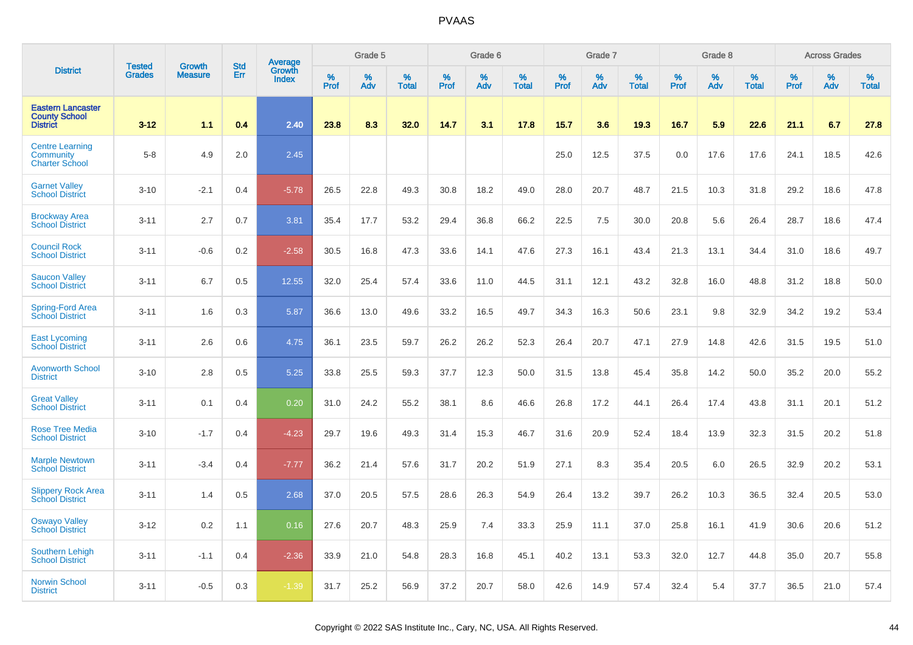|                                                                     | <b>Tested</b> | <b>Growth</b>  | <b>Std</b> | Average                |              | Grade 5  |                   |              | Grade 6  |                   |              | Grade 7  |                   |           | Grade 8  |                   |           | <b>Across Grades</b> |                   |
|---------------------------------------------------------------------|---------------|----------------|------------|------------------------|--------------|----------|-------------------|--------------|----------|-------------------|--------------|----------|-------------------|-----------|----------|-------------------|-----------|----------------------|-------------------|
| <b>District</b>                                                     | <b>Grades</b> | <b>Measure</b> | Err        | Growth<br><b>Index</b> | $\%$<br>Prof | %<br>Adv | %<br><b>Total</b> | $\%$<br>Prof | %<br>Adv | %<br><b>Total</b> | $\%$<br>Prof | %<br>Adv | %<br><b>Total</b> | %<br>Prof | %<br>Adv | %<br><b>Total</b> | %<br>Prof | %<br>Adv             | %<br><b>Total</b> |
| <b>Eastern Lancaster</b><br><b>County School</b><br><b>District</b> | $3 - 12$      | 1.1            | 0.4        | 2.40                   | 23.8         | 8.3      | 32.0              | 14.7         | 3.1      | 17.8              | 15.7         | 3.6      | 19.3              | 16.7      | 5.9      | 22.6              | 21.1      | 6.7                  | 27.8              |
| <b>Centre Learning</b><br>Community<br><b>Charter School</b>        | $5-8$         | 4.9            | 2.0        | 2.45                   |              |          |                   |              |          |                   | 25.0         | 12.5     | 37.5              | 0.0       | 17.6     | 17.6              | 24.1      | 18.5                 | 42.6              |
| <b>Garnet Valley</b><br><b>School District</b>                      | $3 - 10$      | $-2.1$         | 0.4        | $-5.78$                | 26.5         | 22.8     | 49.3              | 30.8         | 18.2     | 49.0              | 28.0         | 20.7     | 48.7              | 21.5      | 10.3     | 31.8              | 29.2      | 18.6                 | 47.8              |
| <b>Brockway Area</b><br><b>School District</b>                      | $3 - 11$      | 2.7            | 0.7        | 3.81                   | 35.4         | 17.7     | 53.2              | 29.4         | 36.8     | 66.2              | 22.5         | 7.5      | 30.0              | 20.8      | 5.6      | 26.4              | 28.7      | 18.6                 | 47.4              |
| <b>Council Rock</b><br><b>School District</b>                       | $3 - 11$      | $-0.6$         | 0.2        | $-2.58$                | 30.5         | 16.8     | 47.3              | 33.6         | 14.1     | 47.6              | 27.3         | 16.1     | 43.4              | 21.3      | 13.1     | 34.4              | 31.0      | 18.6                 | 49.7              |
| <b>Saucon Valley</b><br><b>School District</b>                      | $3 - 11$      | 6.7            | 0.5        | 12.55                  | 32.0         | 25.4     | 57.4              | 33.6         | 11.0     | 44.5              | 31.1         | 12.1     | 43.2              | 32.8      | 16.0     | 48.8              | 31.2      | 18.8                 | 50.0              |
| <b>Spring-Ford Area</b><br>School District                          | $3 - 11$      | 1.6            | 0.3        | 5.87                   | 36.6         | 13.0     | 49.6              | 33.2         | 16.5     | 49.7              | 34.3         | 16.3     | 50.6              | 23.1      | 9.8      | 32.9              | 34.2      | 19.2                 | 53.4              |
| <b>East Lycoming</b><br><b>School District</b>                      | $3 - 11$      | 2.6            | 0.6        | 4.75                   | 36.1         | 23.5     | 59.7              | 26.2         | 26.2     | 52.3              | 26.4         | 20.7     | 47.1              | 27.9      | 14.8     | 42.6              | 31.5      | 19.5                 | 51.0              |
| <b>Avonworth School</b><br><b>District</b>                          | $3 - 10$      | 2.8            | 0.5        | 5.25                   | 33.8         | 25.5     | 59.3              | 37.7         | 12.3     | 50.0              | 31.5         | 13.8     | 45.4              | 35.8      | 14.2     | 50.0              | 35.2      | 20.0                 | 55.2              |
| <b>Great Valley</b><br><b>School District</b>                       | $3 - 11$      | 0.1            | 0.4        | 0.20                   | 31.0         | 24.2     | 55.2              | 38.1         | 8.6      | 46.6              | 26.8         | 17.2     | 44.1              | 26.4      | 17.4     | 43.8              | 31.1      | 20.1                 | 51.2              |
| <b>Rose Tree Media</b><br><b>School District</b>                    | $3 - 10$      | $-1.7$         | 0.4        | $-4.23$                | 29.7         | 19.6     | 49.3              | 31.4         | 15.3     | 46.7              | 31.6         | 20.9     | 52.4              | 18.4      | 13.9     | 32.3              | 31.5      | 20.2                 | 51.8              |
| <b>Marple Newtown</b><br><b>School District</b>                     | $3 - 11$      | $-3.4$         | 0.4        | $-7.77$                | 36.2         | 21.4     | 57.6              | 31.7         | 20.2     | 51.9              | 27.1         | 8.3      | 35.4              | 20.5      | 6.0      | 26.5              | 32.9      | 20.2                 | 53.1              |
| <b>Slippery Rock Area</b><br><b>School District</b>                 | $3 - 11$      | 1.4            | 0.5        | 2.68                   | 37.0         | 20.5     | 57.5              | 28.6         | 26.3     | 54.9              | 26.4         | 13.2     | 39.7              | 26.2      | 10.3     | 36.5              | 32.4      | 20.5                 | 53.0              |
| <b>Oswayo Valley</b><br>School District                             | $3 - 12$      | 0.2            | 1.1        | 0.16                   | 27.6         | 20.7     | 48.3              | 25.9         | 7.4      | 33.3              | 25.9         | 11.1     | 37.0              | 25.8      | 16.1     | 41.9              | 30.6      | 20.6                 | 51.2              |
| <b>Southern Lehigh</b><br><b>School District</b>                    | $3 - 11$      | $-1.1$         | 0.4        | $-2.36$                | 33.9         | 21.0     | 54.8              | 28.3         | 16.8     | 45.1              | 40.2         | 13.1     | 53.3              | 32.0      | 12.7     | 44.8              | 35.0      | 20.7                 | 55.8              |
| <b>Norwin School</b><br><b>District</b>                             | $3 - 11$      | $-0.5$         | 0.3        | $-1.39$                | 31.7         | 25.2     | 56.9              | 37.2         | 20.7     | 58.0              | 42.6         | 14.9     | 57.4              | 32.4      | 5.4      | 37.7              | 36.5      | 21.0                 | 57.4              |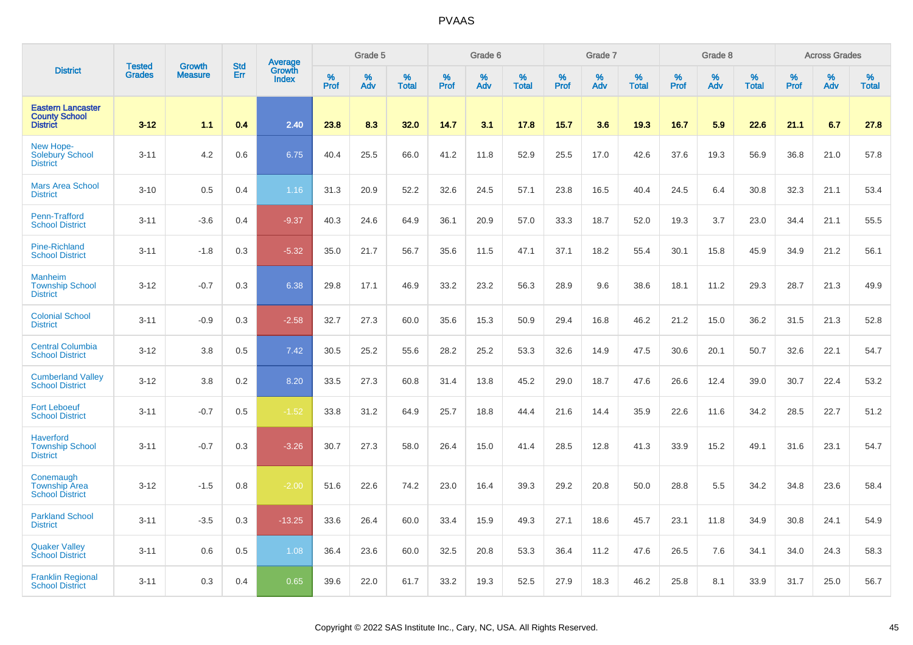|                                                                     | <b>Tested</b> | <b>Growth</b>  | <b>Std</b> | Average                |           | Grade 5  |                   |           | Grade 6  |                   |           | Grade 7  |                   |           | Grade 8  |                   |           | <b>Across Grades</b> |                   |
|---------------------------------------------------------------------|---------------|----------------|------------|------------------------|-----------|----------|-------------------|-----------|----------|-------------------|-----------|----------|-------------------|-----------|----------|-------------------|-----------|----------------------|-------------------|
| <b>District</b>                                                     | <b>Grades</b> | <b>Measure</b> | Err        | Growth<br><b>Index</b> | %<br>Prof | %<br>Adv | %<br><b>Total</b> | %<br>Prof | %<br>Adv | %<br><b>Total</b> | %<br>Prof | %<br>Adv | %<br><b>Total</b> | %<br>Prof | %<br>Adv | %<br><b>Total</b> | %<br>Prof | %<br>Adv             | %<br><b>Total</b> |
| <b>Eastern Lancaster</b><br><b>County School</b><br><b>District</b> | $3 - 12$      | 1.1            | 0.4        | 2.40                   | 23.8      | 8.3      | 32.0              | 14.7      | 3.1      | 17.8              | 15.7      | 3.6      | 19.3              | 16.7      | 5.9      | 22.6              | 21.1      | 6.7                  | 27.8              |
| New Hope-<br>Solebury School<br><b>District</b>                     | $3 - 11$      | 4.2            | 0.6        | 6.75                   | 40.4      | 25.5     | 66.0              | 41.2      | 11.8     | 52.9              | 25.5      | 17.0     | 42.6              | 37.6      | 19.3     | 56.9              | 36.8      | 21.0                 | 57.8              |
| <b>Mars Area School</b><br><b>District</b>                          | $3 - 10$      | 0.5            | 0.4        | 1.16                   | 31.3      | 20.9     | 52.2              | 32.6      | 24.5     | 57.1              | 23.8      | 16.5     | 40.4              | 24.5      | 6.4      | 30.8              | 32.3      | 21.1                 | 53.4              |
| Penn-Trafford<br><b>School District</b>                             | $3 - 11$      | $-3.6$         | 0.4        | $-9.37$                | 40.3      | 24.6     | 64.9              | 36.1      | 20.9     | 57.0              | 33.3      | 18.7     | 52.0              | 19.3      | 3.7      | 23.0              | 34.4      | 21.1                 | 55.5              |
| <b>Pine-Richland</b><br><b>School District</b>                      | $3 - 11$      | $-1.8$         | 0.3        | $-5.32$                | 35.0      | 21.7     | 56.7              | 35.6      | 11.5     | 47.1              | 37.1      | 18.2     | 55.4              | 30.1      | 15.8     | 45.9              | 34.9      | 21.2                 | 56.1              |
| <b>Manheim</b><br><b>Township School</b><br><b>District</b>         | $3 - 12$      | $-0.7$         | 0.3        | 6.38                   | 29.8      | 17.1     | 46.9              | 33.2      | 23.2     | 56.3              | 28.9      | 9.6      | 38.6              | 18.1      | 11.2     | 29.3              | 28.7      | 21.3                 | 49.9              |
| <b>Colonial School</b><br><b>District</b>                           | $3 - 11$      | $-0.9$         | 0.3        | $-2.58$                | 32.7      | 27.3     | 60.0              | 35.6      | 15.3     | 50.9              | 29.4      | 16.8     | 46.2              | 21.2      | 15.0     | 36.2              | 31.5      | 21.3                 | 52.8              |
| <b>Central Columbia</b><br><b>School District</b>                   | $3 - 12$      | 3.8            | 0.5        | 7.42                   | 30.5      | 25.2     | 55.6              | 28.2      | 25.2     | 53.3              | 32.6      | 14.9     | 47.5              | 30.6      | 20.1     | 50.7              | 32.6      | 22.1                 | 54.7              |
| <b>Cumberland Valley</b><br><b>School District</b>                  | $3-12$        | 3.8            | 0.2        | 8.20                   | 33.5      | 27.3     | 60.8              | 31.4      | 13.8     | 45.2              | 29.0      | 18.7     | 47.6              | 26.6      | 12.4     | 39.0              | 30.7      | 22.4                 | 53.2              |
| <b>Fort Leboeuf</b><br><b>School District</b>                       | $3 - 11$      | $-0.7$         | 0.5        | $-1.52$                | 33.8      | 31.2     | 64.9              | 25.7      | 18.8     | 44.4              | 21.6      | 14.4     | 35.9              | 22.6      | 11.6     | 34.2              | 28.5      | 22.7                 | 51.2              |
| <b>Haverford</b><br><b>Township School</b><br><b>District</b>       | $3 - 11$      | $-0.7$         | 0.3        | $-3.26$                | 30.7      | 27.3     | 58.0              | 26.4      | 15.0     | 41.4              | 28.5      | 12.8     | 41.3              | 33.9      | 15.2     | 49.1              | 31.6      | 23.1                 | 54.7              |
| Conemaugh<br><b>Township Area</b><br><b>School District</b>         | $3 - 12$      | $-1.5$         | 0.8        | $-2.00$                | 51.6      | 22.6     | 74.2              | 23.0      | 16.4     | 39.3              | 29.2      | 20.8     | 50.0              | 28.8      | 5.5      | 34.2              | 34.8      | 23.6                 | 58.4              |
| <b>Parkland School</b><br><b>District</b>                           | $3 - 11$      | $-3.5$         | 0.3        | $-13.25$               | 33.6      | 26.4     | 60.0              | 33.4      | 15.9     | 49.3              | 27.1      | 18.6     | 45.7              | 23.1      | 11.8     | 34.9              | 30.8      | 24.1                 | 54.9              |
| <b>Quaker Valley</b><br><b>School District</b>                      | $3 - 11$      | 0.6            | 0.5        | 1.08                   | 36.4      | 23.6     | 60.0              | 32.5      | 20.8     | 53.3              | 36.4      | 11.2     | 47.6              | 26.5      | 7.6      | 34.1              | 34.0      | 24.3                 | 58.3              |
| <b>Franklin Regional</b><br><b>School District</b>                  | $3 - 11$      | 0.3            | 0.4        | 0.65                   | 39.6      | 22.0     | 61.7              | 33.2      | 19.3     | 52.5              | 27.9      | 18.3     | 46.2              | 25.8      | 8.1      | 33.9              | 31.7      | 25.0                 | 56.7              |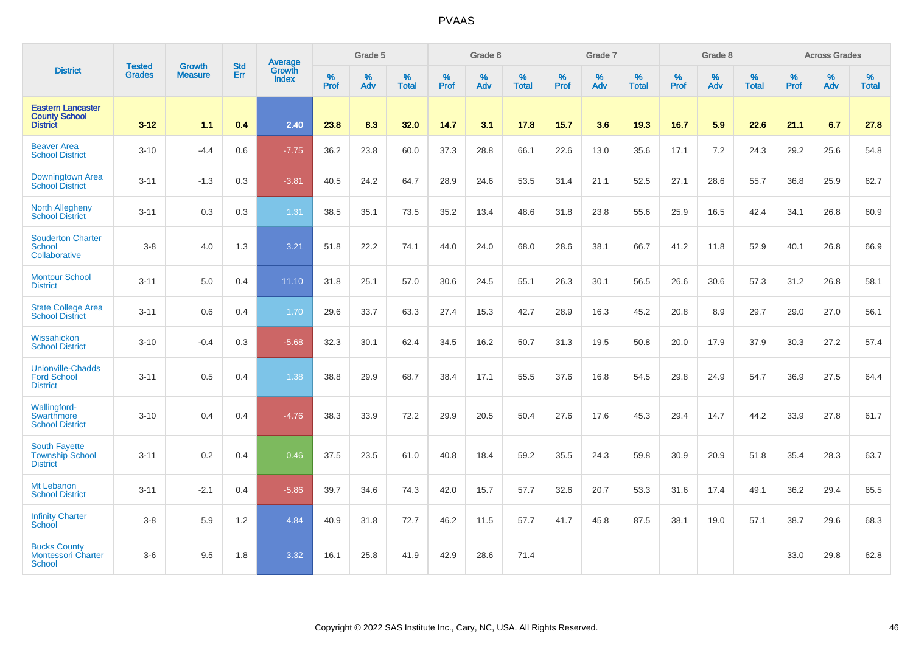|                                                                     | <b>Tested</b> | <b>Growth</b>  | <b>Std</b> | Average                |                     | Grade 5  |                   |           | Grade 6  |                   |           | Grade 7  |                   |                  | Grade 8  |                   |                  | <b>Across Grades</b> |                   |
|---------------------------------------------------------------------|---------------|----------------|------------|------------------------|---------------------|----------|-------------------|-----------|----------|-------------------|-----------|----------|-------------------|------------------|----------|-------------------|------------------|----------------------|-------------------|
| <b>District</b>                                                     | <b>Grades</b> | <b>Measure</b> | Err        | Growth<br><b>Index</b> | $\%$<br><b>Prof</b> | %<br>Adv | %<br><b>Total</b> | %<br>Prof | %<br>Adv | %<br><b>Total</b> | %<br>Prof | %<br>Adv | %<br><b>Total</b> | %<br><b>Prof</b> | %<br>Adv | %<br><b>Total</b> | %<br><b>Prof</b> | %<br>Adv             | %<br><b>Total</b> |
| <b>Eastern Lancaster</b><br><b>County School</b><br><b>District</b> | $3 - 12$      | 1.1            | 0.4        | 2.40                   | 23.8                | 8.3      | 32.0              | 14.7      | 3.1      | 17.8              | 15.7      | 3.6      | 19.3              | 16.7             | 5.9      | 22.6              | 21.1             | 6.7                  | 27.8              |
| <b>Beaver Area</b><br><b>School District</b>                        | $3 - 10$      | $-4.4$         | 0.6        | $-7.75$                | 36.2                | 23.8     | 60.0              | 37.3      | 28.8     | 66.1              | 22.6      | 13.0     | 35.6              | 17.1             | 7.2      | 24.3              | 29.2             | 25.6                 | 54.8              |
| Downingtown Area<br><b>School District</b>                          | $3 - 11$      | $-1.3$         | 0.3        | $-3.81$                | 40.5                | 24.2     | 64.7              | 28.9      | 24.6     | 53.5              | 31.4      | 21.1     | 52.5              | 27.1             | 28.6     | 55.7              | 36.8             | 25.9                 | 62.7              |
| <b>North Allegheny</b><br><b>School District</b>                    | $3 - 11$      | 0.3            | 0.3        | 1.31                   | 38.5                | 35.1     | 73.5              | 35.2      | 13.4     | 48.6              | 31.8      | 23.8     | 55.6              | 25.9             | 16.5     | 42.4              | 34.1             | 26.8                 | 60.9              |
| <b>Souderton Charter</b><br>School<br>Collaborative                 | $3-8$         | 4.0            | 1.3        | 3.21                   | 51.8                | 22.2     | 74.1              | 44.0      | 24.0     | 68.0              | 28.6      | 38.1     | 66.7              | 41.2             | 11.8     | 52.9              | 40.1             | 26.8                 | 66.9              |
| <b>Montour School</b><br><b>District</b>                            | $3 - 11$      | 5.0            | 0.4        | 11.10                  | 31.8                | 25.1     | 57.0              | 30.6      | 24.5     | 55.1              | 26.3      | 30.1     | 56.5              | 26.6             | 30.6     | 57.3              | 31.2             | 26.8                 | 58.1              |
| State College Area<br><b>School District</b>                        | $3 - 11$      | 0.6            | 0.4        | 1.70                   | 29.6                | 33.7     | 63.3              | 27.4      | 15.3     | 42.7              | 28.9      | 16.3     | 45.2              | 20.8             | 8.9      | 29.7              | 29.0             | 27.0                 | 56.1              |
| Wissahickon<br><b>School District</b>                               | $3 - 10$      | $-0.4$         | 0.3        | $-5.68$                | 32.3                | 30.1     | 62.4              | 34.5      | 16.2     | 50.7              | 31.3      | 19.5     | 50.8              | 20.0             | 17.9     | 37.9              | 30.3             | 27.2                 | 57.4              |
| <b>Unionville-Chadds</b><br><b>Ford School</b><br><b>District</b>   | $3 - 11$      | 0.5            | 0.4        | 1.38                   | 38.8                | 29.9     | 68.7              | 38.4      | 17.1     | 55.5              | 37.6      | 16.8     | 54.5              | 29.8             | 24.9     | 54.7              | 36.9             | 27.5                 | 64.4              |
| Wallingford-<br>Swarthmore<br><b>School District</b>                | $3 - 10$      | 0.4            | 0.4        | $-4.76$                | 38.3                | 33.9     | 72.2              | 29.9      | 20.5     | 50.4              | 27.6      | 17.6     | 45.3              | 29.4             | 14.7     | 44.2              | 33.9             | 27.8                 | 61.7              |
| <b>South Fayette</b><br><b>Township School</b><br><b>District</b>   | $3 - 11$      | 0.2            | 0.4        | 0.46                   | 37.5                | 23.5     | 61.0              | 40.8      | 18.4     | 59.2              | 35.5      | 24.3     | 59.8              | 30.9             | 20.9     | 51.8              | 35.4             | 28.3                 | 63.7              |
| Mt Lebanon<br><b>School District</b>                                | $3 - 11$      | $-2.1$         | 0.4        | $-5.86$                | 39.7                | 34.6     | 74.3              | 42.0      | 15.7     | 57.7              | 32.6      | 20.7     | 53.3              | 31.6             | 17.4     | 49.1              | 36.2             | 29.4                 | 65.5              |
| <b>Infinity Charter</b><br>School                                   | $3 - 8$       | 5.9            | 1.2        | 4.84                   | 40.9                | 31.8     | 72.7              | 46.2      | 11.5     | 57.7              | 41.7      | 45.8     | 87.5              | 38.1             | 19.0     | 57.1              | 38.7             | 29.6                 | 68.3              |
| <b>Bucks County</b><br><b>Montessori Charter</b><br><b>School</b>   | $3-6$         | 9.5            | 1.8        | 3.32                   | 16.1                | 25.8     | 41.9              | 42.9      | 28.6     | 71.4              |           |          |                   |                  |          |                   | 33.0             | 29.8                 | 62.8              |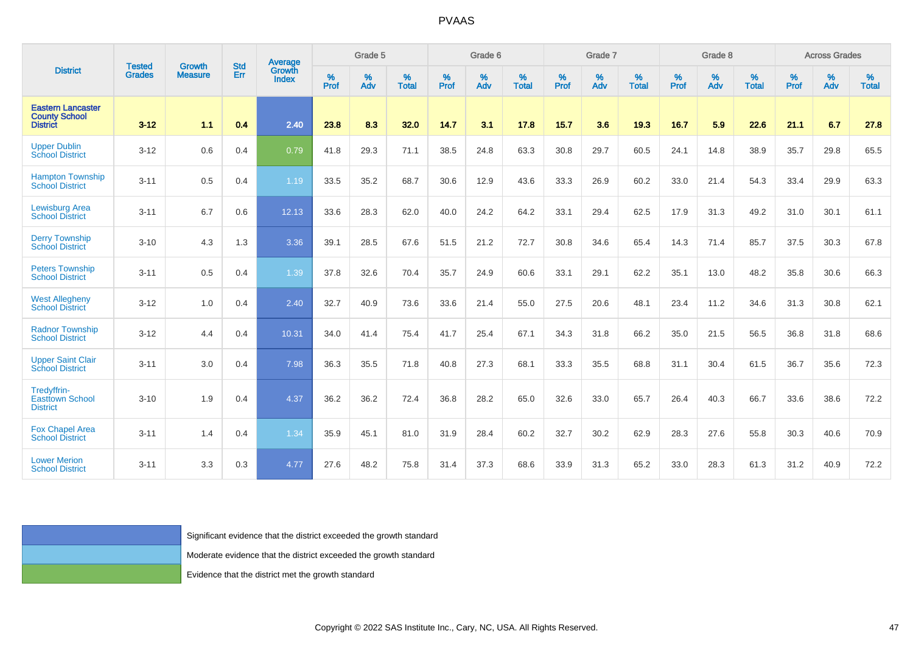|                                                                     | Growth                         | <b>Std</b>     | Average |                                                                     | Grade 5      |             |                      | Grade 6      |             |                   | Grade 7   |             |                   | Grade 8      |          |                   | <b>Across Grades</b> |             |                   |
|---------------------------------------------------------------------|--------------------------------|----------------|---------|---------------------------------------------------------------------|--------------|-------------|----------------------|--------------|-------------|-------------------|-----------|-------------|-------------------|--------------|----------|-------------------|----------------------|-------------|-------------------|
| <b>District</b>                                                     | <b>Tested</b><br><b>Grades</b> | <b>Measure</b> | Err     | Growth<br>Index                                                     | $\%$<br>Prof | $\%$<br>Adv | $\%$<br><b>Total</b> | $\%$<br>Prof | $\%$<br>Adv | %<br><b>Total</b> | %<br>Prof | $\%$<br>Adv | %<br><b>Total</b> | $\%$<br>Prof | %<br>Adv | %<br><b>Total</b> | $\%$<br>Prof         | $\%$<br>Adv | %<br><b>Total</b> |
| <b>Eastern Lancaster</b><br><b>County School</b><br><b>District</b> | $3 - 12$                       | 1.1            | 0.4     | 2.40                                                                | 23.8         | 8.3         | 32.0                 | 14.7         | 3.1         | 17.8              | 15.7      | 3.6         | 19.3              | 16.7         | 5.9      | 22.6              | 21.1                 | 6.7         | 27.8              |
| <b>Upper Dublin</b><br><b>School District</b>                       | $3 - 12$                       | 0.6            | 0.4     | 0.79                                                                | 41.8         | 29.3        | 71.1                 | 38.5         | 24.8        | 63.3              | 30.8      | 29.7        | 60.5              | 24.1         | 14.8     | 38.9              | 35.7                 | 29.8        | 65.5              |
| <b>Hampton Township</b><br><b>School District</b>                   | $3 - 11$                       | 0.5            | 0.4     | 1.19                                                                | 33.5         | 35.2        | 68.7                 | 30.6         | 12.9        | 43.6              | 33.3      | 26.9        | 60.2              | 33.0         | 21.4     | 54.3              | 33.4                 | 29.9        | 63.3              |
| Lewisburg Area<br><b>School District</b>                            | $3 - 11$                       | 6.7            | 0.6     | 12.13                                                               | 33.6         | 28.3        | 62.0                 | 40.0         | 24.2        | 64.2              | 33.1      | 29.4        | 62.5              | 17.9         | 31.3     | 49.2              | 31.0                 | 30.1        | 61.1              |
| <b>Derry Township</b><br><b>School District</b>                     | $3 - 10$                       | 4.3            | 1.3     | 3.36                                                                | 39.1         | 28.5        | 67.6                 | 51.5         | 21.2        | 72.7              | 30.8      | 34.6        | 65.4              | 14.3         | 71.4     | 85.7              | 37.5                 | 30.3        | 67.8              |
| <b>Peters Township</b><br><b>School District</b>                    | $3 - 11$                       | 0.5            | 0.4     | 1.39                                                                | 37.8         | 32.6        | 70.4                 | 35.7         | 24.9        | 60.6              | 33.1      | 29.1        | 62.2              | 35.1         | 13.0     | 48.2              | 35.8                 | 30.6        | 66.3              |
| <b>West Allegheny</b><br><b>School District</b>                     | $3 - 12$                       | 1.0            | 0.4     | 2.40                                                                | 32.7         | 40.9        | 73.6                 | 33.6         | 21.4        | 55.0              | 27.5      | 20.6        | 48.1              | 23.4         | 11.2     | 34.6              | 31.3                 | 30.8        | 62.1              |
| <b>Radnor Township</b><br><b>School District</b>                    | $3 - 12$                       | 4.4            | 0.4     | 10.31                                                               | 34.0         | 41.4        | 75.4                 | 41.7         | 25.4        | 67.1              | 34.3      | 31.8        | 66.2              | 35.0         | 21.5     | 56.5              | 36.8                 | 31.8        | 68.6              |
| <b>Upper Saint Clair</b><br><b>School District</b>                  | $3 - 11$                       | 3.0            | 0.4     | 7.98                                                                | 36.3         | 35.5        | 71.8                 | 40.8         | 27.3        | 68.1              | 33.3      | 35.5        | 68.8              | 31.1         | 30.4     | 61.5              | 36.7                 | 35.6        | 72.3              |
| Tredyffrin-<br><b>Easttown School</b><br><b>District</b>            | $3 - 10$                       | 1.9            | 0.4     | 4.37                                                                | 36.2         | 36.2        | 72.4                 | 36.8         | 28.2        | 65.0              | 32.6      | 33.0        | 65.7              | 26.4         | 40.3     | 66.7              | 33.6                 | 38.6        | 72.2              |
| <b>Fox Chapel Area</b><br><b>School District</b>                    | $3 - 11$                       | 1.4            | 0.4     | 1.34                                                                | 35.9         | 45.1        | 81.0                 | 31.9         | 28.4        | 60.2              | 32.7      | 30.2        | 62.9              | 28.3         | 27.6     | 55.8              | 30.3                 | 40.6        | 70.9              |
| <b>Lower Merion</b><br><b>School District</b>                       | $3 - 11$                       | 3.3            | 0.3     | 4.77                                                                | 27.6         | 48.2        | 75.8                 | 31.4         | 37.3        | 68.6              | 33.9      | 31.3        | 65.2              | 33.0         | 28.3     | 61.3              | 31.2                 | 40.9        | 72.2              |
|                                                                     |                                |                |         |                                                                     |              |             |                      |              |             |                   |           |             |                   |              |          |                   |                      |             |                   |
|                                                                     |                                |                |         |                                                                     |              |             |                      |              |             |                   |           |             |                   |              |          |                   |                      |             |                   |
|                                                                     |                                |                |         | Significant evidence that the district exceeded the growth standard |              |             |                      |              |             |                   |           |             |                   |              |          |                   |                      |             |                   |
|                                                                     |                                |                |         | Moderate evidence that the district exceeded the growth standard    |              |             |                      |              |             |                   |           |             |                   |              |          |                   |                      |             |                   |
|                                                                     |                                |                |         | Evidence that the district met the growth standard                  |              |             |                      |              |             |                   |           |             |                   |              |          |                   |                      |             |                   |